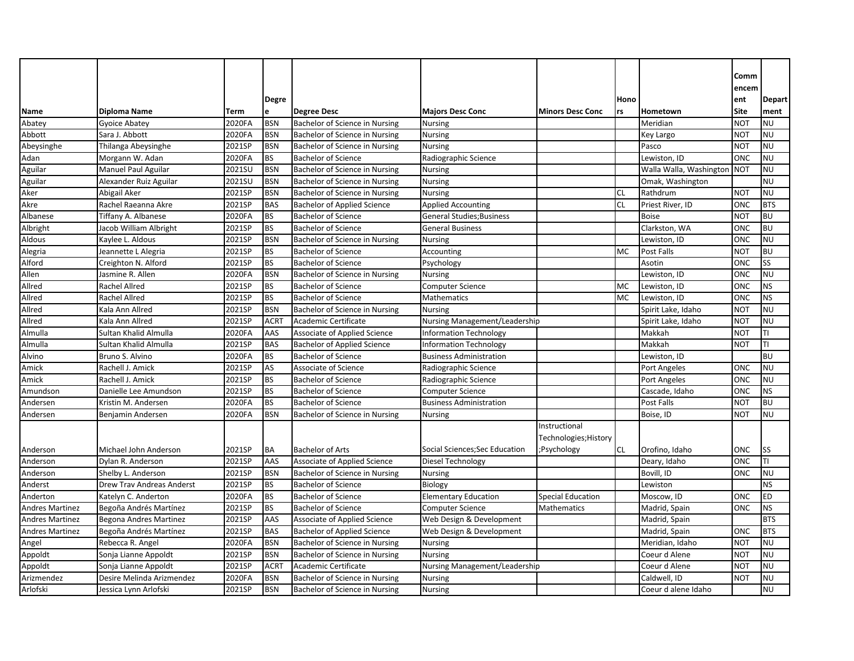|                        |                           |             |              |                                    |                                  |                          |           |                         | Comm       |               |
|------------------------|---------------------------|-------------|--------------|------------------------------------|----------------------------------|--------------------------|-----------|-------------------------|------------|---------------|
|                        |                           |             |              |                                    |                                  |                          |           |                         | encem      |               |
|                        |                           |             | <b>Degre</b> |                                    |                                  |                          | Hono      |                         | ent        | <b>Depart</b> |
| Name                   | <b>Diploma Name</b>       | <b>Term</b> | e            | <b>Degree Desc</b>                 | <b>Majors Desc Conc</b>          | <b>Minors Desc Conc</b>  | rs        | Hometown                | Site       | ment          |
| Abatey                 | Gyoice Abatey             | 2020FA      | <b>BSN</b>   | Bachelor of Science in Nursing     | <b>Nursing</b>                   |                          |           | Meridian                | <b>NOT</b> | <b>NU</b>     |
| Abbott                 | Sara J. Abbott            | 2020FA      | <b>BSN</b>   | Bachelor of Science in Nursing     | <b>Nursing</b>                   |                          |           | Key Largo               | <b>NOT</b> | <b>NU</b>     |
| Abeysinghe             | Thilanga Abeysinghe       | 2021SP      | <b>BSN</b>   | Bachelor of Science in Nursing     | <b>Nursing</b>                   |                          |           | Pasco                   | <b>NOT</b> | <b>NU</b>     |
| Adan                   | Morgann W. Adan           | 2020FA      | <b>BS</b>    | <b>Bachelor of Science</b>         | Radiographic Science             |                          |           | Lewiston, ID            | <b>ONC</b> | <b>NU</b>     |
| Aguilar                | Manuel Paul Aguilar       | 2021SU      | <b>BSN</b>   | Bachelor of Science in Nursing     | <b>Nursing</b>                   |                          |           | Walla Walla, Washington | <b>NOT</b> | <b>NU</b>     |
| Aguilar                | Alexander Ruiz Aguilar    | 2021SU      | <b>BSN</b>   | Bachelor of Science in Nursing     | <b>Nursing</b>                   |                          |           | Omak, Washington        |            | NU            |
| Aker                   | Abigail Aker              | 2021SP      | <b>BSN</b>   | Bachelor of Science in Nursing     | <b>Nursing</b>                   |                          | <b>CL</b> | Rathdrum                | <b>NOT</b> | NU            |
| Akre                   | Rachel Raeanna Akre       | 2021SP      | <b>BAS</b>   | <b>Bachelor of Applied Science</b> | <b>Applied Accounting</b>        |                          | <b>CL</b> | Priest River, ID        | <b>ONC</b> | <b>BTS</b>    |
| Albanese               | Tiffany A. Albanese       | 2020FA      | <b>BS</b>    | <b>Bachelor of Science</b>         | <b>General Studies; Business</b> |                          |           | <b>Boise</b>            | NOT        | <b>BU</b>     |
| Albright               | Jacob William Albright    | 2021SP      | <b>BS</b>    | <b>Bachelor of Science</b>         | <b>General Business</b>          |                          |           | Clarkston, WA           | <b>ONC</b> | <b>BU</b>     |
| Aldous                 | Kaylee L. Aldous          | 2021SP      | <b>BSN</b>   | Bachelor of Science in Nursing     | <b>Nursing</b>                   |                          |           | Lewiston, ID            | <b>ONC</b> | <b>NU</b>     |
| Alegria                | Jeannette L Alegria       | 2021SP      | <b>BS</b>    | <b>Bachelor of Science</b>         | Accounting                       |                          | <b>MC</b> | <b>Post Falls</b>       | <b>NOT</b> | <b>BU</b>     |
| Alford                 | Creighton N. Alford       | 2021SP      | <b>BS</b>    | <b>Bachelor of Science</b>         | Psychology                       |                          |           | Asotin                  | <b>ONC</b> | SS            |
| Allen                  | Jasmine R. Allen          | 2020FA      | <b>BSN</b>   | Bachelor of Science in Nursing     | <b>Nursing</b>                   |                          |           | Lewiston, ID            | <b>ONC</b> | <b>NU</b>     |
| Allred                 | <b>Rachel Allred</b>      | 2021SP      | <b>BS</b>    | <b>Bachelor of Science</b>         | Computer Science                 |                          | <b>MC</b> | Lewiston, ID            | <b>ONC</b> | <b>NS</b>     |
| Allred                 | <b>Rachel Allred</b>      | 2021SP      | <b>BS</b>    | <b>Bachelor of Science</b>         | Mathematics                      |                          | MC        | Lewiston, ID            | <b>ONC</b> | <b>NS</b>     |
| Allred                 | Kala Ann Allred           | 2021SP      | <b>BSN</b>   | Bachelor of Science in Nursing     | <b>Nursing</b>                   |                          |           | Spirit Lake, Idaho      | NOT        | <b>NU</b>     |
| Allred                 | Kala Ann Allred           | 2021SP      | <b>ACRT</b>  | Academic Certificate               | Nursing Management/Leadership    |                          |           | Spirit Lake, Idaho      | <b>NOT</b> | <b>NU</b>     |
| Almulla                | Sultan Khalid Almulla     | 2020FA      | AAS          | Associate of Applied Science       | <b>Information Technology</b>    |                          |           | Makkah                  | <b>NOT</b> | TI            |
| Almulla                | Sultan Khalid Almulla     | 2021SP      | <b>BAS</b>   | <b>Bachelor of Applied Science</b> | <b>Information Technology</b>    |                          |           | Makkah                  | <b>NOT</b> | TI            |
| Alvino                 | Bruno S. Alvino           | 2020FA      | BS           | <b>Bachelor of Science</b>         | <b>Business Administration</b>   |                          |           | Lewiston, ID            |            | BU            |
| Amick                  | Rachell J. Amick          | 2021SP      | AS           | Associate of Science               | Radiographic Science             |                          |           | Port Angeles            | <b>ONC</b> | <b>NU</b>     |
| Amick                  | Rachell J. Amick          | 2021SP      | <b>BS</b>    | <b>Bachelor of Science</b>         | Radiographic Science             |                          |           | <b>Port Angeles</b>     | <b>ONC</b> | NU            |
| Amundson               | Danielle Lee Amundson     | 2021SP      | <b>BS</b>    | <b>Bachelor of Science</b>         | <b>Computer Science</b>          |                          |           | Cascade, Idaho          | <b>ONC</b> | <b>NS</b>     |
| Andersen               | Kristin M. Andersen       | 2020FA      | <b>BS</b>    | <b>Bachelor of Science</b>         | <b>Business Administration</b>   |                          |           | Post Falls              | NOT        | <b>BU</b>     |
| Andersen               | Benjamin Andersen         | 2020FA      | <b>BSN</b>   | Bachelor of Science in Nursing     | <b>Nursing</b>                   |                          |           | Boise, ID               | <b>NOT</b> | <b>NU</b>     |
|                        |                           |             |              |                                    |                                  | Instructional            |           |                         |            |               |
|                        |                           |             |              |                                    |                                  | Technologies; History    |           |                         |            |               |
| Anderson               | Michael John Anderson     | 2021SP      | <b>BA</b>    | <b>Bachelor of Arts</b>            | Social Sciences; Sec Education   | ;Psychology              | CL        | Orofino, Idaho          | <b>ONC</b> | SS            |
| Anderson               | Dylan R. Anderson         | 2021SP      | AAS          | Associate of Applied Science       | Diesel Technology                |                          |           | Deary, Idaho            | <b>ONC</b> | TI            |
| Anderson               | Shelby L. Anderson        | 2021SP      | <b>BSN</b>   | Bachelor of Science in Nursing     | <b>Nursing</b>                   |                          |           | Bovill, ID              | <b>ONC</b> | <b>NU</b>     |
| Anderst                | Drew Trav Andreas Anderst | 2021SP      | <b>BS</b>    | <b>Bachelor of Science</b>         | Biology                          |                          |           | Lewiston                |            | <b>NS</b>     |
| Anderton               | Katelyn C. Anderton       | 2020FA      | <b>BS</b>    | <b>Bachelor of Science</b>         | <b>Elementary Education</b>      | <b>Special Education</b> |           | Moscow, ID              | <b>ONC</b> | ED            |
| <b>Andres Martinez</b> | Begoña Andrés Martínez    | 2021SP      | <b>BS</b>    | <b>Bachelor of Science</b>         | <b>Computer Science</b>          | Mathematics              |           | Madrid, Spain           | <b>ONC</b> | <b>NS</b>     |
| <b>Andres Martinez</b> | Begona Andres Martinez    | 2021SP      | AAS          | Associate of Applied Science       | Web Design & Development         |                          |           | Madrid, Spain           |            | <b>BTS</b>    |
| <b>Andres Martinez</b> | Begoña Andrés Martínez    | 2021SP      | <b>BAS</b>   | <b>Bachelor of Applied Science</b> | Web Design & Development         |                          |           | Madrid, Spain           | <b>ONC</b> | <b>BTS</b>    |
| Angel                  | Rebecca R. Angel          | 2020FA      | <b>BSN</b>   | Bachelor of Science in Nursing     | <b>Nursing</b>                   |                          |           | Meridian, Idaho         | <b>NOT</b> | <b>NU</b>     |
| Appoldt                | Sonja Lianne Appoldt      | 2021SP      | <b>BSN</b>   | Bachelor of Science in Nursing     | <b>Nursing</b>                   |                          |           | Coeur d Alene           | <b>NOT</b> | <b>NU</b>     |
| Appoldt                | Sonja Lianne Appoldt      | 2021SP      | <b>ACRT</b>  | Academic Certificate               | Nursing Management/Leadership    |                          |           | Coeur d Alene           | <b>NOT</b> | <b>NU</b>     |
| Arizmendez             | Desire Melinda Arizmendez | 2020FA      | <b>BSN</b>   | Bachelor of Science in Nursing     | <b>Nursing</b>                   |                          |           | Caldwell, ID            | мот        | <b>NU</b>     |
| Arlofski               | Jessica Lynn Arlofski     | 2021SP      | <b>BSN</b>   | Bachelor of Science in Nursing     | <b>Nursing</b>                   |                          |           | Coeur d alene Idaho     |            | <b>NU</b>     |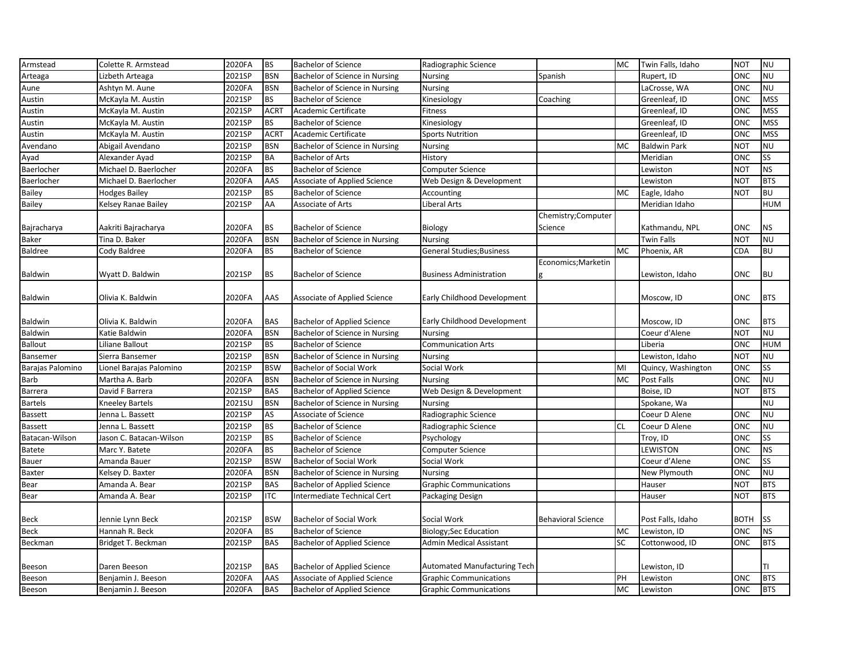| 2021SP<br><b>NU</b><br><b>BSN</b><br>Bachelor of Science in Nursing<br>Rupert, ID<br>ONC<br>Lizbeth Arteaga<br><b>Nursing</b><br>Spanish<br>2020FA<br><b>NU</b><br><b>BSN</b><br>Bachelor of Science in Nursing<br>LaCrosse, WA<br>ONC<br>Ashtyn M. Aune<br><b>Nursing</b><br>2021SP<br><b>BS</b><br>Greenleaf, ID<br><b>MSS</b><br>McKayla M. Austin<br><b>Bachelor of Science</b><br>Kinesiology<br>ONC<br>Coaching<br><b>ACRT</b><br><b>MSS</b><br>2021SP<br>Academic Certificate<br>Greenleaf, ID<br>ONC<br>McKayla M. Austin<br>Fitness<br><b>MSS</b><br>2021SP<br><b>BS</b><br><b>Bachelor of Science</b><br>Greenleaf, ID<br>ONC<br>Austin<br>McKayla M. Austin<br>Kinesiology<br><b>MSS</b><br>2021SP<br>McKayla M. Austin<br><b>ACRT</b><br>Academic Certificate<br><b>Sports Nutrition</b><br>Greenleaf, ID<br>ONC<br>2021SP<br><b>NU</b><br><b>BSN</b><br><b>NOT</b><br>Abigail Avendano<br>Bachelor of Science in Nursing<br>MC<br><b>Baldwin Park</b><br>Nursing<br>SS<br>2021SP<br><b>BA</b><br><b>Bachelor of Arts</b><br>Meridian<br>ONC<br>Alexander Ayad<br>History<br><b>NS</b><br>2020FA<br><b>BS</b><br><b>NOT</b><br>Michael D. Baerlocher<br><b>Bachelor of Science</b><br><b>Computer Science</b><br>Lewiston<br><b>BTS</b><br>2020FA<br>AAS<br>Michael D. Baerlocher<br>Associate of Applied Science<br>Web Design & Development<br>Lewiston<br><b>NOT</b><br>2021SP<br><b>BS</b><br><b>BU</b><br><b>Hodges Bailey</b><br><b>Bachelor of Science</b><br><b>MC</b><br>Eagle, Idaho<br><b>NOT</b><br>Accounting<br>2021SP<br>AA<br><b>HUM</b><br>Kelsey Ranae Bailey<br>Associate of Arts<br>Liberal Arts<br>Meridian Idaho<br>Chemistry;Computer<br>2020FA<br><b>BS</b><br>Science<br>Kathmandu, NPL<br><b>NS</b><br>Aakriti Bajracharya<br><b>Bachelor of Science</b><br>Biology<br>ONC<br>Bachelor of Science in Nursing<br><b>NU</b><br>Tina D. Baker<br>2020FA<br><b>BSN</b><br>Twin Falls<br><b>NOT</b><br><b>Nursing</b><br><b>BU</b><br>Cody Baldree<br>2020FA<br><b>BS</b><br><b>Bachelor of Science</b><br>MC<br>Phoenix, AR<br>CDA<br><b>General Studies; Business</b><br>Economics; Marketin<br>2021SP<br><b>BS</b><br><b>Bachelor of Science</b><br>ONC<br><b>BU</b><br>Wyatt D. Baldwin<br><b>Business Administration</b><br>Lewiston, Idaho<br>g<br>2020FA<br>AAS<br><b>BTS</b><br>Olivia K. Baldwin<br>Associate of Applied Science<br>Early Childhood Development<br>Moscow, ID<br>ONC<br><b>BTS</b><br>Olivia K. Baldwin<br>2020FA<br><b>BAS</b><br><b>Bachelor of Applied Science</b><br>Early Childhood Development<br>Moscow, ID<br>ONC<br><b>NU</b><br>Katie Baldwin<br>2020FA<br><b>BSN</b><br>Bachelor of Science in Nursing<br>Coeur d'Alene<br>NOT<br><b>Nursing</b><br>2021SP<br><b>HUM</b><br>Liliane Ballout<br><b>BS</b><br><b>Bachelor of Science</b><br><b>Communication Arts</b><br>Liberia<br>ONC<br>2021SP<br><b>BSN</b><br><b>NU</b><br>Bachelor of Science in Nursing<br>Lewiston, Idaho<br><b>NOT</b><br>Sierra Bansemer<br><b>Nursing</b><br>SS<br>2021SP<br><b>BSW</b><br><b>Bachelor of Social Work</b><br>Social Work<br>Lionel Barajas Palomino<br>MI<br>Quincy, Washington<br>ONC<br><b>NU</b><br>2020FA<br><b>BSN</b><br>Bachelor of Science in Nursing<br><b>MC</b><br>Post Falls<br><b>ONC</b><br>Martha A. Barb<br><b>Nursing</b><br>2021SP<br><b>BTS</b><br><b>BAS</b><br>Web Design & Development<br><b>NOT</b><br>David F Barrera<br><b>Bachelor of Applied Science</b><br>Boise, ID<br>2021SU<br><b>BSN</b><br><b>NU</b><br>Kneeley Bartels<br>Bachelor of Science in Nursing<br>Spokane, Wa<br><b>Nursing</b><br><b>NU</b><br>2021SP<br>AS<br>Jenna L. Bassett<br>Associate of Science<br>Radiographic Science<br>Coeur D Alene<br>ONC<br>2021SP<br><b>BS</b><br><b>NU</b><br>Jenna L. Bassett<br><b>Bachelor of Science</b><br>Radiographic Science<br><b>CL</b><br>Coeur D Alene<br>ONC<br><b>SS</b><br>2021SP<br><b>BS</b><br>ONC<br>Jason C. Batacan-Wilson<br><b>Bachelor of Science</b><br>Psychology<br>Troy, ID<br><b>NS</b><br>2020FA<br><b>BS</b><br>LEWISTON<br>ONC<br>Marc Y. Batete<br><b>Bachelor of Science</b><br><b>Computer Science</b><br><b>SS</b><br><b>BSW</b><br>2021SP<br>Bachelor of Social Work<br>Social Work<br>ONC<br>Amanda Bauer<br>Coeur d'Alene<br><b>NU</b><br>2020FA<br><b>ONC</b><br>Kelsey D. Baxter<br><b>BSN</b><br>Bachelor of Science in Nursing<br>New Plymouth<br><b>Nursing</b><br>2021SP<br><b>BTS</b><br><b>BAS</b><br><b>NOT</b><br>Amanda A. Bear<br><b>Bachelor of Applied Science</b><br><b>Graphic Communications</b><br>Hauser<br><b>BTS</b><br>2021SP<br><b>ITC</b><br><b>NOT</b><br>Amanda A. Bear<br>Intermediate Technical Cert<br>Hauser<br>Packaging Design<br>2021SP<br><b>ISS</b><br>Jennie Lynn Beck<br><b>BSW</b><br>Bachelor of Social Work<br>Social Work<br><b>Behavioral Science</b><br>Post Falls, Idaho<br><b>BOTH</b><br><b>NS</b><br>2020FA<br><b>BS</b><br>Hannah R. Beck<br><b>Bachelor of Science</b><br><b>Biology;Sec Education</b><br>MC<br>Lewiston, ID<br>ONC<br>2021SP<br><b>BAS</b><br><b>Admin Medical Assistant</b><br>SC<br>Cottonwood, ID<br><b>BTS</b><br>Bridget T. Beckman<br><b>Bachelor of Applied Science</b><br>ONC<br>Daren Beeson<br>2021SP<br><b>BAS</b><br><b>Bachelor of Applied Science</b><br><b>Automated Manufacturing Tech</b><br>Lewiston, ID<br>TI<br>2020FA<br>AAS<br>PH<br>ONC<br><b>BTS</b><br>Benjamin J. Beeson<br>Associate of Applied Science<br><b>Graphic Communications</b><br>Lewiston<br><b>BAS</b><br><b>BTS</b><br>Benjamin J. Beeson<br>2020FA<br><b>Bachelor of Applied Science</b><br><b>MC</b><br>Lewiston<br>ONC<br><b>Graphic Communications</b> | Armstead         | Colette R. Armstead | 2020FA | <b>BS</b> | <b>Bachelor of Science</b> | Radiographic Science | <b>MC</b> | Twin Falls, Idaho | <b>NOT</b> | <b>NU</b> |
|---------------------------------------------------------------------------------------------------------------------------------------------------------------------------------------------------------------------------------------------------------------------------------------------------------------------------------------------------------------------------------------------------------------------------------------------------------------------------------------------------------------------------------------------------------------------------------------------------------------------------------------------------------------------------------------------------------------------------------------------------------------------------------------------------------------------------------------------------------------------------------------------------------------------------------------------------------------------------------------------------------------------------------------------------------------------------------------------------------------------------------------------------------------------------------------------------------------------------------------------------------------------------------------------------------------------------------------------------------------------------------------------------------------------------------------------------------------------------------------------------------------------------------------------------------------------------------------------------------------------------------------------------------------------------------------------------------------------------------------------------------------------------------------------------------------------------------------------------------------------------------------------------------------------------------------------------------------------------------------------------------------------------------------------------------------------------------------------------------------------------------------------------------------------------------------------------------------------------------------------------------------------------------------------------------------------------------------------------------------------------------------------------------------------------------------------------------------------------------------------------------------------------------------------------------------------------------------------------------------------------------------------------------------------------------------------------------------------------------------------------------------------------------------------------------------------------------------------------------------------------------------------------------------------------------------------------------------------------------------------------------------------------------------------------------------------------------------------------------------------------------------------------------------------------------------------------------------------------------------------------------------------------------------------------------------------------------------------------------------------------------------------------------------------------------------------------------------------------------------------------------------------------------------------------------------------------------------------------------------------------------------------------------------------------------------------------------------------------------------------------------------------------------------------------------------------------------------------------------------------------------------------------------------------------------------------------------------------------------------------------------------------------------------------------------------------------------------------------------------------------------------------------------------------------------------------------------------------------------------------------------------------------------------------------------------------------------------------------------------------------------------------------------------------------------------------------------------------------------------------------------------------------------------------------------------------------------------------------------------------------------------------------------------------------------------------------------------------------------------------------------------------------------------------------------------------------------------------------------------------------------------------------------------------------------------------------------------------------------------------------------------------------------------------------------------------------------------------------------------------------------------------------------------------------------------------------------------------------------------------------------------------------------------------------------------------------------------------------------------------------------------------------------------------------------------------------------------------------------------------------------------------------------------------------------------------------------------------------------------------------------------------------------|------------------|---------------------|--------|-----------|----------------------------|----------------------|-----------|-------------------|------------|-----------|
|                                                                                                                                                                                                                                                                                                                                                                                                                                                                                                                                                                                                                                                                                                                                                                                                                                                                                                                                                                                                                                                                                                                                                                                                                                                                                                                                                                                                                                                                                                                                                                                                                                                                                                                                                                                                                                                                                                                                                                                                                                                                                                                                                                                                                                                                                                                                                                                                                                                                                                                                                                                                                                                                                                                                                                                                                                                                                                                                                                                                                                                                                                                                                                                                                                                                                                                                                                                                                                                                                                                                                                                                                                                                                                                                                                                                                                                                                                                                                                                                                                                                                                                                                                                                                                                                                                                                                                                                                                                                                                                                                                                                                                                                                                                                                                                                                                                                                                                                                                                                                                                                                                                                                                                                                                                                                                                                                                                                                                                                                                                                                                                                                                                         | Arteaga          |                     |        |           |                            |                      |           |                   |            |           |
|                                                                                                                                                                                                                                                                                                                                                                                                                                                                                                                                                                                                                                                                                                                                                                                                                                                                                                                                                                                                                                                                                                                                                                                                                                                                                                                                                                                                                                                                                                                                                                                                                                                                                                                                                                                                                                                                                                                                                                                                                                                                                                                                                                                                                                                                                                                                                                                                                                                                                                                                                                                                                                                                                                                                                                                                                                                                                                                                                                                                                                                                                                                                                                                                                                                                                                                                                                                                                                                                                                                                                                                                                                                                                                                                                                                                                                                                                                                                                                                                                                                                                                                                                                                                                                                                                                                                                                                                                                                                                                                                                                                                                                                                                                                                                                                                                                                                                                                                                                                                                                                                                                                                                                                                                                                                                                                                                                                                                                                                                                                                                                                                                                                         | Aune             |                     |        |           |                            |                      |           |                   |            |           |
|                                                                                                                                                                                                                                                                                                                                                                                                                                                                                                                                                                                                                                                                                                                                                                                                                                                                                                                                                                                                                                                                                                                                                                                                                                                                                                                                                                                                                                                                                                                                                                                                                                                                                                                                                                                                                                                                                                                                                                                                                                                                                                                                                                                                                                                                                                                                                                                                                                                                                                                                                                                                                                                                                                                                                                                                                                                                                                                                                                                                                                                                                                                                                                                                                                                                                                                                                                                                                                                                                                                                                                                                                                                                                                                                                                                                                                                                                                                                                                                                                                                                                                                                                                                                                                                                                                                                                                                                                                                                                                                                                                                                                                                                                                                                                                                                                                                                                                                                                                                                                                                                                                                                                                                                                                                                                                                                                                                                                                                                                                                                                                                                                                                         | Austin           |                     |        |           |                            |                      |           |                   |            |           |
|                                                                                                                                                                                                                                                                                                                                                                                                                                                                                                                                                                                                                                                                                                                                                                                                                                                                                                                                                                                                                                                                                                                                                                                                                                                                                                                                                                                                                                                                                                                                                                                                                                                                                                                                                                                                                                                                                                                                                                                                                                                                                                                                                                                                                                                                                                                                                                                                                                                                                                                                                                                                                                                                                                                                                                                                                                                                                                                                                                                                                                                                                                                                                                                                                                                                                                                                                                                                                                                                                                                                                                                                                                                                                                                                                                                                                                                                                                                                                                                                                                                                                                                                                                                                                                                                                                                                                                                                                                                                                                                                                                                                                                                                                                                                                                                                                                                                                                                                                                                                                                                                                                                                                                                                                                                                                                                                                                                                                                                                                                                                                                                                                                                         | Austin           |                     |        |           |                            |                      |           |                   |            |           |
|                                                                                                                                                                                                                                                                                                                                                                                                                                                                                                                                                                                                                                                                                                                                                                                                                                                                                                                                                                                                                                                                                                                                                                                                                                                                                                                                                                                                                                                                                                                                                                                                                                                                                                                                                                                                                                                                                                                                                                                                                                                                                                                                                                                                                                                                                                                                                                                                                                                                                                                                                                                                                                                                                                                                                                                                                                                                                                                                                                                                                                                                                                                                                                                                                                                                                                                                                                                                                                                                                                                                                                                                                                                                                                                                                                                                                                                                                                                                                                                                                                                                                                                                                                                                                                                                                                                                                                                                                                                                                                                                                                                                                                                                                                                                                                                                                                                                                                                                                                                                                                                                                                                                                                                                                                                                                                                                                                                                                                                                                                                                                                                                                                                         |                  |                     |        |           |                            |                      |           |                   |            |           |
|                                                                                                                                                                                                                                                                                                                                                                                                                                                                                                                                                                                                                                                                                                                                                                                                                                                                                                                                                                                                                                                                                                                                                                                                                                                                                                                                                                                                                                                                                                                                                                                                                                                                                                                                                                                                                                                                                                                                                                                                                                                                                                                                                                                                                                                                                                                                                                                                                                                                                                                                                                                                                                                                                                                                                                                                                                                                                                                                                                                                                                                                                                                                                                                                                                                                                                                                                                                                                                                                                                                                                                                                                                                                                                                                                                                                                                                                                                                                                                                                                                                                                                                                                                                                                                                                                                                                                                                                                                                                                                                                                                                                                                                                                                                                                                                                                                                                                                                                                                                                                                                                                                                                                                                                                                                                                                                                                                                                                                                                                                                                                                                                                                                         | Austin           |                     |        |           |                            |                      |           |                   |            |           |
|                                                                                                                                                                                                                                                                                                                                                                                                                                                                                                                                                                                                                                                                                                                                                                                                                                                                                                                                                                                                                                                                                                                                                                                                                                                                                                                                                                                                                                                                                                                                                                                                                                                                                                                                                                                                                                                                                                                                                                                                                                                                                                                                                                                                                                                                                                                                                                                                                                                                                                                                                                                                                                                                                                                                                                                                                                                                                                                                                                                                                                                                                                                                                                                                                                                                                                                                                                                                                                                                                                                                                                                                                                                                                                                                                                                                                                                                                                                                                                                                                                                                                                                                                                                                                                                                                                                                                                                                                                                                                                                                                                                                                                                                                                                                                                                                                                                                                                                                                                                                                                                                                                                                                                                                                                                                                                                                                                                                                                                                                                                                                                                                                                                         | Avendano         |                     |        |           |                            |                      |           |                   |            |           |
|                                                                                                                                                                                                                                                                                                                                                                                                                                                                                                                                                                                                                                                                                                                                                                                                                                                                                                                                                                                                                                                                                                                                                                                                                                                                                                                                                                                                                                                                                                                                                                                                                                                                                                                                                                                                                                                                                                                                                                                                                                                                                                                                                                                                                                                                                                                                                                                                                                                                                                                                                                                                                                                                                                                                                                                                                                                                                                                                                                                                                                                                                                                                                                                                                                                                                                                                                                                                                                                                                                                                                                                                                                                                                                                                                                                                                                                                                                                                                                                                                                                                                                                                                                                                                                                                                                                                                                                                                                                                                                                                                                                                                                                                                                                                                                                                                                                                                                                                                                                                                                                                                                                                                                                                                                                                                                                                                                                                                                                                                                                                                                                                                                                         | Ayad             |                     |        |           |                            |                      |           |                   |            |           |
|                                                                                                                                                                                                                                                                                                                                                                                                                                                                                                                                                                                                                                                                                                                                                                                                                                                                                                                                                                                                                                                                                                                                                                                                                                                                                                                                                                                                                                                                                                                                                                                                                                                                                                                                                                                                                                                                                                                                                                                                                                                                                                                                                                                                                                                                                                                                                                                                                                                                                                                                                                                                                                                                                                                                                                                                                                                                                                                                                                                                                                                                                                                                                                                                                                                                                                                                                                                                                                                                                                                                                                                                                                                                                                                                                                                                                                                                                                                                                                                                                                                                                                                                                                                                                                                                                                                                                                                                                                                                                                                                                                                                                                                                                                                                                                                                                                                                                                                                                                                                                                                                                                                                                                                                                                                                                                                                                                                                                                                                                                                                                                                                                                                         | Baerlocher       |                     |        |           |                            |                      |           |                   |            |           |
|                                                                                                                                                                                                                                                                                                                                                                                                                                                                                                                                                                                                                                                                                                                                                                                                                                                                                                                                                                                                                                                                                                                                                                                                                                                                                                                                                                                                                                                                                                                                                                                                                                                                                                                                                                                                                                                                                                                                                                                                                                                                                                                                                                                                                                                                                                                                                                                                                                                                                                                                                                                                                                                                                                                                                                                                                                                                                                                                                                                                                                                                                                                                                                                                                                                                                                                                                                                                                                                                                                                                                                                                                                                                                                                                                                                                                                                                                                                                                                                                                                                                                                                                                                                                                                                                                                                                                                                                                                                                                                                                                                                                                                                                                                                                                                                                                                                                                                                                                                                                                                                                                                                                                                                                                                                                                                                                                                                                                                                                                                                                                                                                                                                         | Baerlocher       |                     |        |           |                            |                      |           |                   |            |           |
|                                                                                                                                                                                                                                                                                                                                                                                                                                                                                                                                                                                                                                                                                                                                                                                                                                                                                                                                                                                                                                                                                                                                                                                                                                                                                                                                                                                                                                                                                                                                                                                                                                                                                                                                                                                                                                                                                                                                                                                                                                                                                                                                                                                                                                                                                                                                                                                                                                                                                                                                                                                                                                                                                                                                                                                                                                                                                                                                                                                                                                                                                                                                                                                                                                                                                                                                                                                                                                                                                                                                                                                                                                                                                                                                                                                                                                                                                                                                                                                                                                                                                                                                                                                                                                                                                                                                                                                                                                                                                                                                                                                                                                                                                                                                                                                                                                                                                                                                                                                                                                                                                                                                                                                                                                                                                                                                                                                                                                                                                                                                                                                                                                                         | Bailey           |                     |        |           |                            |                      |           |                   |            |           |
|                                                                                                                                                                                                                                                                                                                                                                                                                                                                                                                                                                                                                                                                                                                                                                                                                                                                                                                                                                                                                                                                                                                                                                                                                                                                                                                                                                                                                                                                                                                                                                                                                                                                                                                                                                                                                                                                                                                                                                                                                                                                                                                                                                                                                                                                                                                                                                                                                                                                                                                                                                                                                                                                                                                                                                                                                                                                                                                                                                                                                                                                                                                                                                                                                                                                                                                                                                                                                                                                                                                                                                                                                                                                                                                                                                                                                                                                                                                                                                                                                                                                                                                                                                                                                                                                                                                                                                                                                                                                                                                                                                                                                                                                                                                                                                                                                                                                                                                                                                                                                                                                                                                                                                                                                                                                                                                                                                                                                                                                                                                                                                                                                                                         | <b>Bailey</b>    |                     |        |           |                            |                      |           |                   |            |           |
|                                                                                                                                                                                                                                                                                                                                                                                                                                                                                                                                                                                                                                                                                                                                                                                                                                                                                                                                                                                                                                                                                                                                                                                                                                                                                                                                                                                                                                                                                                                                                                                                                                                                                                                                                                                                                                                                                                                                                                                                                                                                                                                                                                                                                                                                                                                                                                                                                                                                                                                                                                                                                                                                                                                                                                                                                                                                                                                                                                                                                                                                                                                                                                                                                                                                                                                                                                                                                                                                                                                                                                                                                                                                                                                                                                                                                                                                                                                                                                                                                                                                                                                                                                                                                                                                                                                                                                                                                                                                                                                                                                                                                                                                                                                                                                                                                                                                                                                                                                                                                                                                                                                                                                                                                                                                                                                                                                                                                                                                                                                                                                                                                                                         |                  |                     |        |           |                            |                      |           |                   |            |           |
|                                                                                                                                                                                                                                                                                                                                                                                                                                                                                                                                                                                                                                                                                                                                                                                                                                                                                                                                                                                                                                                                                                                                                                                                                                                                                                                                                                                                                                                                                                                                                                                                                                                                                                                                                                                                                                                                                                                                                                                                                                                                                                                                                                                                                                                                                                                                                                                                                                                                                                                                                                                                                                                                                                                                                                                                                                                                                                                                                                                                                                                                                                                                                                                                                                                                                                                                                                                                                                                                                                                                                                                                                                                                                                                                                                                                                                                                                                                                                                                                                                                                                                                                                                                                                                                                                                                                                                                                                                                                                                                                                                                                                                                                                                                                                                                                                                                                                                                                                                                                                                                                                                                                                                                                                                                                                                                                                                                                                                                                                                                                                                                                                                                         | Bajracharya      |                     |        |           |                            |                      |           |                   |            |           |
|                                                                                                                                                                                                                                                                                                                                                                                                                                                                                                                                                                                                                                                                                                                                                                                                                                                                                                                                                                                                                                                                                                                                                                                                                                                                                                                                                                                                                                                                                                                                                                                                                                                                                                                                                                                                                                                                                                                                                                                                                                                                                                                                                                                                                                                                                                                                                                                                                                                                                                                                                                                                                                                                                                                                                                                                                                                                                                                                                                                                                                                                                                                                                                                                                                                                                                                                                                                                                                                                                                                                                                                                                                                                                                                                                                                                                                                                                                                                                                                                                                                                                                                                                                                                                                                                                                                                                                                                                                                                                                                                                                                                                                                                                                                                                                                                                                                                                                                                                                                                                                                                                                                                                                                                                                                                                                                                                                                                                                                                                                                                                                                                                                                         | Baker            |                     |        |           |                            |                      |           |                   |            |           |
|                                                                                                                                                                                                                                                                                                                                                                                                                                                                                                                                                                                                                                                                                                                                                                                                                                                                                                                                                                                                                                                                                                                                                                                                                                                                                                                                                                                                                                                                                                                                                                                                                                                                                                                                                                                                                                                                                                                                                                                                                                                                                                                                                                                                                                                                                                                                                                                                                                                                                                                                                                                                                                                                                                                                                                                                                                                                                                                                                                                                                                                                                                                                                                                                                                                                                                                                                                                                                                                                                                                                                                                                                                                                                                                                                                                                                                                                                                                                                                                                                                                                                                                                                                                                                                                                                                                                                                                                                                                                                                                                                                                                                                                                                                                                                                                                                                                                                                                                                                                                                                                                                                                                                                                                                                                                                                                                                                                                                                                                                                                                                                                                                                                         | Baldree          |                     |        |           |                            |                      |           |                   |            |           |
|                                                                                                                                                                                                                                                                                                                                                                                                                                                                                                                                                                                                                                                                                                                                                                                                                                                                                                                                                                                                                                                                                                                                                                                                                                                                                                                                                                                                                                                                                                                                                                                                                                                                                                                                                                                                                                                                                                                                                                                                                                                                                                                                                                                                                                                                                                                                                                                                                                                                                                                                                                                                                                                                                                                                                                                                                                                                                                                                                                                                                                                                                                                                                                                                                                                                                                                                                                                                                                                                                                                                                                                                                                                                                                                                                                                                                                                                                                                                                                                                                                                                                                                                                                                                                                                                                                                                                                                                                                                                                                                                                                                                                                                                                                                                                                                                                                                                                                                                                                                                                                                                                                                                                                                                                                                                                                                                                                                                                                                                                                                                                                                                                                                         |                  |                     |        |           |                            |                      |           |                   |            |           |
|                                                                                                                                                                                                                                                                                                                                                                                                                                                                                                                                                                                                                                                                                                                                                                                                                                                                                                                                                                                                                                                                                                                                                                                                                                                                                                                                                                                                                                                                                                                                                                                                                                                                                                                                                                                                                                                                                                                                                                                                                                                                                                                                                                                                                                                                                                                                                                                                                                                                                                                                                                                                                                                                                                                                                                                                                                                                                                                                                                                                                                                                                                                                                                                                                                                                                                                                                                                                                                                                                                                                                                                                                                                                                                                                                                                                                                                                                                                                                                                                                                                                                                                                                                                                                                                                                                                                                                                                                                                                                                                                                                                                                                                                                                                                                                                                                                                                                                                                                                                                                                                                                                                                                                                                                                                                                                                                                                                                                                                                                                                                                                                                                                                         | Baldwin          |                     |        |           |                            |                      |           |                   |            |           |
|                                                                                                                                                                                                                                                                                                                                                                                                                                                                                                                                                                                                                                                                                                                                                                                                                                                                                                                                                                                                                                                                                                                                                                                                                                                                                                                                                                                                                                                                                                                                                                                                                                                                                                                                                                                                                                                                                                                                                                                                                                                                                                                                                                                                                                                                                                                                                                                                                                                                                                                                                                                                                                                                                                                                                                                                                                                                                                                                                                                                                                                                                                                                                                                                                                                                                                                                                                                                                                                                                                                                                                                                                                                                                                                                                                                                                                                                                                                                                                                                                                                                                                                                                                                                                                                                                                                                                                                                                                                                                                                                                                                                                                                                                                                                                                                                                                                                                                                                                                                                                                                                                                                                                                                                                                                                                                                                                                                                                                                                                                                                                                                                                                                         |                  |                     |        |           |                            |                      |           |                   |            |           |
|                                                                                                                                                                                                                                                                                                                                                                                                                                                                                                                                                                                                                                                                                                                                                                                                                                                                                                                                                                                                                                                                                                                                                                                                                                                                                                                                                                                                                                                                                                                                                                                                                                                                                                                                                                                                                                                                                                                                                                                                                                                                                                                                                                                                                                                                                                                                                                                                                                                                                                                                                                                                                                                                                                                                                                                                                                                                                                                                                                                                                                                                                                                                                                                                                                                                                                                                                                                                                                                                                                                                                                                                                                                                                                                                                                                                                                                                                                                                                                                                                                                                                                                                                                                                                                                                                                                                                                                                                                                                                                                                                                                                                                                                                                                                                                                                                                                                                                                                                                                                                                                                                                                                                                                                                                                                                                                                                                                                                                                                                                                                                                                                                                                         | Baldwin          |                     |        |           |                            |                      |           |                   |            |           |
|                                                                                                                                                                                                                                                                                                                                                                                                                                                                                                                                                                                                                                                                                                                                                                                                                                                                                                                                                                                                                                                                                                                                                                                                                                                                                                                                                                                                                                                                                                                                                                                                                                                                                                                                                                                                                                                                                                                                                                                                                                                                                                                                                                                                                                                                                                                                                                                                                                                                                                                                                                                                                                                                                                                                                                                                                                                                                                                                                                                                                                                                                                                                                                                                                                                                                                                                                                                                                                                                                                                                                                                                                                                                                                                                                                                                                                                                                                                                                                                                                                                                                                                                                                                                                                                                                                                                                                                                                                                                                                                                                                                                                                                                                                                                                                                                                                                                                                                                                                                                                                                                                                                                                                                                                                                                                                                                                                                                                                                                                                                                                                                                                                                         |                  |                     |        |           |                            |                      |           |                   |            |           |
|                                                                                                                                                                                                                                                                                                                                                                                                                                                                                                                                                                                                                                                                                                                                                                                                                                                                                                                                                                                                                                                                                                                                                                                                                                                                                                                                                                                                                                                                                                                                                                                                                                                                                                                                                                                                                                                                                                                                                                                                                                                                                                                                                                                                                                                                                                                                                                                                                                                                                                                                                                                                                                                                                                                                                                                                                                                                                                                                                                                                                                                                                                                                                                                                                                                                                                                                                                                                                                                                                                                                                                                                                                                                                                                                                                                                                                                                                                                                                                                                                                                                                                                                                                                                                                                                                                                                                                                                                                                                                                                                                                                                                                                                                                                                                                                                                                                                                                                                                                                                                                                                                                                                                                                                                                                                                                                                                                                                                                                                                                                                                                                                                                                         | Baldwin          |                     |        |           |                            |                      |           |                   |            |           |
|                                                                                                                                                                                                                                                                                                                                                                                                                                                                                                                                                                                                                                                                                                                                                                                                                                                                                                                                                                                                                                                                                                                                                                                                                                                                                                                                                                                                                                                                                                                                                                                                                                                                                                                                                                                                                                                                                                                                                                                                                                                                                                                                                                                                                                                                                                                                                                                                                                                                                                                                                                                                                                                                                                                                                                                                                                                                                                                                                                                                                                                                                                                                                                                                                                                                                                                                                                                                                                                                                                                                                                                                                                                                                                                                                                                                                                                                                                                                                                                                                                                                                                                                                                                                                                                                                                                                                                                                                                                                                                                                                                                                                                                                                                                                                                                                                                                                                                                                                                                                                                                                                                                                                                                                                                                                                                                                                                                                                                                                                                                                                                                                                                                         | Baldwin          |                     |        |           |                            |                      |           |                   |            |           |
|                                                                                                                                                                                                                                                                                                                                                                                                                                                                                                                                                                                                                                                                                                                                                                                                                                                                                                                                                                                                                                                                                                                                                                                                                                                                                                                                                                                                                                                                                                                                                                                                                                                                                                                                                                                                                                                                                                                                                                                                                                                                                                                                                                                                                                                                                                                                                                                                                                                                                                                                                                                                                                                                                                                                                                                                                                                                                                                                                                                                                                                                                                                                                                                                                                                                                                                                                                                                                                                                                                                                                                                                                                                                                                                                                                                                                                                                                                                                                                                                                                                                                                                                                                                                                                                                                                                                                                                                                                                                                                                                                                                                                                                                                                                                                                                                                                                                                                                                                                                                                                                                                                                                                                                                                                                                                                                                                                                                                                                                                                                                                                                                                                                         | Ballout          |                     |        |           |                            |                      |           |                   |            |           |
|                                                                                                                                                                                                                                                                                                                                                                                                                                                                                                                                                                                                                                                                                                                                                                                                                                                                                                                                                                                                                                                                                                                                                                                                                                                                                                                                                                                                                                                                                                                                                                                                                                                                                                                                                                                                                                                                                                                                                                                                                                                                                                                                                                                                                                                                                                                                                                                                                                                                                                                                                                                                                                                                                                                                                                                                                                                                                                                                                                                                                                                                                                                                                                                                                                                                                                                                                                                                                                                                                                                                                                                                                                                                                                                                                                                                                                                                                                                                                                                                                                                                                                                                                                                                                                                                                                                                                                                                                                                                                                                                                                                                                                                                                                                                                                                                                                                                                                                                                                                                                                                                                                                                                                                                                                                                                                                                                                                                                                                                                                                                                                                                                                                         | Bansemer         |                     |        |           |                            |                      |           |                   |            |           |
|                                                                                                                                                                                                                                                                                                                                                                                                                                                                                                                                                                                                                                                                                                                                                                                                                                                                                                                                                                                                                                                                                                                                                                                                                                                                                                                                                                                                                                                                                                                                                                                                                                                                                                                                                                                                                                                                                                                                                                                                                                                                                                                                                                                                                                                                                                                                                                                                                                                                                                                                                                                                                                                                                                                                                                                                                                                                                                                                                                                                                                                                                                                                                                                                                                                                                                                                                                                                                                                                                                                                                                                                                                                                                                                                                                                                                                                                                                                                                                                                                                                                                                                                                                                                                                                                                                                                                                                                                                                                                                                                                                                                                                                                                                                                                                                                                                                                                                                                                                                                                                                                                                                                                                                                                                                                                                                                                                                                                                                                                                                                                                                                                                                         | Barajas Palomino |                     |        |           |                            |                      |           |                   |            |           |
|                                                                                                                                                                                                                                                                                                                                                                                                                                                                                                                                                                                                                                                                                                                                                                                                                                                                                                                                                                                                                                                                                                                                                                                                                                                                                                                                                                                                                                                                                                                                                                                                                                                                                                                                                                                                                                                                                                                                                                                                                                                                                                                                                                                                                                                                                                                                                                                                                                                                                                                                                                                                                                                                                                                                                                                                                                                                                                                                                                                                                                                                                                                                                                                                                                                                                                                                                                                                                                                                                                                                                                                                                                                                                                                                                                                                                                                                                                                                                                                                                                                                                                                                                                                                                                                                                                                                                                                                                                                                                                                                                                                                                                                                                                                                                                                                                                                                                                                                                                                                                                                                                                                                                                                                                                                                                                                                                                                                                                                                                                                                                                                                                                                         | Barb             |                     |        |           |                            |                      |           |                   |            |           |
|                                                                                                                                                                                                                                                                                                                                                                                                                                                                                                                                                                                                                                                                                                                                                                                                                                                                                                                                                                                                                                                                                                                                                                                                                                                                                                                                                                                                                                                                                                                                                                                                                                                                                                                                                                                                                                                                                                                                                                                                                                                                                                                                                                                                                                                                                                                                                                                                                                                                                                                                                                                                                                                                                                                                                                                                                                                                                                                                                                                                                                                                                                                                                                                                                                                                                                                                                                                                                                                                                                                                                                                                                                                                                                                                                                                                                                                                                                                                                                                                                                                                                                                                                                                                                                                                                                                                                                                                                                                                                                                                                                                                                                                                                                                                                                                                                                                                                                                                                                                                                                                                                                                                                                                                                                                                                                                                                                                                                                                                                                                                                                                                                                                         | Barrera          |                     |        |           |                            |                      |           |                   |            |           |
|                                                                                                                                                                                                                                                                                                                                                                                                                                                                                                                                                                                                                                                                                                                                                                                                                                                                                                                                                                                                                                                                                                                                                                                                                                                                                                                                                                                                                                                                                                                                                                                                                                                                                                                                                                                                                                                                                                                                                                                                                                                                                                                                                                                                                                                                                                                                                                                                                                                                                                                                                                                                                                                                                                                                                                                                                                                                                                                                                                                                                                                                                                                                                                                                                                                                                                                                                                                                                                                                                                                                                                                                                                                                                                                                                                                                                                                                                                                                                                                                                                                                                                                                                                                                                                                                                                                                                                                                                                                                                                                                                                                                                                                                                                                                                                                                                                                                                                                                                                                                                                                                                                                                                                                                                                                                                                                                                                                                                                                                                                                                                                                                                                                         | <b>Bartels</b>   |                     |        |           |                            |                      |           |                   |            |           |
|                                                                                                                                                                                                                                                                                                                                                                                                                                                                                                                                                                                                                                                                                                                                                                                                                                                                                                                                                                                                                                                                                                                                                                                                                                                                                                                                                                                                                                                                                                                                                                                                                                                                                                                                                                                                                                                                                                                                                                                                                                                                                                                                                                                                                                                                                                                                                                                                                                                                                                                                                                                                                                                                                                                                                                                                                                                                                                                                                                                                                                                                                                                                                                                                                                                                                                                                                                                                                                                                                                                                                                                                                                                                                                                                                                                                                                                                                                                                                                                                                                                                                                                                                                                                                                                                                                                                                                                                                                                                                                                                                                                                                                                                                                                                                                                                                                                                                                                                                                                                                                                                                                                                                                                                                                                                                                                                                                                                                                                                                                                                                                                                                                                         | <b>Bassett</b>   |                     |        |           |                            |                      |           |                   |            |           |
|                                                                                                                                                                                                                                                                                                                                                                                                                                                                                                                                                                                                                                                                                                                                                                                                                                                                                                                                                                                                                                                                                                                                                                                                                                                                                                                                                                                                                                                                                                                                                                                                                                                                                                                                                                                                                                                                                                                                                                                                                                                                                                                                                                                                                                                                                                                                                                                                                                                                                                                                                                                                                                                                                                                                                                                                                                                                                                                                                                                                                                                                                                                                                                                                                                                                                                                                                                                                                                                                                                                                                                                                                                                                                                                                                                                                                                                                                                                                                                                                                                                                                                                                                                                                                                                                                                                                                                                                                                                                                                                                                                                                                                                                                                                                                                                                                                                                                                                                                                                                                                                                                                                                                                                                                                                                                                                                                                                                                                                                                                                                                                                                                                                         | <b>Bassett</b>   |                     |        |           |                            |                      |           |                   |            |           |
|                                                                                                                                                                                                                                                                                                                                                                                                                                                                                                                                                                                                                                                                                                                                                                                                                                                                                                                                                                                                                                                                                                                                                                                                                                                                                                                                                                                                                                                                                                                                                                                                                                                                                                                                                                                                                                                                                                                                                                                                                                                                                                                                                                                                                                                                                                                                                                                                                                                                                                                                                                                                                                                                                                                                                                                                                                                                                                                                                                                                                                                                                                                                                                                                                                                                                                                                                                                                                                                                                                                                                                                                                                                                                                                                                                                                                                                                                                                                                                                                                                                                                                                                                                                                                                                                                                                                                                                                                                                                                                                                                                                                                                                                                                                                                                                                                                                                                                                                                                                                                                                                                                                                                                                                                                                                                                                                                                                                                                                                                                                                                                                                                                                         | Batacan-Wilson   |                     |        |           |                            |                      |           |                   |            |           |
|                                                                                                                                                                                                                                                                                                                                                                                                                                                                                                                                                                                                                                                                                                                                                                                                                                                                                                                                                                                                                                                                                                                                                                                                                                                                                                                                                                                                                                                                                                                                                                                                                                                                                                                                                                                                                                                                                                                                                                                                                                                                                                                                                                                                                                                                                                                                                                                                                                                                                                                                                                                                                                                                                                                                                                                                                                                                                                                                                                                                                                                                                                                                                                                                                                                                                                                                                                                                                                                                                                                                                                                                                                                                                                                                                                                                                                                                                                                                                                                                                                                                                                                                                                                                                                                                                                                                                                                                                                                                                                                                                                                                                                                                                                                                                                                                                                                                                                                                                                                                                                                                                                                                                                                                                                                                                                                                                                                                                                                                                                                                                                                                                                                         | Batete           |                     |        |           |                            |                      |           |                   |            |           |
|                                                                                                                                                                                                                                                                                                                                                                                                                                                                                                                                                                                                                                                                                                                                                                                                                                                                                                                                                                                                                                                                                                                                                                                                                                                                                                                                                                                                                                                                                                                                                                                                                                                                                                                                                                                                                                                                                                                                                                                                                                                                                                                                                                                                                                                                                                                                                                                                                                                                                                                                                                                                                                                                                                                                                                                                                                                                                                                                                                                                                                                                                                                                                                                                                                                                                                                                                                                                                                                                                                                                                                                                                                                                                                                                                                                                                                                                                                                                                                                                                                                                                                                                                                                                                                                                                                                                                                                                                                                                                                                                                                                                                                                                                                                                                                                                                                                                                                                                                                                                                                                                                                                                                                                                                                                                                                                                                                                                                                                                                                                                                                                                                                                         | Bauer            |                     |        |           |                            |                      |           |                   |            |           |
|                                                                                                                                                                                                                                                                                                                                                                                                                                                                                                                                                                                                                                                                                                                                                                                                                                                                                                                                                                                                                                                                                                                                                                                                                                                                                                                                                                                                                                                                                                                                                                                                                                                                                                                                                                                                                                                                                                                                                                                                                                                                                                                                                                                                                                                                                                                                                                                                                                                                                                                                                                                                                                                                                                                                                                                                                                                                                                                                                                                                                                                                                                                                                                                                                                                                                                                                                                                                                                                                                                                                                                                                                                                                                                                                                                                                                                                                                                                                                                                                                                                                                                                                                                                                                                                                                                                                                                                                                                                                                                                                                                                                                                                                                                                                                                                                                                                                                                                                                                                                                                                                                                                                                                                                                                                                                                                                                                                                                                                                                                                                                                                                                                                         | Baxter           |                     |        |           |                            |                      |           |                   |            |           |
|                                                                                                                                                                                                                                                                                                                                                                                                                                                                                                                                                                                                                                                                                                                                                                                                                                                                                                                                                                                                                                                                                                                                                                                                                                                                                                                                                                                                                                                                                                                                                                                                                                                                                                                                                                                                                                                                                                                                                                                                                                                                                                                                                                                                                                                                                                                                                                                                                                                                                                                                                                                                                                                                                                                                                                                                                                                                                                                                                                                                                                                                                                                                                                                                                                                                                                                                                                                                                                                                                                                                                                                                                                                                                                                                                                                                                                                                                                                                                                                                                                                                                                                                                                                                                                                                                                                                                                                                                                                                                                                                                                                                                                                                                                                                                                                                                                                                                                                                                                                                                                                                                                                                                                                                                                                                                                                                                                                                                                                                                                                                                                                                                                                         | Bear             |                     |        |           |                            |                      |           |                   |            |           |
|                                                                                                                                                                                                                                                                                                                                                                                                                                                                                                                                                                                                                                                                                                                                                                                                                                                                                                                                                                                                                                                                                                                                                                                                                                                                                                                                                                                                                                                                                                                                                                                                                                                                                                                                                                                                                                                                                                                                                                                                                                                                                                                                                                                                                                                                                                                                                                                                                                                                                                                                                                                                                                                                                                                                                                                                                                                                                                                                                                                                                                                                                                                                                                                                                                                                                                                                                                                                                                                                                                                                                                                                                                                                                                                                                                                                                                                                                                                                                                                                                                                                                                                                                                                                                                                                                                                                                                                                                                                                                                                                                                                                                                                                                                                                                                                                                                                                                                                                                                                                                                                                                                                                                                                                                                                                                                                                                                                                                                                                                                                                                                                                                                                         | Bear             |                     |        |           |                            |                      |           |                   |            |           |
|                                                                                                                                                                                                                                                                                                                                                                                                                                                                                                                                                                                                                                                                                                                                                                                                                                                                                                                                                                                                                                                                                                                                                                                                                                                                                                                                                                                                                                                                                                                                                                                                                                                                                                                                                                                                                                                                                                                                                                                                                                                                                                                                                                                                                                                                                                                                                                                                                                                                                                                                                                                                                                                                                                                                                                                                                                                                                                                                                                                                                                                                                                                                                                                                                                                                                                                                                                                                                                                                                                                                                                                                                                                                                                                                                                                                                                                                                                                                                                                                                                                                                                                                                                                                                                                                                                                                                                                                                                                                                                                                                                                                                                                                                                                                                                                                                                                                                                                                                                                                                                                                                                                                                                                                                                                                                                                                                                                                                                                                                                                                                                                                                                                         |                  |                     |        |           |                            |                      |           |                   |            |           |
|                                                                                                                                                                                                                                                                                                                                                                                                                                                                                                                                                                                                                                                                                                                                                                                                                                                                                                                                                                                                                                                                                                                                                                                                                                                                                                                                                                                                                                                                                                                                                                                                                                                                                                                                                                                                                                                                                                                                                                                                                                                                                                                                                                                                                                                                                                                                                                                                                                                                                                                                                                                                                                                                                                                                                                                                                                                                                                                                                                                                                                                                                                                                                                                                                                                                                                                                                                                                                                                                                                                                                                                                                                                                                                                                                                                                                                                                                                                                                                                                                                                                                                                                                                                                                                                                                                                                                                                                                                                                                                                                                                                                                                                                                                                                                                                                                                                                                                                                                                                                                                                                                                                                                                                                                                                                                                                                                                                                                                                                                                                                                                                                                                                         | Beck             |                     |        |           |                            |                      |           |                   |            |           |
|                                                                                                                                                                                                                                                                                                                                                                                                                                                                                                                                                                                                                                                                                                                                                                                                                                                                                                                                                                                                                                                                                                                                                                                                                                                                                                                                                                                                                                                                                                                                                                                                                                                                                                                                                                                                                                                                                                                                                                                                                                                                                                                                                                                                                                                                                                                                                                                                                                                                                                                                                                                                                                                                                                                                                                                                                                                                                                                                                                                                                                                                                                                                                                                                                                                                                                                                                                                                                                                                                                                                                                                                                                                                                                                                                                                                                                                                                                                                                                                                                                                                                                                                                                                                                                                                                                                                                                                                                                                                                                                                                                                                                                                                                                                                                                                                                                                                                                                                                                                                                                                                                                                                                                                                                                                                                                                                                                                                                                                                                                                                                                                                                                                         | Beck             |                     |        |           |                            |                      |           |                   |            |           |
|                                                                                                                                                                                                                                                                                                                                                                                                                                                                                                                                                                                                                                                                                                                                                                                                                                                                                                                                                                                                                                                                                                                                                                                                                                                                                                                                                                                                                                                                                                                                                                                                                                                                                                                                                                                                                                                                                                                                                                                                                                                                                                                                                                                                                                                                                                                                                                                                                                                                                                                                                                                                                                                                                                                                                                                                                                                                                                                                                                                                                                                                                                                                                                                                                                                                                                                                                                                                                                                                                                                                                                                                                                                                                                                                                                                                                                                                                                                                                                                                                                                                                                                                                                                                                                                                                                                                                                                                                                                                                                                                                                                                                                                                                                                                                                                                                                                                                                                                                                                                                                                                                                                                                                                                                                                                                                                                                                                                                                                                                                                                                                                                                                                         | Beckman          |                     |        |           |                            |                      |           |                   |            |           |
|                                                                                                                                                                                                                                                                                                                                                                                                                                                                                                                                                                                                                                                                                                                                                                                                                                                                                                                                                                                                                                                                                                                                                                                                                                                                                                                                                                                                                                                                                                                                                                                                                                                                                                                                                                                                                                                                                                                                                                                                                                                                                                                                                                                                                                                                                                                                                                                                                                                                                                                                                                                                                                                                                                                                                                                                                                                                                                                                                                                                                                                                                                                                                                                                                                                                                                                                                                                                                                                                                                                                                                                                                                                                                                                                                                                                                                                                                                                                                                                                                                                                                                                                                                                                                                                                                                                                                                                                                                                                                                                                                                                                                                                                                                                                                                                                                                                                                                                                                                                                                                                                                                                                                                                                                                                                                                                                                                                                                                                                                                                                                                                                                                                         |                  |                     |        |           |                            |                      |           |                   |            |           |
|                                                                                                                                                                                                                                                                                                                                                                                                                                                                                                                                                                                                                                                                                                                                                                                                                                                                                                                                                                                                                                                                                                                                                                                                                                                                                                                                                                                                                                                                                                                                                                                                                                                                                                                                                                                                                                                                                                                                                                                                                                                                                                                                                                                                                                                                                                                                                                                                                                                                                                                                                                                                                                                                                                                                                                                                                                                                                                                                                                                                                                                                                                                                                                                                                                                                                                                                                                                                                                                                                                                                                                                                                                                                                                                                                                                                                                                                                                                                                                                                                                                                                                                                                                                                                                                                                                                                                                                                                                                                                                                                                                                                                                                                                                                                                                                                                                                                                                                                                                                                                                                                                                                                                                                                                                                                                                                                                                                                                                                                                                                                                                                                                                                         | Beeson           |                     |        |           |                            |                      |           |                   |            |           |
|                                                                                                                                                                                                                                                                                                                                                                                                                                                                                                                                                                                                                                                                                                                                                                                                                                                                                                                                                                                                                                                                                                                                                                                                                                                                                                                                                                                                                                                                                                                                                                                                                                                                                                                                                                                                                                                                                                                                                                                                                                                                                                                                                                                                                                                                                                                                                                                                                                                                                                                                                                                                                                                                                                                                                                                                                                                                                                                                                                                                                                                                                                                                                                                                                                                                                                                                                                                                                                                                                                                                                                                                                                                                                                                                                                                                                                                                                                                                                                                                                                                                                                                                                                                                                                                                                                                                                                                                                                                                                                                                                                                                                                                                                                                                                                                                                                                                                                                                                                                                                                                                                                                                                                                                                                                                                                                                                                                                                                                                                                                                                                                                                                                         | Beeson           |                     |        |           |                            |                      |           |                   |            |           |
|                                                                                                                                                                                                                                                                                                                                                                                                                                                                                                                                                                                                                                                                                                                                                                                                                                                                                                                                                                                                                                                                                                                                                                                                                                                                                                                                                                                                                                                                                                                                                                                                                                                                                                                                                                                                                                                                                                                                                                                                                                                                                                                                                                                                                                                                                                                                                                                                                                                                                                                                                                                                                                                                                                                                                                                                                                                                                                                                                                                                                                                                                                                                                                                                                                                                                                                                                                                                                                                                                                                                                                                                                                                                                                                                                                                                                                                                                                                                                                                                                                                                                                                                                                                                                                                                                                                                                                                                                                                                                                                                                                                                                                                                                                                                                                                                                                                                                                                                                                                                                                                                                                                                                                                                                                                                                                                                                                                                                                                                                                                                                                                                                                                         | Beeson           |                     |        |           |                            |                      |           |                   |            |           |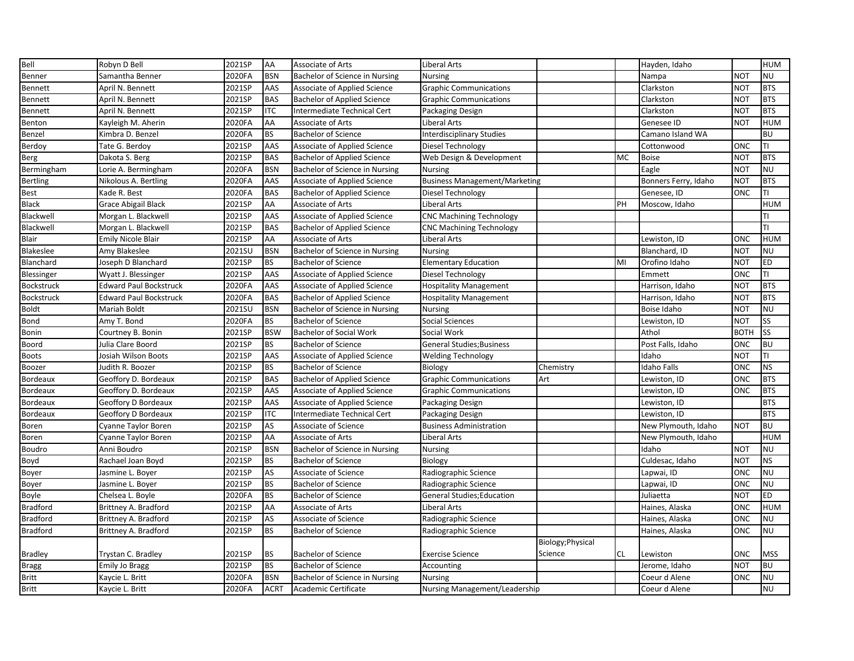| Bell              | Robyn D Bell                  | 2021SP | AA          | <b>Associate of Arts</b>            | <b>Liberal Arts</b>                  |                   |           | Hayden, Idaho        |             | <b>HUM</b> |
|-------------------|-------------------------------|--------|-------------|-------------------------------------|--------------------------------------|-------------------|-----------|----------------------|-------------|------------|
| Benner            | Samantha Benner               | 2020FA | <b>BSN</b>  | Bachelor of Science in Nursing      | <b>Nursing</b>                       |                   |           | Nampa                | NOT         | <b>NU</b>  |
| Bennett           | April N. Bennett              | 2021SP | AAS         | Associate of Applied Science        | <b>Graphic Communications</b>        |                   |           | Clarkston            | <b>NOT</b>  | <b>BTS</b> |
| Bennett           | April N. Bennett              | 2021SP | <b>BAS</b>  | <b>Bachelor of Applied Science</b>  | <b>Graphic Communications</b>        |                   |           | Clarkston            | <b>NOT</b>  | <b>BTS</b> |
| <b>Bennett</b>    | April N. Bennett              | 2021SP | <b>ITC</b>  | Intermediate Technical Cert         | Packaging Design                     |                   |           | Clarkston            | <b>NOT</b>  | <b>BTS</b> |
| Benton            | Kayleigh M. Aherin            | 2020FA | AA          | Associate of Arts                   | Liberal Arts                         |                   |           | Genesee ID           | NOT         | <b>HUM</b> |
| Benzel            | Kimbra D. Benzel              | 2020FA | <b>BS</b>   | <b>Bachelor of Science</b>          | <b>Interdisciplinary Studies</b>     |                   |           | Camano Island WA     |             | <b>BU</b>  |
| Berdoy            | Tate G. Berdoy                | 2021SP | AAS         | Associate of Applied Science        | Diesel Technology                    |                   |           | Cottonwood           | ONC         | TI         |
| <b>Berg</b>       | Dakota S. Berg                | 2021SP | <b>BAS</b>  | <b>Bachelor of Applied Science</b>  | Web Design & Development             |                   | <b>MC</b> | <b>Boise</b>         | <b>NOT</b>  | <b>BTS</b> |
| Bermingham        | Lorie A. Bermingham           | 2020FA | <b>BSN</b>  | Bachelor of Science in Nursing      | <b>Nursing</b>                       |                   |           | Eagle                | <b>NOT</b>  | <b>NU</b>  |
| <b>Bertling</b>   | Nikolous A. Bertling          | 2020FA | AAS         | Associate of Applied Science        | <b>Business Management/Marketing</b> |                   |           | Bonners Ferry, Idaho | <b>NOT</b>  | <b>BTS</b> |
| <b>Best</b>       | Kade R. Best                  | 2020FA | <b>BAS</b>  | <b>Bachelor of Applied Science</b>  | Diesel Technology                    |                   |           | Genesee, ID          | ONC         | TI         |
| <b>Black</b>      | Grace Abigail Black           | 2021SP | AA          | Associate of Arts                   | <b>Liberal Arts</b>                  |                   | PH        | Moscow, Idaho        |             | <b>HUM</b> |
| Blackwell         | Morgan L. Blackwell           | 2021SP | AAS         | Associate of Applied Science        | <b>CNC Machining Technology</b>      |                   |           |                      |             | TI         |
| Blackwell         | Morgan L. Blackwell           | 2021SP | <b>BAS</b>  | <b>Bachelor of Applied Science</b>  | <b>CNC Machining Technology</b>      |                   |           |                      |             | TI         |
| Blair             | <b>Emily Nicole Blair</b>     | 2021SP | AA          | Associate of Arts                   | Liberal Arts                         |                   |           | Lewiston, ID         | ONC         | <b>HUM</b> |
| Blakeslee         | Amy Blakeslee                 | 2021SU | <b>BSN</b>  | Bachelor of Science in Nursing      | <b>Nursing</b>                       |                   |           | Blanchard, ID        | <b>NOT</b>  | <b>NU</b>  |
| Blanchard         | Joseph D Blanchard            | 2021SP | <b>BS</b>   | <b>Bachelor of Science</b>          | <b>Elementary Education</b>          |                   | MI        | Orofino Idaho        | <b>NOT</b>  | <b>ED</b>  |
| Blessinger        | Wyatt J. Blessinger           | 2021SP | AAS         | Associate of Applied Science        | Diesel Technology                    |                   |           | Emmett               | ONC         | TI         |
| Bockstruck        | <b>Edward Paul Bockstruck</b> | 2020FA | AAS         | Associate of Applied Science        | <b>Hospitality Management</b>        |                   |           | Harrison, Idaho      | <b>NOT</b>  | <b>BTS</b> |
| <b>Bockstruck</b> | <b>Edward Paul Bockstruck</b> | 2020FA | <b>BAS</b>  | <b>Bachelor of Applied Science</b>  | <b>Hospitality Management</b>        |                   |           | Harrison, Idaho      | <b>NOT</b>  | <b>BTS</b> |
| <b>Boldt</b>      | Mariah Boldt                  | 2021SU | <b>BSN</b>  | Bachelor of Science in Nursing      | <b>Nursing</b>                       |                   |           | Boise Idaho          | NOT         | <b>NU</b>  |
| Bond              | Amy T. Bond                   | 2020FA | <b>BS</b>   | <b>Bachelor of Science</b>          | Social Sciences                      |                   |           | Lewiston, ID         | <b>NOT</b>  | <b>SS</b>  |
| Bonin             | Courtney B. Bonin             | 2021SP | <b>BSW</b>  | Bachelor of Social Work             | Social Work                          |                   |           | Athol                | <b>BOTH</b> | <b>SS</b>  |
| <b>Boord</b>      | Julia Clare Boord             | 2021SP | <b>BS</b>   | <b>Bachelor of Science</b>          | <b>General Studies; Business</b>     |                   |           | Post Falls, Idaho    | ONC         | <b>BU</b>  |
| <b>Boots</b>      | Josiah Wilson Boots           | 2021SP | AAS         | Associate of Applied Science        | <b>Welding Technology</b>            |                   |           | Idaho                | <b>NOT</b>  | TI         |
| Boozer            | Judith R. Boozer              | 2021SP | <b>BS</b>   | <b>Bachelor of Science</b>          | Biology                              | Chemistry         |           | <b>Idaho Falls</b>   | ONC         | <b>NS</b>  |
| Bordeaux          | Geoffory D. Bordeaux          | 2021SP | <b>BAS</b>  | <b>Bachelor of Applied Science</b>  | <b>Graphic Communications</b>        | Art               |           | Lewiston, ID         | ONC         | <b>BTS</b> |
| <b>Bordeaux</b>   | Geoffory D. Bordeaux          | 2021SP | AAS         | <b>Associate of Applied Science</b> | <b>Graphic Communications</b>        |                   |           | Lewiston, ID         | ONC         | <b>BTS</b> |
| Bordeaux          | Geoffory D Bordeaux           | 2021SP | AAS         | <b>Associate of Applied Science</b> | Packaging Design                     |                   |           | Lewiston, ID         |             | <b>BTS</b> |
| Bordeaux          | Geoffory D Bordeaux           | 2021SP | <b>ITC</b>  | Intermediate Technical Cert         | Packaging Design                     |                   |           | Lewiston, ID         |             | <b>BTS</b> |
| Boren             | Cyanne Taylor Boren           | 2021SP | AS          | Associate of Science                | <b>Business Administration</b>       |                   |           | New Plymouth, Idaho  | <b>NOT</b>  | <b>BU</b>  |
| Boren             | Cyanne Taylor Boren           | 2021SP | AA          | Associate of Arts                   | <b>Liberal Arts</b>                  |                   |           | New Plymouth, Idaho  |             | HUM        |
| <b>Boudro</b>     | Anni Boudro                   | 2021SP | <b>BSN</b>  | Bachelor of Science in Nursing      | <b>Nursing</b>                       |                   |           | Idaho                | NOT         | <b>NU</b>  |
| Boyd              | Rachael Joan Boyd             | 2021SP | <b>BS</b>   | <b>Bachelor of Science</b>          | Biology                              |                   |           | Culdesac, Idaho      | <b>NOT</b>  | <b>NS</b>  |
| Boyer             | Jasmine L. Boyer              | 2021SP | AS          | Associate of Science                | Radiographic Science                 |                   |           | Lapwai, ID           | ONC         | <b>NU</b>  |
| Boyer             | Jasmine L. Boyer              | 2021SP | <b>BS</b>   | <b>Bachelor of Science</b>          | Radiographic Science                 |                   |           | Lapwai, ID           | ONC         | <b>NU</b>  |
| Boyle             | Chelsea L. Boyle              | 2020FA | <b>BS</b>   | <b>Bachelor of Science</b>          | <b>General Studies;Education</b>     |                   |           | Juliaetta            | <b>NOT</b>  | ED         |
| <b>Bradford</b>   | Brittney A. Bradford          | 2021SP | AA          | Associate of Arts                   | Liberal Arts                         |                   |           | Haines, Alaska       | ONC         | <b>HUM</b> |
| <b>Bradford</b>   | Brittney A. Bradford          | 2021SP | AS          | Associate of Science                | Radiographic Science                 |                   |           | Haines, Alaska       | ONC         | <b>NU</b>  |
| <b>Bradford</b>   | Brittney A. Bradford          | 2021SP | <b>BS</b>   | <b>Bachelor of Science</b>          | Radiographic Science                 |                   |           | Haines, Alaska       | ONC         | <b>NU</b>  |
|                   |                               |        |             |                                     |                                      | Biology; Physical |           |                      |             |            |
| <b>Bradley</b>    | Trystan C. Bradley            | 2021SP | <b>BS</b>   | <b>Bachelor of Science</b>          | <b>Exercise Science</b>              | Science           | <b>CL</b> | Lewiston             | ONC         | <b>MSS</b> |
| <b>Bragg</b>      | <b>Emily Jo Bragg</b>         | 2021SP | <b>BS</b>   | <b>Bachelor of Science</b>          | Accounting                           |                   |           | Jerome, Idaho        | <b>NOT</b>  | <b>BU</b>  |
| <b>Britt</b>      | Kaycie L. Britt               | 2020FA | <b>BSN</b>  | Bachelor of Science in Nursing      | <b>Nursing</b>                       |                   |           | Coeur d Alene        | ONC         | <b>NU</b>  |
| <b>Britt</b>      | Kaycie L. Britt               | 2020FA | <b>ACRT</b> | Academic Certificate                | <b>Nursing Management/Leadership</b> |                   |           | Coeur d Alene        |             | <b>NU</b>  |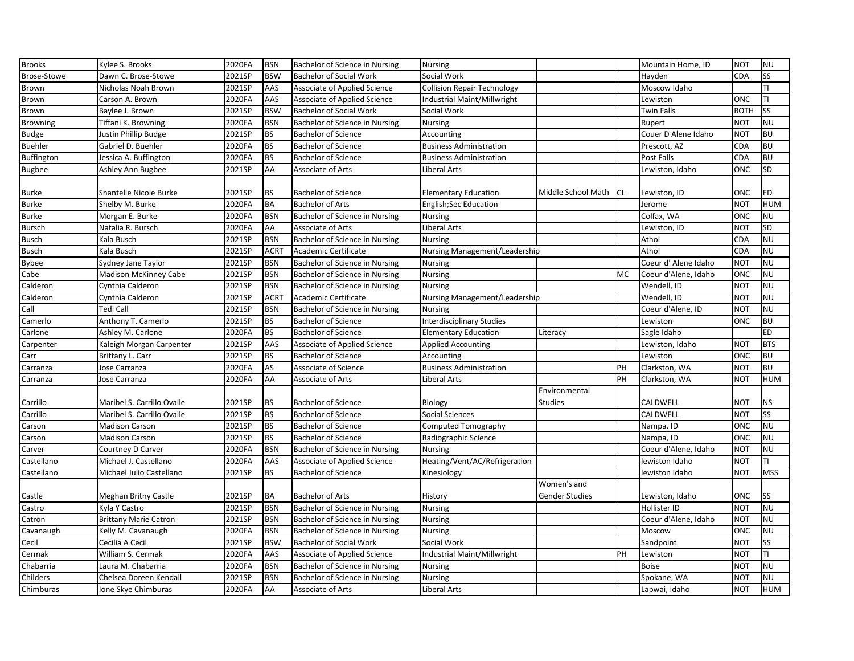| <b>Brooks</b>     | Kylee S. Brooks              | 2020FA | <b>BSN</b>  | Bachelor of Science in Nursing | <b>Nursing</b>                       |                                      |           | Mountain Home, ID    | <b>NOT</b>  | <b>NU</b>  |
|-------------------|------------------------------|--------|-------------|--------------------------------|--------------------------------------|--------------------------------------|-----------|----------------------|-------------|------------|
| Brose-Stowe       | Dawn C. Brose-Stowe          | 2021SP | <b>BSW</b>  | <b>Bachelor of Social Work</b> | Social Work                          |                                      |           | Hayden               | CDA         | <b>SS</b>  |
| Brown             | Nicholas Noah Brown          | 2021SP | AAS         | Associate of Applied Science   | <b>Collision Repair Technology</b>   |                                      |           | Moscow Idaho         |             | TI         |
| <b>Brown</b>      | Carson A. Brown              | 2020FA | AAS         | Associate of Applied Science   | Industrial Maint/Millwright          |                                      |           | Lewiston             | ONC         | TI         |
| <b>Brown</b>      | Baylee J. Brown              | 2021SP | <b>BSW</b>  | <b>Bachelor of Social Work</b> | Social Work                          |                                      |           | <b>Twin Falls</b>    | <b>BOTH</b> | <b>SS</b>  |
| <b>Browning</b>   | Tiffani K. Browning          | 2020FA | <b>BSN</b>  | Bachelor of Science in Nursing | Nursing                              |                                      |           | Rupert               | <b>NOT</b>  | <b>NU</b>  |
| <b>Budge</b>      | Justin Phillip Budge         | 2021SP | <b>BS</b>   | <b>Bachelor of Science</b>     | Accounting                           |                                      |           | Couer D Alene Idaho  | <b>NOT</b>  | <b>BU</b>  |
| <b>Buehler</b>    | Gabriel D. Buehler           | 2020FA | <b>BS</b>   | <b>Bachelor of Science</b>     | <b>Business Administration</b>       |                                      |           | Prescott, AZ         | CDA         | <b>BU</b>  |
| <b>Buffington</b> | Jessica A. Buffington        | 2020FA | <b>BS</b>   | <b>Bachelor of Science</b>     | <b>Business Administration</b>       |                                      |           | Post Falls           | <b>CDA</b>  | <b>BU</b>  |
| <b>Bugbee</b>     | Ashley Ann Bugbee            | 2021SP | AA          | Associate of Arts              | Liberal Arts                         |                                      |           | Lewiston, Idaho      | ONC         | SD         |
| <b>Burke</b>      | Shantelle Nicole Burke       | 2021SP | <b>BS</b>   | <b>Bachelor of Science</b>     | <b>Elementary Education</b>          | Middle School Math                   | <b>CL</b> | Lewiston, ID         | ONC         | <b>ED</b>  |
| <b>Burke</b>      | Shelby M. Burke              | 2020FA | <b>BA</b>   | <b>Bachelor of Arts</b>        | <b>English;Sec Education</b>         |                                      |           | Jerome               | <b>NOT</b>  | <b>HUM</b> |
| <b>Burke</b>      | Morgan E. Burke              | 2020FA | <b>BSN</b>  | Bachelor of Science in Nursing | <b>Nursing</b>                       |                                      |           | Colfax, WA           | ONC         | <b>NU</b>  |
| <b>Bursch</b>     | Natalia R. Bursch            | 2020FA | AA          | Associate of Arts              | <b>Liberal Arts</b>                  |                                      |           | Lewiston, ID         | <b>NOT</b>  | <b>SD</b>  |
| <b>Busch</b>      | Kala Busch                   | 2021SP | <b>BSN</b>  | Bachelor of Science in Nursing | <b>Nursing</b>                       |                                      |           | Athol                | CDA         | <b>NU</b>  |
| <b>Busch</b>      | Kala Busch                   | 2021SP | <b>ACRT</b> | <b>Academic Certificate</b>    | Nursing Management/Leadership        |                                      |           | Athol                | CDA         | <b>NU</b>  |
| <b>Bybee</b>      | Sydney Jane Taylor           | 2021SP | <b>BSN</b>  | Bachelor of Science in Nursing | <b>Nursing</b>                       |                                      |           | Coeur d' Alene Idaho | <b>NOT</b>  | <b>NU</b>  |
| Cabe              | Madison McKinney Cabe        | 2021SP | <b>BSN</b>  | Bachelor of Science in Nursing | <b>Nursing</b>                       |                                      | MC        | Coeur d'Alene, Idaho | ONC         | <b>NU</b>  |
| Calderon          | Cynthia Calderon             | 2021SP | <b>BSN</b>  | Bachelor of Science in Nursing | <b>Nursing</b>                       |                                      |           | Wendell, ID          | <b>NOT</b>  | <b>NU</b>  |
| Calderon          | Cynthia Calderon             | 2021SP | <b>ACRT</b> | Academic Certificate           | <b>Nursing Management/Leadership</b> |                                      |           | Wendell. ID          | <b>NOT</b>  | <b>NU</b>  |
| Call              | Tedi Call                    | 2021SP | <b>BSN</b>  | Bachelor of Science in Nursing | <b>Nursing</b>                       |                                      |           | Coeur d'Alene, ID    | <b>NOT</b>  | <b>NU</b>  |
| Camerlo           | Anthony T. Camerlo           | 2021SP | <b>BS</b>   | <b>Bachelor of Science</b>     | <b>Interdisciplinary Studies</b>     |                                      |           | Lewiston             | ONC         | <b>BU</b>  |
| Carlone           | Ashley M. Carlone            | 2020FA | <b>BS</b>   | <b>Bachelor of Science</b>     | <b>Elementary Education</b>          | Literacy                             |           | Sagle Idaho          |             | <b>ED</b>  |
| Carpenter         | Kaleigh Morgan Carpenter     | 2021SP | AAS         | Associate of Applied Science   | <b>Applied Accounting</b>            |                                      |           | Lewiston, Idaho      | <b>NOT</b>  | <b>BTS</b> |
| Carr              | Brittany L. Carr             | 2021SP | <b>BS</b>   | <b>Bachelor of Science</b>     | Accounting                           |                                      |           | Lewiston             | ONC         | <b>BU</b>  |
| Carranza          | Jose Carranza                | 2020FA | AS          | Associate of Science           | <b>Business Administration</b>       |                                      | PH        | Clarkston, WA        | <b>NOT</b>  | <b>BU</b>  |
| Carranza          | Jose Carranza                | 2020FA | AA          | Associate of Arts              | Liberal Arts                         |                                      | PH        | Clarkston, WA        | <b>NOT</b>  | <b>HUM</b> |
| Carrillo          | Maribel S. Carrillo Ovalle   | 2021SP | <b>BS</b>   | <b>Bachelor of Science</b>     | Biology                              | Environmental<br><b>Studies</b>      |           | CALDWELL             | NOT         | <b>NS</b>  |
| Carrillo          | Maribel S. Carrillo Ovalle   | 2021SP | <b>BS</b>   | <b>Bachelor of Science</b>     | <b>Social Sciences</b>               |                                      |           | CALDWELL             | <b>NOT</b>  | <b>SS</b>  |
| Carson            | <b>Madison Carson</b>        | 2021SP | <b>BS</b>   | <b>Bachelor of Science</b>     | <b>Computed Tomography</b>           |                                      |           | Nampa, ID            | ONC         | <b>NU</b>  |
| Carson            | <b>Madison Carson</b>        | 2021SP | <b>BS</b>   | <b>Bachelor of Science</b>     | Radiographic Science                 |                                      |           | Nampa, ID            | ONC         | <b>NU</b>  |
| Carver            | Courtney D Carver            | 2020FA | <b>BSN</b>  | Bachelor of Science in Nursing | <b>Nursing</b>                       |                                      |           | Coeur d'Alene, Idaho | <b>NOT</b>  | <b>NU</b>  |
| Castellano        | Michael J. Castellano        | 2020FA | AAS         | Associate of Applied Science   | Heating/Vent/AC/Refrigeration        |                                      |           | lewiston Idaho       | <b>NOT</b>  | ΤI         |
| Castellano        | Michael Julio Castellano     | 2021SP | <b>BS</b>   | <b>Bachelor of Science</b>     | Kinesiology                          |                                      |           | lewiston Idaho       | <b>NOT</b>  | <b>MSS</b> |
| Castle            | Meghan Britny Castle         | 2021SP | <b>BA</b>   | <b>Bachelor of Arts</b>        | History                              | Women's and<br><b>Gender Studies</b> |           | Lewiston, Idaho      | ONC         | <b>SS</b>  |
| Castro            | Kyla Y Castro                | 2021SP | <b>BSN</b>  | Bachelor of Science in Nursing | Nursing                              |                                      |           | Hollister ID         | <b>NOT</b>  | <b>NU</b>  |
| Catron            | <b>Brittany Marie Catron</b> | 2021SP | <b>BSN</b>  | Bachelor of Science in Nursing | <b>Nursing</b>                       |                                      |           | Coeur d'Alene, Idaho | <b>NOT</b>  | <b>NU</b>  |
| Cavanaugh         | Kelly M. Cavanaugh           | 2020FA | <b>BSN</b>  | Bachelor of Science in Nursing | <b>Nursing</b>                       |                                      |           | Moscow               | ONC         | <b>NU</b>  |
| Cecil             | Cecilia A Cecil              | 2021SP | <b>BSW</b>  | <b>Bachelor of Social Work</b> | Social Work                          |                                      |           | Sandpoint            | NOT         | SS         |
| Cermak            | William S. Cermak            | 2020FA | AAS         | Associate of Applied Science   | Industrial Maint/Millwright          |                                      | PH        | Lewiston             | <b>NOT</b>  | TI         |
| Chabarria         | Laura M. Chabarria           | 2020FA | <b>BSN</b>  | Bachelor of Science in Nursing | <b>Nursing</b>                       |                                      |           | <b>Boise</b>         | <b>NOT</b>  | <b>NU</b>  |
| Childers          | Chelsea Doreen Kendall       | 2021SP | <b>BSN</b>  | Bachelor of Science in Nursing | <b>Nursing</b>                       |                                      |           | Spokane, WA          | <b>NOT</b>  | <b>NU</b>  |
| Chimburas         | Ione Skye Chimburas          | 2020FA | AA          | Associate of Arts              | <b>Liberal Arts</b>                  |                                      |           | Lapwai, Idaho        | <b>NOT</b>  | <b>HUM</b> |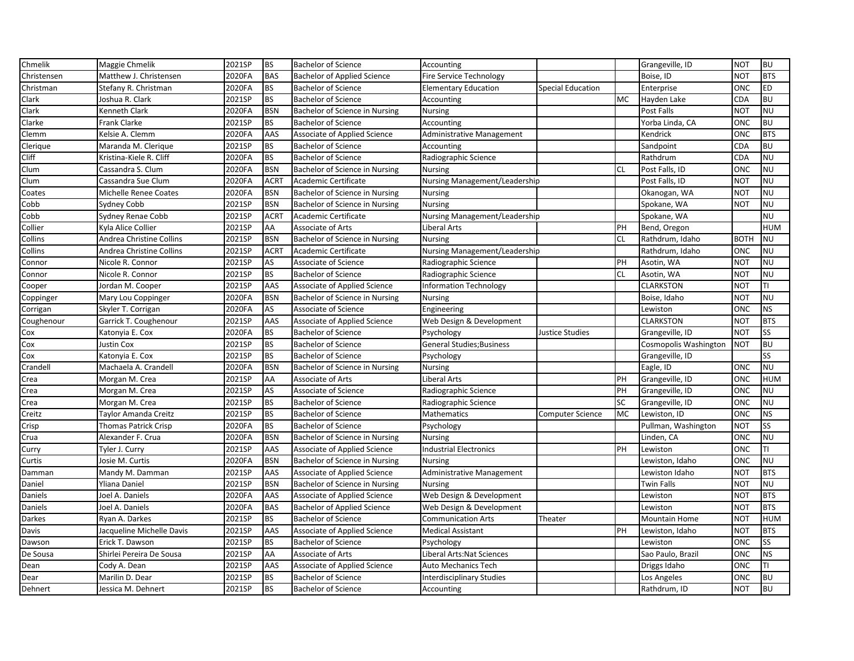| Chmelik     | Maggie Chmelik               | 2021SP | <b>BS</b>   | <b>Bachelor of Science</b>          | Accounting                       |                          |           | Grangeville, ID       | <b>NOT</b>  | <b>BU</b>  |
|-------------|------------------------------|--------|-------------|-------------------------------------|----------------------------------|--------------------------|-----------|-----------------------|-------------|------------|
| Christensen | Matthew J. Christensen       | 2020FA | <b>BAS</b>  | <b>Bachelor of Applied Science</b>  | Fire Service Technology          |                          |           | Boise, ID             | <b>NOT</b>  | <b>BTS</b> |
| Christman   | Stefany R. Christman         | 2020FA | <b>BS</b>   | <b>Bachelor of Science</b>          | <b>Elementary Education</b>      | <b>Special Education</b> |           | Enterprise            | ONC         | <b>ED</b>  |
| Clark       | Joshua R. Clark              | 2021SP | <b>BS</b>   | <b>Bachelor of Science</b>          | Accounting                       |                          | MC        | Hayden Lake           | CDA         | <b>BU</b>  |
| Clark       | Kenneth Clark                | 2020FA | <b>BSN</b>  | Bachelor of Science in Nursing      | <b>Nursing</b>                   |                          |           | Post Falls            | <b>NOT</b>  | <b>NU</b>  |
| Clarke      | Frank Clarke                 | 2021SP | <b>BS</b>   | <b>Bachelor of Science</b>          | Accounting                       |                          |           | Yorba Linda, CA       | ONC         | <b>BU</b>  |
| Clemm       | Kelsie A. Clemm              | 2020FA | AAS         | Associate of Applied Science        | <b>Administrative Management</b> |                          |           | Kendrick              | ONC         | <b>BTS</b> |
| Clerique    | Maranda M. Clerique          | 2021SP | <b>BS</b>   | <b>Bachelor of Science</b>          | Accounting                       |                          |           | Sandpoint             | CDA         | <b>BU</b>  |
| Cliff       | Kristina-Kiele R. Cliff      | 2020FA | <b>BS</b>   | <b>Bachelor of Science</b>          | Radiographic Science             |                          |           | Rathdrum              | CDA         | <b>NU</b>  |
| Clum        | Cassandra S. Clum            | 2020FA | <b>BSN</b>  | Bachelor of Science in Nursing      | <b>Nursing</b>                   |                          | CL.       | Post Falls, ID        | ONC         | <b>NU</b>  |
| Clum        | Cassandra Sue Clum           | 2020FA | <b>ACRT</b> | Academic Certificate                | Nursing Management/Leadership    |                          |           | Post Falls, ID        | <b>NOT</b>  | <b>NU</b>  |
| Coates      | <b>Michelle Renee Coates</b> | 2020FA | <b>BSN</b>  | Bachelor of Science in Nursing      | <b>Nursing</b>                   |                          |           | Okanogan, WA          | <b>NOT</b>  | <b>NU</b>  |
| Cobb        | Sydney Cobb                  | 2021SP | <b>BSN</b>  | Bachelor of Science in Nursing      | <b>Nursing</b>                   |                          |           | Spokane, WA           | <b>NOT</b>  | <b>NU</b>  |
| Cobb        | Sydney Renae Cobb            | 2021SP | <b>ACRT</b> | Academic Certificate                | Nursing Management/Leadership    |                          |           | Spokane, WA           |             | <b>NU</b>  |
| Collier     | Kyla Alice Collier           | 2021SP | AA          | Associate of Arts                   | Liberal Arts                     |                          | PH        | Bend, Oregon          |             | <b>HUM</b> |
| Collins     | Andrea Christine Collins     | 2021SP | <b>BSN</b>  | Bachelor of Science in Nursing      | <b>Nursing</b>                   |                          | <b>CL</b> | Rathdrum, Idaho       | <b>BOTH</b> | <b>NU</b>  |
| Collins     | Andrea Christine Collins     | 2021SP | <b>ACRT</b> | Academic Certificate                | Nursing Management/Leadership    |                          |           | Rathdrum, Idaho       | ONC         | <b>NU</b>  |
| Connor      | Nicole R. Connor             | 2021SP | AS          | <b>Associate of Science</b>         | Radiographic Science             |                          | PH        | Asotin, WA            | <b>NOT</b>  | <b>NU</b>  |
| Connor      | Nicole R. Connor             | 2021SP | <b>BS</b>   | <b>Bachelor of Science</b>          | Radiographic Science             |                          | <b>CL</b> | Asotin, WA            | <b>NOT</b>  | <b>NU</b>  |
| Cooper      | Jordan M. Cooper             | 2021SP | AAS         | Associate of Applied Science        | <b>Information Technology</b>    |                          |           | <b>CLARKSTON</b>      | <b>NOT</b>  | TI         |
| Coppinger   | Mary Lou Coppinger           | 2020FA | <b>BSN</b>  | Bachelor of Science in Nursing      | <b>Nursing</b>                   |                          |           | Boise, Idaho          | <b>NOT</b>  | <b>NU</b>  |
| Corrigan    | Skyler T. Corrigan           | 2020FA | AS          | Associate of Science                | Engineering                      |                          |           | Lewiston              | ONC         | <b>NS</b>  |
| Coughenour  | Garrick T. Coughenour        | 2021SP | AAS         | Associate of Applied Science        | Web Design & Development         |                          |           | <b>CLARKSTON</b>      | <b>NOT</b>  | <b>BTS</b> |
| Cox         | Katonyia E. Cox              | 2020FA | <b>BS</b>   | <b>Bachelor of Science</b>          | Psychology                       | Justice Studies          |           | Grangeville, ID       | <b>NOT</b>  | <b>SS</b>  |
| Cox         | Justin Cox                   | 2021SP | <b>BS</b>   | <b>Bachelor of Science</b>          | <b>General Studies; Business</b> |                          |           | Cosmopolis Washington | <b>NOT</b>  | <b>BU</b>  |
| Cox         | Katonyia E. Cox              | 2021SP | <b>BS</b>   | <b>Bachelor of Science</b>          | Psychology                       |                          |           | Grangeville, ID       |             | SS         |
| Crandell    | Machaela A. Crandell         | 2020FA | <b>BSN</b>  | Bachelor of Science in Nursing      | <b>Nursing</b>                   |                          |           | Eagle, ID             | ONC         | <b>NU</b>  |
| Crea        | Morgan M. Crea               | 2021SP | AA          | Associate of Arts                   | Liberal Arts                     |                          | PH        | Grangeville, ID       | ONC         | <b>HUM</b> |
| Crea        | Morgan M. Crea               | 2021SP | AS          | Associate of Science                | Radiographic Science             |                          | PH        | Grangeville, ID       | ONC         | <b>NU</b>  |
| Crea        | Morgan M. Crea               | 2021SP | <b>BS</b>   | <b>Bachelor of Science</b>          | Radiographic Science             |                          | SC        | Grangeville, ID       | <b>ONC</b>  | <b>NU</b>  |
| Creitz      | Taylor Amanda Creitz         | 2021SP | <b>BS</b>   | <b>Bachelor of Science</b>          | Mathematics                      | Computer Science         | <b>MC</b> | Lewiston, ID          | <b>ONC</b>  | <b>NS</b>  |
| Crisp       | <b>Thomas Patrick Crisp</b>  | 2020FA | <b>BS</b>   | <b>Bachelor of Science</b>          | Psychology                       |                          |           | Pullman, Washington   | <b>NOT</b>  | <b>SS</b>  |
| Crua        | Alexander F. Crua            | 2020FA | <b>BSN</b>  | Bachelor of Science in Nursing      | <b>Nursing</b>                   |                          |           | Linden, CA            | <b>ONC</b>  | <b>NU</b>  |
| Curry       | Tyler J. Curry               | 2021SP | AAS         | Associate of Applied Science        | <b>Industrial Electronics</b>    |                          | PH        | Lewiston              | ONC         | TI         |
| Curtis      | Josie M. Curtis              | 2020FA | <b>BSN</b>  | Bachelor of Science in Nursing      | <b>Nursing</b>                   |                          |           | Lewiston, Idaho       | ONC         | <b>NU</b>  |
| Damman      | Mandy M. Damman              | 2021SP | AAS         | Associate of Applied Science        | <b>Administrative Management</b> |                          |           | Lewiston Idaho        | <b>NOT</b>  | <b>BTS</b> |
| Daniel      | Yliana Daniel                | 2021SP | <b>BSN</b>  | Bachelor of Science in Nursing      | <b>Nursing</b>                   |                          |           | Twin Falls            | <b>NOT</b>  | <b>NU</b>  |
| Daniels     | Joel A. Daniels              | 2020FA | AAS         | <b>Associate of Applied Science</b> | Web Design & Development         |                          |           | Lewiston              | <b>NOT</b>  | <b>BTS</b> |
| Daniels     | Joel A. Daniels              | 2020FA | <b>BAS</b>  | <b>Bachelor of Applied Science</b>  | Web Design & Development         |                          |           | Lewiston              | <b>NOT</b>  | <b>BTS</b> |
| Darkes      | Ryan A. Darkes               | 2021SP | <b>BS</b>   | <b>Bachelor of Science</b>          | <b>Communication Arts</b>        | Theater                  |           | Mountain Home         | <b>NOT</b>  | <b>HUM</b> |
| Davis       | Jacqueline Michelle Davis    | 2021SP | AAS         | Associate of Applied Science        | <b>Medical Assistant</b>         |                          | PH        | Lewiston, Idaho       | <b>NOT</b>  | <b>BTS</b> |
| Dawson      | Erick T. Dawson              | 2021SP | <b>BS</b>   | <b>Bachelor of Science</b>          | Psychology                       |                          |           | Lewiston              | ONC         | SS         |
| De Sousa    | Shirlei Pereira De Sousa     | 2021SP | AA          | Associate of Arts                   | Liberal Arts: Nat Sciences       |                          |           | Sao Paulo, Brazil     | ONC         | <b>NS</b>  |
| Dean        | Cody A. Dean                 | 2021SP | AAS         | Associate of Applied Science        | Auto Mechanics Tech              |                          |           | Driggs Idaho          | ONC         | TI         |
| Dear        | Marilin D. Dear              | 2021SP | <b>BS</b>   | <b>Bachelor of Science</b>          | <b>Interdisciplinary Studies</b> |                          |           | Los Angeles           | ONC         | <b>BU</b>  |
| Dehnert     | Jessica M. Dehnert           | 2021SP | <b>BS</b>   | <b>Bachelor of Science</b>          | Accounting                       |                          |           | Rathdrum, ID          | <b>NOT</b>  | <b>BU</b>  |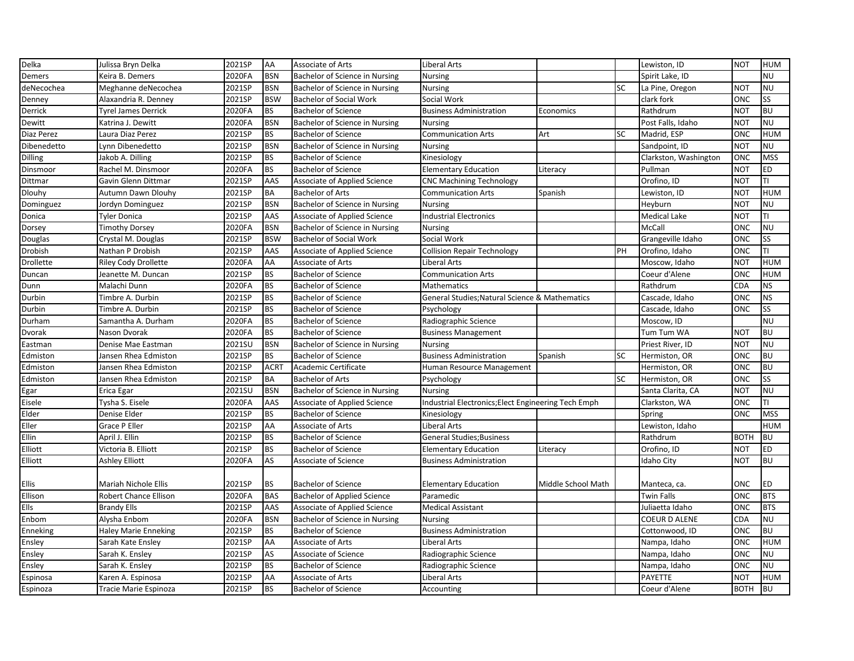| Delka            | Julissa Bryn Delka          | 2021SP | AA          | <b>Associate of Arts</b>            | <b>Liberal Arts</b>                                 |                    |           | Lewiston, ID          | <b>NOT</b>  | <b>HUM</b> |
|------------------|-----------------------------|--------|-------------|-------------------------------------|-----------------------------------------------------|--------------------|-----------|-----------------------|-------------|------------|
| Demers           | Keira B. Demers             | 2020FA | <b>BSN</b>  | Bachelor of Science in Nursing      | <b>Nursing</b>                                      |                    |           | Spirit Lake, ID       |             | <b>NU</b>  |
| deNecochea       | Meghanne deNecochea         | 2021SP | <b>BSN</b>  | Bachelor of Science in Nursing      | <b>Nursing</b>                                      |                    | SC        | La Pine, Oregon       | <b>NOT</b>  | <b>NU</b>  |
| Denney           | Alaxandria R. Denney        | 2021SP | <b>BSW</b>  | <b>Bachelor of Social Work</b>      | Social Work                                         |                    |           | clark fork            | ONC         | <b>SS</b>  |
| Derrick          | Tyrel James Derrick         | 2020FA | <b>BS</b>   | <b>Bachelor of Science</b>          | <b>Business Administration</b>                      | Economics          |           | Rathdrum              | <b>NOT</b>  | <b>BU</b>  |
| Dewitt           | Katrina J. Dewitt           | 2020FA | <b>BSN</b>  | Bachelor of Science in Nursing      | Nursing                                             |                    |           | Post Falls, Idaho     | <b>NOT</b>  | <b>NU</b>  |
| Diaz Perez       | Laura Diaz Perez            | 2021SP | <b>BS</b>   | <b>Bachelor of Science</b>          | <b>Communication Arts</b>                           | Art                | <b>SC</b> | Madrid, ESP           | ONC         | <b>HUM</b> |
| Dibenedetto      | Lynn Dibenedetto            | 2021SP | <b>BSN</b>  | Bachelor of Science in Nursing      | <b>Nursing</b>                                      |                    |           | Sandpoint, ID         | <b>NOT</b>  | <b>NU</b>  |
| <b>Dilling</b>   | Jakob A. Dilling            | 2021SP | <b>BS</b>   | <b>Bachelor of Science</b>          | Kinesiology                                         |                    |           | Clarkston, Washington | ONC         | <b>MSS</b> |
| Dinsmoor         | Rachel M. Dinsmoor          | 2020FA | <b>BS</b>   | <b>Bachelor of Science</b>          | <b>Elementary Education</b>                         | Literacy           |           | Pullman               | <b>NOT</b>  | ED         |
| Dittmar          | Gavin Glenn Dittmar         | 2021SP | AAS         | Associate of Applied Science        | <b>CNC Machining Technology</b>                     |                    |           | Orofino, ID           | <b>NOT</b>  | TI         |
| <b>Dlouhy</b>    | Autumn Dawn Dlouhy          | 2021SP | <b>BA</b>   | <b>Bachelor of Arts</b>             | <b>Communication Arts</b>                           | Spanish            |           | Lewiston, ID          | <b>NOT</b>  | <b>HUM</b> |
| Dominguez        | Jordyn Dominguez            | 2021SP | <b>BSN</b>  | Bachelor of Science in Nursing      | <b>Nursing</b>                                      |                    |           | Heyburn               | <b>NOT</b>  | <b>NU</b>  |
| Donica           | Tyler Donica                | 2021SP | AAS         | Associate of Applied Science        | <b>Industrial Electronics</b>                       |                    |           | Medical Lake          | NOT         | TI         |
| Dorsey           | <b>Timothy Dorsey</b>       | 2020FA | <b>BSN</b>  | Bachelor of Science in Nursing      | <b>Nursing</b>                                      |                    |           | McCall                | ONC         | <b>NU</b>  |
| Douglas          | Crystal M. Douglas          | 2021SP | <b>BSW</b>  | Bachelor of Social Work             | Social Work                                         |                    |           | Grangeville Idaho     | ONC         | SS         |
| Drobish          | Nathan P Drobish            | 2021SP | AAS         | <b>Associate of Applied Science</b> | <b>Collision Repair Technology</b>                  |                    | PH        | Orofino, Idaho        | ONC         | TI         |
| <b>Drollette</b> | <b>Riley Cody Drollette</b> | 2020FA | AA          | Associate of Arts                   | Liberal Arts                                        |                    |           | Moscow, Idaho         | <b>NOT</b>  | <b>HUM</b> |
| Duncan           | Jeanette M. Duncan          | 2021SP | <b>BS</b>   | <b>Bachelor of Science</b>          | <b>Communication Arts</b>                           |                    |           | Coeur d'Alene         | ONC         | <b>HUM</b> |
| Dunn             | Malachi Dunn                | 2020FA | <b>BS</b>   | <b>Bachelor of Science</b>          | Mathematics                                         |                    |           | Rathdrum              | CDA         | <b>NS</b>  |
| Durbin           | Timbre A. Durbin            | 2021SP | <b>BS</b>   | <b>Bachelor of Science</b>          | General Studies; Natural Science & Mathematics      |                    |           | Cascade, Idaho        | ONC         | <b>NS</b>  |
| Durbin           | Timbre A. Durbin            | 2021SP | <b>BS</b>   | <b>Bachelor of Science</b>          | Psychology                                          |                    |           | Cascade, Idaho        | ONC         | <b>SS</b>  |
| Durham           | Samantha A. Durham          | 2020FA | <b>BS</b>   | <b>Bachelor of Science</b>          | Radiographic Science                                |                    |           | Moscow, ID            |             | <b>NU</b>  |
| Dvorak           | Nason Dvorak                | 2020FA | <b>BS</b>   | <b>Bachelor of Science</b>          | <b>Business Management</b>                          |                    |           | Tum Tum WA            | <b>NOT</b>  | <b>BU</b>  |
| Eastman          | Denise Mae Eastman          | 2021SU | <b>BSN</b>  | Bachelor of Science in Nursing      | <b>Nursing</b>                                      |                    |           | Priest River, ID      | <b>NOT</b>  | <b>NU</b>  |
| Edmiston         | Jansen Rhea Edmiston        | 2021SP | <b>BS</b>   | <b>Bachelor of Science</b>          | <b>Business Administration</b>                      | Spanish            | SC        | Hermiston, OR         | ONC         | <b>BU</b>  |
| Edmiston         | Jansen Rhea Edmiston        | 2021SP | <b>ACRT</b> | Academic Certificate                | Human Resource Management                           |                    |           | Hermiston, OR         | ONC         | <b>BU</b>  |
| Edmiston         | Jansen Rhea Edmiston        | 2021SP | <b>BA</b>   | <b>Bachelor of Arts</b>             | Psychology                                          |                    | <b>SC</b> | Hermiston, OR         | ONC         | SS         |
| Egar             | Erica Egar                  | 2021SU | <b>BSN</b>  | Bachelor of Science in Nursing      | <b>Nursing</b>                                      |                    |           | Santa Clarita, CA     | <b>NOT</b>  | <b>NU</b>  |
| Eisele           | Tysha S. Eisele             | 2020FA | AAS         | Associate of Applied Science        | Industrial Electronics; Elect Engineering Tech Emph |                    |           | Clarkston, WA         | ONC         | TI         |
| Elder            | Denise Elder                | 2021SP | <b>BS</b>   | <b>Bachelor of Science</b>          | Kinesiology                                         |                    |           | Spring                | ONC         | <b>MSS</b> |
| Eller            | Grace P Eller               | 2021SP | AA          | Associate of Arts                   | Liberal Arts                                        |                    |           | Lewiston, Idaho       |             | <b>HUM</b> |
| Ellin            | April J. Ellin              | 2021SP | <b>BS</b>   | <b>Bachelor of Science</b>          | <b>General Studies; Business</b>                    |                    |           | Rathdrum              | <b>BOTH</b> | <b>BU</b>  |
| Elliott          | Victoria B. Elliott         | 2021SP | <b>BS</b>   | <b>Bachelor of Science</b>          | <b>Elementary Education</b>                         | Literacy           |           | Orofino, ID           | <b>NOT</b>  | <b>ED</b>  |
| Elliott          | Ashley Elliott              | 2020FA | AS          | Associate of Science                | <b>Business Administration</b>                      |                    |           | Idaho City            | <b>NOT</b>  | <b>BU</b>  |
| Ellis            | Mariah Nichole Ellis        | 2021SP | <b>BS</b>   | <b>Bachelor of Science</b>          | <b>Elementary Education</b>                         | Middle School Math |           | Manteca, ca.          | ONC         | <b>ED</b>  |
| Ellison          | Robert Chance Ellison       | 2020FA | <b>BAS</b>  | <b>Bachelor of Applied Science</b>  | Paramedic                                           |                    |           | Twin Falls            | ONC         | <b>BTS</b> |
| Ells             | <b>Brandy Ells</b>          | 2021SP | AAS         | Associate of Applied Science        | <b>Medical Assistant</b>                            |                    |           | Juliaetta Idaho       | ONC         | <b>BTS</b> |
| Enbom            | Alysha Enbom                | 2020FA | <b>BSN</b>  | Bachelor of Science in Nursing      | <b>Nursing</b>                                      |                    |           | <b>COEUR D ALENE</b>  | CDA         | <b>NU</b>  |
| Enneking         | <b>Haley Marie Enneking</b> | 2021SP | <b>BS</b>   | <b>Bachelor of Science</b>          | <b>Business Administration</b>                      |                    |           | Cottonwood, ID        | ONC         | <b>BU</b>  |
| Ensley           | Sarah Kate Ensley           | 2021SP | AA          | Associate of Arts                   | Liberal Arts                                        |                    |           | Nampa, Idaho          | ONC         | <b>HUM</b> |
| Ensley           | Sarah K. Ensley             | 2021SP | AS          | Associate of Science                | Radiographic Science                                |                    |           | Nampa, Idaho          | ONC         | <b>NU</b>  |
| Ensley           | Sarah K. Ensley             | 2021SP | <b>BS</b>   | <b>Bachelor of Science</b>          |                                                     |                    |           |                       | ONC         | <b>NU</b>  |
|                  |                             | 2021SP |             |                                     | Radiographic Science                                |                    |           | Nampa, Idaho          |             | <b>HUM</b> |
| Espinosa         | Karen A. Espinosa           |        | AA          | Associate of Arts                   | Liberal Arts                                        |                    |           | PAYETTE               | <b>NOT</b>  |            |
| Espinoza         | Tracie Marie Espinoza       | 2021SP | <b>BS</b>   | <b>Bachelor of Science</b>          | Accounting                                          |                    |           | Coeur d'Alene         | <b>BOTH</b> | <b>BU</b>  |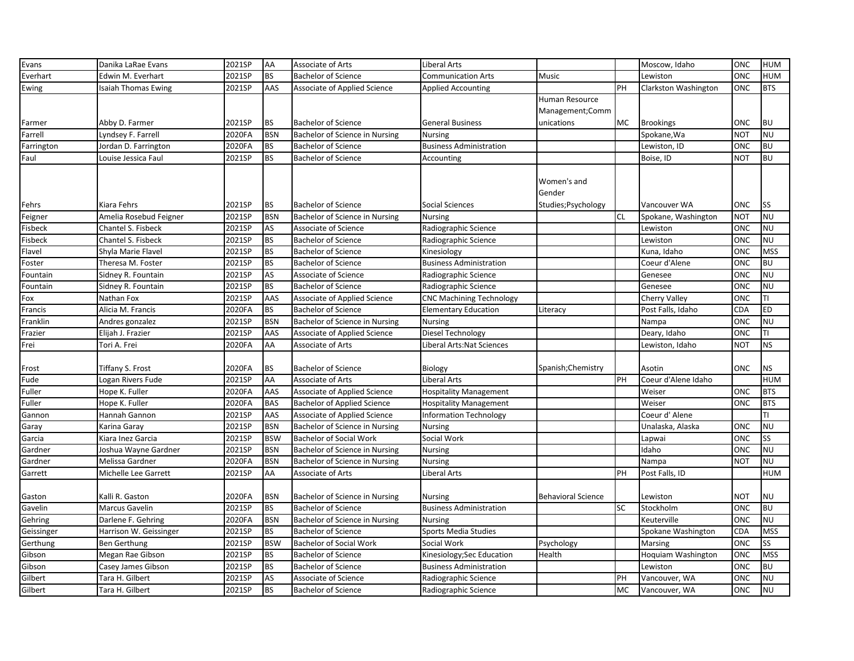| Evans      | Danika LaRae Evans     | 2021SP | AA         | Associate of Arts                  | <b>Liberal Arts</b>             |                           |           | Moscow, Idaho        | ONC        | <b>HUM</b> |
|------------|------------------------|--------|------------|------------------------------------|---------------------------------|---------------------------|-----------|----------------------|------------|------------|
| Everhart   | Edwin M. Everhart      | 2021SP | <b>BS</b>  | <b>Bachelor of Science</b>         | <b>Communication Arts</b>       | Music                     |           | Lewiston             | ONC        | <b>HUM</b> |
| Ewing      | Isaiah Thomas Ewing    | 2021SP | AAS        | Associate of Applied Science       | <b>Applied Accounting</b>       |                           | PH        | Clarkston Washington | ONC        | <b>BTS</b> |
|            |                        |        |            |                                    |                                 | Human Resource            |           |                      |            |            |
|            |                        |        |            |                                    |                                 | Management;Comm           |           |                      |            |            |
| Farmer     | Abby D. Farmer         | 2021SP | <b>BS</b>  | <b>Bachelor of Science</b>         | <b>General Business</b>         | unications                | MC        | <b>Brookings</b>     | ONC        | <b>BU</b>  |
| Farrell    | Lyndsey F. Farrell     | 2020FA | <b>BSN</b> | Bachelor of Science in Nursing     | <b>Nursing</b>                  |                           |           | Spokane, Wa          | <b>NOT</b> | <b>NU</b>  |
| Farrington | Jordan D. Farrington   | 2020FA | <b>BS</b>  | <b>Bachelor of Science</b>         | <b>Business Administration</b>  |                           |           | Lewiston, ID         | ONC        | <b>BU</b>  |
| Faul       | Louise Jessica Faul    | 2021SP | <b>BS</b>  | <b>Bachelor of Science</b>         | Accounting                      |                           |           | Boise, ID            | <b>NOT</b> | <b>BU</b>  |
|            |                        |        |            |                                    |                                 |                           |           |                      |            |            |
|            |                        |        |            |                                    |                                 | Women's and               |           |                      |            |            |
|            |                        |        |            |                                    |                                 | Gender                    |           |                      |            |            |
| Fehrs      | Kiara Fehrs            | 2021SP | <b>BS</b>  | <b>Bachelor of Science</b>         | Social Sciences                 | Studies; Psychology       |           | Vancouver WA         | ONC        | <b>SS</b>  |
| Feigner    | Amelia Rosebud Feigner | 2021SP | <b>BSN</b> | Bachelor of Science in Nursing     | <b>Nursing</b>                  |                           | <b>CL</b> | Spokane, Washington  | NOT        | <b>NU</b>  |
| Fisbeck    | Chantel S. Fisbeck     | 2021SP | AS         | Associate of Science               | Radiographic Science            |                           |           | Lewiston             | ONC        | <b>NU</b>  |
| Fisbeck    | Chantel S. Fisbeck     | 2021SP | <b>BS</b>  | <b>Bachelor of Science</b>         | Radiographic Science            |                           |           | Lewiston             | ONC        | <b>NU</b>  |
| Flavel     | Shyla Marie Flavel     | 2021SP | <b>BS</b>  | <b>Bachelor of Science</b>         | Kinesiology                     |                           |           | Kuna, Idaho          | ONC        | <b>MSS</b> |
| Foster     | Theresa M. Foster      | 2021SP | <b>BS</b>  | <b>Bachelor of Science</b>         | <b>Business Administration</b>  |                           |           | Coeur d'Alene        | ONC        | <b>BU</b>  |
| Fountain   | Sidney R. Fountain     | 2021SP | AS         | Associate of Science               | Radiographic Science            |                           |           | Genesee              | ONC        | <b>NU</b>  |
| Fountain   | Sidney R. Fountain     | 2021SP | <b>BS</b>  | <b>Bachelor of Science</b>         | Radiographic Science            |                           |           | Genesee              | ONC        | <b>NU</b>  |
| Fox        | Nathan Fox             | 2021SP | AAS        | Associate of Applied Science       | <b>CNC Machining Technology</b> |                           |           | Cherry Valley        | ONC        | TI         |
| Francis    | Alicia M. Francis      | 2020FA | <b>BS</b>  | <b>Bachelor of Science</b>         | <b>Elementary Education</b>     | Literacy                  |           | Post Falls, Idaho    | CDA        | ED         |
| Franklin   | Andres gonzalez        | 2021SP | <b>BSN</b> | Bachelor of Science in Nursing     | <b>Nursing</b>                  |                           |           | Nampa                | ONC        | <b>NU</b>  |
| Frazier    | Elijah J. Frazier      | 2021SP | AAS        | Associate of Applied Science       | Diesel Technology               |                           |           | Deary, Idaho         | ONC        | TI         |
| Frei       | Tori A. Frei           | 2020FA | AA         | Associate of Arts                  | Liberal Arts:Nat Sciences       |                           |           | Lewiston, Idaho      | <b>NOT</b> | <b>NS</b>  |
|            |                        |        |            |                                    |                                 |                           |           |                      |            |            |
| Frost      | Tiffany S. Frost       | 2020FA | <b>BS</b>  | <b>Bachelor of Science</b>         | <b>Biology</b>                  | Spanish; Chemistry        |           | Asotin               | ONC        | <b>NS</b>  |
| Fude       | Logan Rivers Fude      | 2021SP | AA         | <b>Associate of Arts</b>           | <b>Liberal Arts</b>             |                           | PH        | Coeur d'Alene Idaho  |            | <b>HUM</b> |
| Fuller     | Hope K. Fuller         | 2020FA | AAS        | Associate of Applied Science       | <b>Hospitality Management</b>   |                           |           | Weiser               | ONC        | <b>BTS</b> |
| Fuller     | Hope K. Fuller         | 2020FA | <b>BAS</b> | <b>Bachelor of Applied Science</b> | <b>Hospitality Management</b>   |                           |           | Weiser               | ONC        | <b>BTS</b> |
| Gannon     | Hannah Gannon          | 2021SP | AAS        | Associate of Applied Science       | <b>Information Technology</b>   |                           |           | Coeur d'Alene        |            | TI         |
| Garay      | Karina Garay           | 2021SP | <b>BSN</b> | Bachelor of Science in Nursing     | <b>Nursing</b>                  |                           |           | Unalaska, Alaska     | ONC        | <b>NU</b>  |
| Garcia     | Kiara Inez Garcia      | 2021SP | <b>BSW</b> | <b>Bachelor of Social Work</b>     | Social Work                     |                           |           | Lapwai               | ONC        | SS         |
| Gardner    | Joshua Wayne Gardner   | 2021SP | <b>BSN</b> | Bachelor of Science in Nursing     | Nursing                         |                           |           | Idaho                | <b>ONC</b> | <b>NU</b>  |
| Gardner    | Melissa Gardner        | 2020FA | <b>BSN</b> | Bachelor of Science in Nursing     | <b>Nursing</b>                  |                           |           | Nampa                | <b>NOT</b> | <b>NU</b>  |
| Garrett    | Michelle Lee Garrett   | 2021SP | AA         | Associate of Arts                  | Liberal Arts                    |                           | PH        | Post Falls, ID       |            | <b>HUM</b> |
|            |                        |        |            |                                    |                                 |                           |           |                      |            |            |
| Gaston     | Kalli R. Gaston        | 2020FA | <b>BSN</b> | Bachelor of Science in Nursing     | <b>Nursing</b>                  | <b>Behavioral Science</b> |           | Lewiston             | NOT        | <b>NU</b>  |
| Gavelin    | Marcus Gavelin         | 2021SP | <b>BS</b>  | <b>Bachelor of Science</b>         | <b>Business Administration</b>  |                           | <b>SC</b> | Stockholm            | ONC        | <b>BU</b>  |
| Gehring    | Darlene F. Gehring     | 2020FA | <b>BSN</b> | Bachelor of Science in Nursing     | <b>Nursing</b>                  |                           |           | Keuterville          | ONC        | <b>NU</b>  |
| Geissinger | Harrison W. Geissinger | 2021SP | <b>BS</b>  | <b>Bachelor of Science</b>         | <b>Sports Media Studies</b>     |                           |           | Spokane Washington   | CDA        | <b>MSS</b> |
| Gerthung   | Ben Gerthung           | 2021SP | <b>BSW</b> | <b>Bachelor of Social Work</b>     | Social Work                     | Psychology                |           | Marsing              | ONC        | SS         |
| Gibson     | Megan Rae Gibson       | 2021SP | <b>BS</b>  | <b>Bachelor of Science</b>         | Kinesiology;Sec Education       | Health                    |           | Hoquiam Washington   | ONC        | <b>MSS</b> |
| Gibson     | Casey James Gibson     | 2021SP | <b>BS</b>  | <b>Bachelor of Science</b>         | <b>Business Administration</b>  |                           |           | Lewiston             | ONC        | <b>BU</b>  |
| Gilbert    | Tara H. Gilbert        | 2021SP | AS         | Associate of Science               | Radiographic Science            |                           | PH        | Vancouver, WA        | ONC        | <b>NU</b>  |
| Gilbert    | Tara H. Gilbert        | 2021SP | <b>BS</b>  | <b>Bachelor of Science</b>         | Radiographic Science            |                           | MC        | Vancouver, WA        | ONC        | <b>NU</b>  |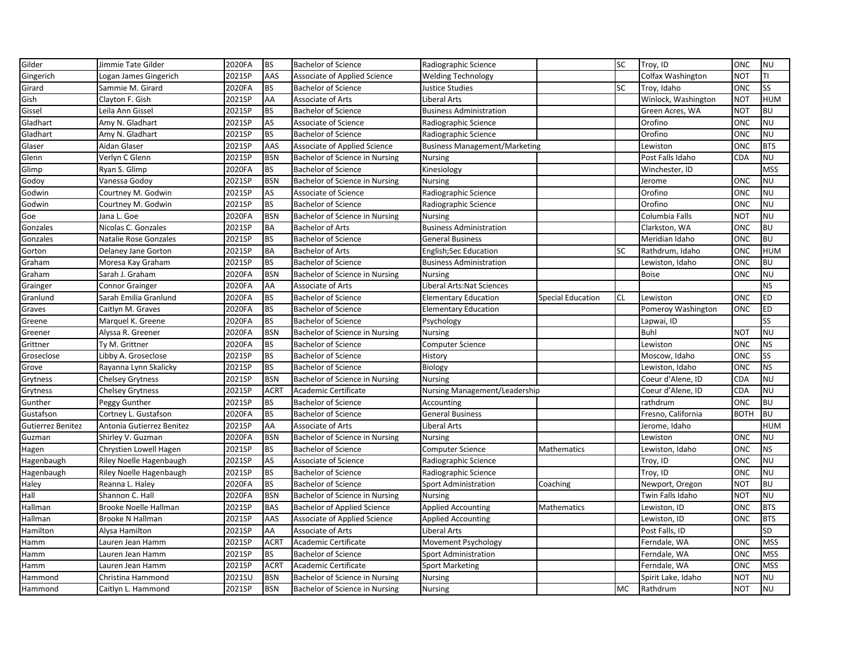| Gilder            | Jimmie Tate Gilder           | 2020FA | <b>BS</b>   | <b>Bachelor of Science</b>         | Radiographic Science                 |                          | <b>SC</b> | Troy, ID            | <b>ONC</b>  | <b>NU</b>  |
|-------------------|------------------------------|--------|-------------|------------------------------------|--------------------------------------|--------------------------|-----------|---------------------|-------------|------------|
| Gingerich         | Logan James Gingerich        | 2021SP | AAS         | Associate of Applied Science       | <b>Welding Technology</b>            |                          |           | Colfax Washington   | <b>NOT</b>  | TI         |
| Girard            | Sammie M. Girard             | 2020FA | <b>BS</b>   | <b>Bachelor of Science</b>         | Justice Studies                      |                          | <b>SC</b> | Troy, Idaho         | <b>ONC</b>  | SS         |
| Gish              | Clayton F. Gish              | 2021SP | AA          | <b>Associate of Arts</b>           | Liberal Arts                         |                          |           | Winlock, Washington | <b>NOT</b>  | <b>HUM</b> |
| Gissel            | Leila Ann Gissel             | 2021SP | <b>BS</b>   | <b>Bachelor of Science</b>         | <b>Business Administration</b>       |                          |           | Green Acres, WA     | <b>NOT</b>  | <b>BU</b>  |
| Gladhart          | Amy N. Gladhart              | 2021SP | AS          | Associate of Science               | Radiographic Science                 |                          |           | Orofino             | ONC         | <b>NU</b>  |
| Gladhart          | Amy N. Gladhart              | 2021SP | <b>BS</b>   | <b>Bachelor of Science</b>         | Radiographic Science                 |                          |           | Orofino             | <b>ONC</b>  | <b>NU</b>  |
| Glaser            | Aidan Glaser                 | 2021SP | AAS         | Associate of Applied Science       | <b>Business Management/Marketing</b> |                          |           | Lewiston            | <b>ONC</b>  | <b>BTS</b> |
| Glenn             | Verlyn C Glenn               | 2021SP | <b>BSN</b>  | Bachelor of Science in Nursing     | <b>Nursing</b>                       |                          |           | Post Falls Idaho    | CDA         | <b>NU</b>  |
| Glimp             | Ryan S. Glimp                | 2020FA | <b>BS</b>   | <b>Bachelor of Science</b>         | Kinesiology                          |                          |           | Winchester, ID      |             | <b>MSS</b> |
| Godoy             | Vanessa Godoy                | 2021SP | <b>BSN</b>  | Bachelor of Science in Nursing     | <b>Nursing</b>                       |                          |           | Jerome              | ONC         | <b>NU</b>  |
| Godwin            | Courtney M. Godwin           | 2021SP | AS          | Associate of Science               | Radiographic Science                 |                          |           | Orofino             | <b>ONC</b>  | <b>NU</b>  |
| Godwin            | Courtney M. Godwin           | 2021SP | <b>BS</b>   | <b>Bachelor of Science</b>         | Radiographic Science                 |                          |           | Orofino             | <b>ONC</b>  | <b>NU</b>  |
| Goe               | Jana L. Goe                  | 2020FA | <b>BSN</b>  | Bachelor of Science in Nursing     | <b>Nursing</b>                       |                          |           | Columbia Falls      | <b>NOT</b>  | <b>NU</b>  |
| Gonzales          | Nicolas C. Gonzales          | 2021SP | <b>BA</b>   | <b>Bachelor of Arts</b>            | <b>Business Administration</b>       |                          |           | Clarkston, WA       | <b>ONC</b>  | <b>BU</b>  |
| Gonzales          | <b>Natalie Rose Gonzales</b> | 2021SP | <b>BS</b>   | <b>Bachelor of Science</b>         | <b>General Business</b>              |                          |           | Meridian Idaho      | <b>ONC</b>  | <b>BU</b>  |
| Gorton            | Delaney Jane Gorton          | 2021SP | <b>BA</b>   | <b>Bachelor of Arts</b>            | <b>English;Sec Education</b>         |                          | <b>SC</b> | Rathdrum, Idaho     | <b>ONC</b>  | HUM        |
| Graham            | Moresa Kay Graham            | 2021SP | <b>BS</b>   | <b>Bachelor of Science</b>         | <b>Business Administration</b>       |                          |           | Lewiston, Idaho     | ONC         | BU         |
| Graham            | Sarah J. Graham              | 2020FA | <b>BSN</b>  | Bachelor of Science in Nursing     | <b>Nursing</b>                       |                          |           | Boise               | <b>ONC</b>  | <b>NU</b>  |
| Grainger          | <b>Connor Grainger</b>       | 2020FA | AA          | <b>Associate of Arts</b>           | Liberal Arts: Nat Sciences           |                          |           |                     |             | <b>NS</b>  |
| Granlund          | Sarah Emilia Granlund        | 2020FA | <b>BS</b>   | <b>Bachelor of Science</b>         | <b>Elementary Education</b>          | <b>Special Education</b> | <b>CL</b> | Lewiston            | <b>ONC</b>  | ED         |
| Graves            | Caitlyn M. Graves            | 2020FA | <b>BS</b>   | <b>Bachelor of Science</b>         | <b>Elementary Education</b>          |                          |           | Pomeroy Washington  | <b>ONC</b>  | ED         |
| Greene            | Marquel K. Greene            | 2020FA | <b>BS</b>   | <b>Bachelor of Science</b>         | Psychology                           |                          |           | Lapwai, ID          |             | SS         |
| Greener           | Alyssa R. Greener            | 2020FA | <b>BSN</b>  | Bachelor of Science in Nursing     | <b>Nursing</b>                       |                          |           | Buhl                | <b>NOT</b>  | <b>NU</b>  |
| Grittner          | Ty M. Grittner               | 2020FA | <b>BS</b>   | <b>Bachelor of Science</b>         | <b>Computer Science</b>              |                          |           | Lewiston            | <b>ONC</b>  | <b>NS</b>  |
| Groseclose        | Libby A. Groseclose          | 2021SP | <b>BS</b>   | <b>Bachelor of Science</b>         | History                              |                          |           | Moscow, Idaho       | ONC         | SS         |
| Grove             | Rayanna Lynn Skalicky        | 2021SP | <b>BS</b>   | <b>Bachelor of Science</b>         | Biology                              |                          |           | Lewiston, Idaho     | <b>ONC</b>  | <b>NS</b>  |
| Grytness          | <b>Chelsey Grytness</b>      | 2021SP | <b>BSN</b>  | Bachelor of Science in Nursing     | <b>Nursing</b>                       |                          |           | Coeur d'Alene, ID   | CDA         | <b>NU</b>  |
| Grytness          | <b>Chelsey Grytness</b>      | 2021SP | <b>ACRT</b> | Academic Certificate               | Nursing Management/Leadership        |                          |           | Coeur d'Alene, ID   | CDA         | <b>NU</b>  |
| Gunther           | Peggy Gunther                | 2021SP | <b>BS</b>   | <b>Bachelor of Science</b>         | Accounting                           |                          |           | rathdrum            | ONC         | B          |
| Gustafson         | Cortney L. Gustafson         | 2020FA | <b>BS</b>   | <b>Bachelor of Science</b>         | <b>General Business</b>              |                          |           | Fresno, California  | <b>BOTH</b> | <b>BU</b>  |
| Gutierrez Benitez | Antonia Gutierrez Benitez    | 2021SP | AA          | Associate of Arts                  | <b>Liberal Arts</b>                  |                          |           | Jerome, Idaho       |             | <b>HUM</b> |
| Guzman            | Shirley V. Guzman            | 2020FA | <b>BSN</b>  | Bachelor of Science in Nursing     | <b>Nursing</b>                       |                          |           | Lewiston            | <b>ONC</b>  | <b>NU</b>  |
| Hagen             | Chrystien Lowell Hagen       | 2021SP | <b>BS</b>   | <b>Bachelor of Science</b>         | <b>Computer Science</b>              | <b>Mathematics</b>       |           | Lewiston, Idaho     | ONC         | <b>NS</b>  |
| Hagenbaugh        | Riley Noelle Hagenbaugh      | 2021SP | AS          | Associate of Science               | Radiographic Science                 |                          |           | Troy, ID            | ONC         | <b>NU</b>  |
| Hagenbaugh        | Riley Noelle Hagenbaugh      | 2021SP | <b>BS</b>   | <b>Bachelor of Science</b>         | Radiographic Science                 |                          |           | Troy, ID            | <b>ONC</b>  | <b>NU</b>  |
| Haley             | Reanna L. Haley              | 2020FA | <b>BS</b>   | <b>Bachelor of Science</b>         | <b>Sport Administration</b>          | Coaching                 |           | Newport, Oregon     | <b>NOT</b>  | <b>BU</b>  |
| Hall              | Shannon C. Hall              | 2020FA | <b>BSN</b>  | Bachelor of Science in Nursing     | <b>Nursing</b>                       |                          |           | Twin Falls Idaho    | <b>NOT</b>  | <b>NU</b>  |
| Hallman           | Brooke Noelle Hallman        | 2021SP | <b>BAS</b>  | <b>Bachelor of Applied Science</b> | <b>Applied Accounting</b>            | Mathematics              |           | Lewiston, ID        | <b>ONC</b>  | <b>BTS</b> |
| Hallman           | Brooke N Hallman             | 2021SP | AAS         | Associate of Applied Science       | <b>Applied Accounting</b>            |                          |           | Lewiston, ID        | ONC         | <b>BTS</b> |
| Hamilton          | Alysa Hamilton               | 2021SP | AA          | Associate of Arts                  | Liberal Arts                         |                          |           | Post Falls, ID      |             | <b>SD</b>  |
| Hamm              | Lauren Jean Hamm             | 2021SP | <b>ACRT</b> | Academic Certificate               | Movement Psychology                  |                          |           | Ferndale, WA        | <b>ONC</b>  | <b>MSS</b> |
| Hamm              | Lauren Jean Hamm             | 2021SP | <b>BS</b>   | <b>Bachelor of Science</b>         | Sport Administration                 |                          |           | Ferndale, WA        | <b>ONC</b>  | <b>MSS</b> |
| Hamm              | Lauren Jean Hamm             | 2021SP | <b>ACRT</b> | Academic Certificate               | <b>Sport Marketing</b>               |                          |           | Ferndale, WA        | ONC         | <b>MSS</b> |
| Hammond           | Christina Hammond            | 2021SU | <b>BSN</b>  | Bachelor of Science in Nursing     | <b>Nursing</b>                       |                          |           | Spirit Lake, Idaho  | <b>NOT</b>  | <b>NU</b>  |
| Hammond           | Caitlyn L. Hammond           | 2021SP | <b>BSN</b>  | Bachelor of Science in Nursing     | Nursing                              |                          | <b>MC</b> | Rathdrum            | <b>NOT</b>  | <b>NU</b>  |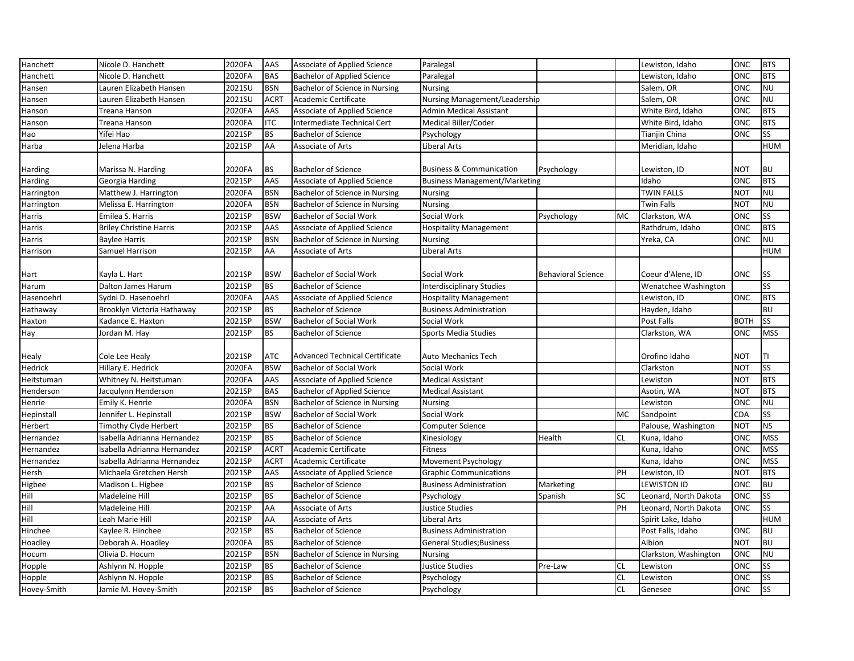| Hanchett    | Nicole D. Hanchett             | 2020FA | AAS         | Associate of Applied Science          | Paralegal                            |                           |           | Lewiston, Idaho       | ONC         | <b>BTS</b> |
|-------------|--------------------------------|--------|-------------|---------------------------------------|--------------------------------------|---------------------------|-----------|-----------------------|-------------|------------|
| Hanchett    | Nicole D. Hanchett             | 2020FA | <b>BAS</b>  | <b>Bachelor of Applied Science</b>    | Paralegal                            |                           |           | Lewiston, Idaho       | ONC         | <b>BTS</b> |
| Hansen      | Lauren Elizabeth Hansen        | 2021SU | <b>BSN</b>  | Bachelor of Science in Nursing        | <b>Nursing</b>                       |                           |           | Salem, OR             | ONC         | <b>NU</b>  |
| Hansen      | Lauren Elizabeth Hansen        | 2021SU | <b>ACRT</b> | Academic Certificate                  | Nursing Management/Leadership        |                           |           | Salem, OR             | ONC         | <b>NU</b>  |
| Hanson      | Treana Hanson                  | 2020FA | AAS         | <b>Associate of Applied Science</b>   | <b>Admin Medical Assistant</b>       |                           |           | White Bird, Idaho     | ONC         | <b>BTS</b> |
| Hanson      | Treana Hanson                  | 2020FA | <b>ITC</b>  | Intermediate Technical Cert           | Medical Biller/Coder                 |                           |           | White Bird, Idaho     | ONC         | <b>BTS</b> |
| Hao         | Yifei Hao                      | 2021SP | <b>BS</b>   | <b>Bachelor of Science</b>            | Psychology                           |                           |           | Tianjin China         | <b>ONC</b>  | <b>SS</b>  |
| Harba       | Jelena Harba                   | 2021SP | AA          | <b>Associate of Arts</b>              | <b>Liberal Arts</b>                  |                           |           | Meridian, Idaho       |             | <b>HUM</b> |
| Harding     | Marissa N. Harding             | 2020FA | <b>BS</b>   | <b>Bachelor of Science</b>            | <b>Business &amp; Communication</b>  | Psychology                |           | Lewiston, ID          | <b>NOT</b>  | <b>BU</b>  |
| Harding     | Georgia Harding                | 2021SP | AAS         | Associate of Applied Science          | <b>Business Management/Marketing</b> |                           |           | Idaho                 | ONC         | <b>BTS</b> |
| Harrington  | Matthew J. Harrington          | 2020FA | <b>BSN</b>  | Bachelor of Science in Nursing        | <b>Nursing</b>                       |                           |           | <b>TWIN FALLS</b>     | <b>NOT</b>  | <b>NU</b>  |
| Harrington  | Melissa E. Harrington          | 2020FA | <b>BSN</b>  | Bachelor of Science in Nursing        | <b>Nursing</b>                       |                           |           | Twin Falls            | <b>NOT</b>  | <b>NU</b>  |
| Harris      | Emilea S. Harris               | 2021SP | <b>BSW</b>  | <b>Bachelor of Social Work</b>        | Social Work                          | Psychology                | MC        | Clarkston, WA         | ONC         | <b>SS</b>  |
| Harris      | <b>Briley Christine Harris</b> | 2021SP | AAS         | Associate of Applied Science          | <b>Hospitality Management</b>        |                           |           | Rathdrum, Idaho       | <b>ONC</b>  | <b>BTS</b> |
| Harris      | <b>Baylee Harris</b>           | 2021SP | <b>BSN</b>  | Bachelor of Science in Nursing        | <b>Nursing</b>                       |                           |           | Yreka, CA             | ONC         | <b>NU</b>  |
| Harrison    | Samuel Harrison                | 2021SP | AA          | Associate of Arts                     | <b>Liberal Arts</b>                  |                           |           |                       |             | <b>HUM</b> |
|             |                                |        |             |                                       |                                      |                           |           |                       |             |            |
| Hart        | Kayla L. Hart                  | 2021SP | <b>BSW</b>  | <b>Bachelor of Social Work</b>        | Social Work                          | <b>Behavioral Science</b> |           | Coeur d'Alene, ID     | ONC         | <b>SS</b>  |
| Harum       | Dalton James Harum             | 2021SP | <b>BS</b>   | <b>Bachelor of Science</b>            | <b>Interdisciplinary Studies</b>     |                           |           | Wenatchee Washington  |             | SS         |
| Hasenoehrl  | Sydni D. Hasenoehrl            | 2020FA | AAS         | <b>Associate of Applied Science</b>   | <b>Hospitality Management</b>        |                           |           | Lewiston, ID          | ONC         | <b>BTS</b> |
| Hathaway    | Brooklyn Victoria Hathaway     | 2021SP | <b>BS</b>   | <b>Bachelor of Science</b>            | <b>Business Administration</b>       |                           |           | Hayden, Idaho         |             | <b>BU</b>  |
| Haxton      | Kadance E. Haxton              | 2021SP | <b>BSW</b>  | <b>Bachelor of Social Work</b>        | Social Work                          |                           |           | Post Falls            | <b>BOTH</b> | <b>SS</b>  |
| Hay         | Jordan M. Hay                  | 2021SP | <b>BS</b>   | <b>Bachelor of Science</b>            | <b>Sports Media Studies</b>          |                           |           | Clarkston, WA         | ONC         | <b>MSS</b> |
|             |                                |        |             |                                       |                                      |                           |           |                       |             |            |
| Healy       | Cole Lee Healy                 | 2021SP | <b>ATC</b>  | <b>Advanced Technical Certificate</b> | <b>Auto Mechanics Tech</b>           |                           |           | Orofino Idaho         | NOT         | Π          |
| Hedrick     | Hillary E. Hedrick             | 2020FA | <b>BSW</b>  | <b>Bachelor of Social Work</b>        | Social Work                          |                           |           | Clarkston             | <b>NOT</b>  | <b>SS</b>  |
| Heitstuman  | Whitney N. Heitstuman          | 2020FA | AAS         | Associate of Applied Science          | <b>Medical Assistant</b>             |                           |           | Lewiston              | <b>NOT</b>  | <b>BTS</b> |
| Henderson   | Jacqulynn Henderson            | 2021SP | <b>BAS</b>  | <b>Bachelor of Applied Science</b>    | <b>Medical Assistant</b>             |                           |           | Asotin, WA            | <b>NOT</b>  | <b>BTS</b> |
| Henrie      | Emily K. Henrie                | 2020FA | <b>BSN</b>  | Bachelor of Science in Nursing        | <b>Nursing</b>                       |                           |           | Lewiston              | ONC         | <b>NU</b>  |
| Hepinstall  | Jennifer L. Hepinstall         | 2021SP | <b>BSW</b>  | Bachelor of Social Work               | Social Work                          |                           | MC        | Sandpoint             | CDA         | <b>SS</b>  |
| Herbert     | Timothy Clyde Herbert          | 2021SP | <b>BS</b>   | <b>Bachelor of Science</b>            | <b>Computer Science</b>              |                           |           | Palouse, Washington   | <b>NOT</b>  | <b>NS</b>  |
| Hernandez   | Isabella Adrianna Hernandez    | 2021SP | <b>BS</b>   | <b>Bachelor of Science</b>            | Kinesiology                          | Health                    | <b>CL</b> | Kuna, Idaho           | ONC         | <b>MSS</b> |
| Hernandez   | Isabella Adrianna Hernandez    | 2021SP | <b>ACRT</b> | Academic Certificate                  | Fitness                              |                           |           | Kuna, Idaho           | ONC         | <b>MSS</b> |
| Hernandez   | Isabella Adrianna Hernandez    | 2021SP | <b>ACRT</b> | Academic Certificate                  | Movement Psychology                  |                           |           | Kuna, Idaho           | ONC         | <b>MSS</b> |
| Hersh       | Michaela Gretchen Hersh        | 2021SP | AAS         | Associate of Applied Science          | <b>Graphic Communications</b>        |                           | PH        | Lewiston, ID          | <b>NOT</b>  | <b>BTS</b> |
| Higbee      | Madison L. Higbee              | 2021SP | <b>BS</b>   | <b>Bachelor of Science</b>            | <b>Business Administration</b>       | Marketing                 |           | LEWISTON ID           | ONC         | <b>BU</b>  |
| Hill        | Madeleine Hill                 | 2021SP | <b>BS</b>   | <b>Bachelor of Science</b>            | Psychology                           | Spanish                   | SC        | Leonard, North Dakota | ONC         | SS         |
| Hill        | Madeleine Hill                 | 2021SP | AA          | Associate of Arts                     | Justice Studies                      |                           | PH        | Leonard, North Dakota | ONC         | <b>SS</b>  |
| Hill        | Leah Marie Hill                | 2021SP | AA          | <b>Associate of Arts</b>              | <b>Liberal Arts</b>                  |                           |           | Spirit Lake, Idaho    |             | <b>HUM</b> |
| Hinchee     | Kaylee R. Hinchee              | 2021SP | <b>BS</b>   | <b>Bachelor of Science</b>            | <b>Business Administration</b>       |                           |           | Post Falls, Idaho     | ONC         | <b>BU</b>  |
| Hoadley     | Deborah A. Hoadley             | 2020FA | <b>BS</b>   | <b>Bachelor of Science</b>            | <b>General Studies; Business</b>     |                           |           | Albion                | <b>NOT</b>  | <b>BU</b>  |
| Hocum       | Olivia D. Hocum                | 2021SP | <b>BSN</b>  | Bachelor of Science in Nursing        | <b>Nursing</b>                       |                           |           | Clarkston, Washington | ONC         | <b>NU</b>  |
| Hopple      | Ashlynn N. Hopple              | 2021SP | <b>BS</b>   | <b>Bachelor of Science</b>            | <b>Justice Studies</b>               | Pre-Law                   | <b>CL</b> | Lewiston              | ONC         | <b>SS</b>  |
| Hopple      | Ashlynn N. Hopple              | 2021SP | <b>BS</b>   | <b>Bachelor of Science</b>            | Psychology                           |                           | <b>CL</b> | Lewiston              | ONC         | SS         |
| Hovey-Smith | Jamie M. Hovey-Smith           | 2021SP | <b>BS</b>   | <b>Bachelor of Science</b>            | Psychology                           |                           | CL        | Genesee               | ONC         | <b>SS</b>  |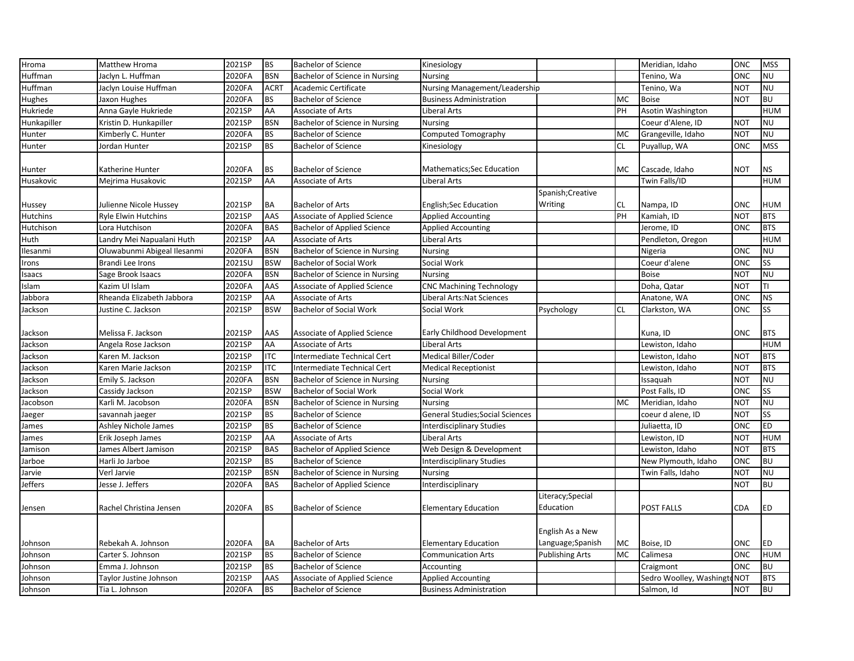| Hroma       | Matthew Hroma               | 2021SP | <b>BS</b>   | <b>Bachelor of Science</b>         | Kinesiology                             |                        |           | Meridian, Idaho          | ONC        | <b>MSS</b> |
|-------------|-----------------------------|--------|-------------|------------------------------------|-----------------------------------------|------------------------|-----------|--------------------------|------------|------------|
| Huffman     | Jaclyn L. Huffman           | 2020FA | <b>BSN</b>  | Bachelor of Science in Nursing     | <b>Nursing</b>                          |                        |           | Tenino, Wa               | ONC        | <b>NU</b>  |
| Huffman     | Jaclyn Louise Huffman       | 2020FA | <b>ACRT</b> | Academic Certificate               | Nursing Management/Leadership           |                        |           | Tenino, Wa               | NOT        | <b>NU</b>  |
| Hughes      | Jaxon Hughes                | 2020FA | <b>BS</b>   | <b>Bachelor of Science</b>         | <b>Business Administration</b>          |                        | <b>MC</b> | <b>Boise</b>             | NOT        | <b>BU</b>  |
| Hukriede    | Anna Gayle Hukriede         | 2021SP | AA          | Associate of Arts                  | Liberal Arts                            |                        | PH        | Asotin Washington        |            | <b>HUM</b> |
| Hunkapiller | Kristin D. Hunkapiller      | 2021SP | <b>BSN</b>  | Bachelor of Science in Nursing     | Nursing                                 |                        |           | Coeur d'Alene, ID        | <b>NOT</b> | <b>NU</b>  |
| Hunter      | Kimberly C. Hunter          | 2020FA | <b>BS</b>   | <b>Bachelor of Science</b>         | Computed Tomography                     |                        | <b>MC</b> | Grangeville, Idaho       | <b>NOT</b> | <b>NU</b>  |
| Hunter      | Jordan Hunter               | 2021SP | <b>BS</b>   | <b>Bachelor of Science</b>         | Kinesiology                             |                        | <b>CL</b> | Puyallup, WA             | ONC        | <b>MSS</b> |
| Hunter      | Katherine Hunter            | 2020FA | <b>BS</b>   | <b>Bachelor of Science</b>         | <b>Mathematics;Sec Education</b>        |                        | MC        | Cascade, Idaho           | NOT        | <b>NS</b>  |
| Husakovic   | Mejrima Husakovic           | 2021SP | AA          | Associate of Arts                  | Liberal Arts                            |                        |           | Twin Falls/ID            |            | <b>HUM</b> |
|             |                             |        |             |                                    |                                         | Spanish; Creative      |           |                          |            |            |
| Hussey      | Julienne Nicole Hussey      | 2021SP | <b>BA</b>   | <b>Bachelor of Arts</b>            | <b>English;Sec Education</b>            | Writing                | <b>CL</b> | Nampa, ID                | ONC        | <b>HUM</b> |
| Hutchins    | <b>Ryle Elwin Hutchins</b>  | 2021SP | AAS         | Associate of Applied Science       | <b>Applied Accounting</b>               |                        | PH        | Kamiah, ID               | <b>NOT</b> | <b>BTS</b> |
| Hutchison   | Lora Hutchison              | 2020FA | <b>BAS</b>  | <b>Bachelor of Applied Science</b> | <b>Applied Accounting</b>               |                        |           | Jerome, ID               | ONC        | <b>BTS</b> |
| Huth        | Landry Mei Napualani Huth   | 2021SP | AA          | Associate of Arts                  | Liberal Arts                            |                        |           | Pendleton, Oregon        |            | <b>HUM</b> |
| Ilesanmi    | Oluwabunmi Abigeal Ilesanmi | 2020FA | <b>BSN</b>  | Bachelor of Science in Nursing     | <b>Nursing</b>                          |                        |           | Nigeria                  | ONC        | <b>NU</b>  |
| Irons       | Brandi Lee Irons            | 2021SU | <b>BSW</b>  | <b>Bachelor of Social Work</b>     | Social Work                             |                        |           | Coeur d'alene            | ONC        | SS         |
| Isaacs      | Sage Brook Isaacs           | 2020FA | <b>BSN</b>  | Bachelor of Science in Nursing     | Nursing                                 |                        |           | <b>Boise</b>             | <b>NOT</b> | <b>NU</b>  |
| Islam       | Kazim Ul Islam              | 2020FA | AAS         | Associate of Applied Science       | <b>CNC Machining Technology</b>         |                        |           | Doha, Qatar              | <b>NOT</b> | TΙ         |
| Jabbora     | Rheanda Elizabeth Jabbora   | 2021SP | AA          | <b>Associate of Arts</b>           | Liberal Arts:Nat Sciences               |                        |           | Anatone, WA              | ONC        | <b>NS</b>  |
| Jackson     | Justine C. Jackson          | 2021SP | <b>BSW</b>  | <b>Bachelor of Social Work</b>     | Social Work                             | Psychology             | <b>CL</b> | Clarkston, WA            | ONC        | SS         |
|             |                             |        |             |                                    |                                         |                        |           |                          |            |            |
| Jackson     | Melissa F. Jackson          | 2021SP | AAS         | Associate of Applied Science       | Early Childhood Development             |                        |           | Kuna, ID                 | ONC        | <b>BTS</b> |
| Jackson     | Angela Rose Jackson         | 2021SP | AA          | Associate of Arts                  | Liberal Arts                            |                        |           | Lewiston, Idaho          |            | <b>HUM</b> |
| Jackson     | Karen M. Jackson            | 2021SP | <b>ITC</b>  | Intermediate Technical Cert        | Medical Biller/Coder                    |                        |           | Lewiston, Idaho          | NOT        | <b>BTS</b> |
| Jackson     | Karen Marie Jackson         | 2021SP | <b>ITC</b>  | Intermediate Technical Cert        | <b>Medical Receptionist</b>             |                        |           | Lewiston, Idaho          | NOT        | <b>BTS</b> |
| Jackson     | Emily S. Jackson            | 2020FA | <b>BSN</b>  | Bachelor of Science in Nursing     | <b>Nursing</b>                          |                        |           | Issaguah                 | <b>NOT</b> | <b>NU</b>  |
| Jackson     | Cassidy Jackson             | 2021SP | <b>BSW</b>  | <b>Bachelor of Social Work</b>     | Social Work                             |                        |           | Post Falls, ID           | ONC        | SS         |
| Jacobson    | Karli M. Jacobson           | 2020FA | <b>BSN</b>  | Bachelor of Science in Nursing     | <b>Nursing</b>                          |                        | <b>MC</b> | Meridian, Idaho          | NOT        | <b>NU</b>  |
| Jaeger      | savannah jaeger             | 2021SP | <b>BS</b>   | <b>Bachelor of Science</b>         | <b>General Studies; Social Sciences</b> |                        |           | coeur d alene, ID        | <b>NOT</b> | SS         |
| James       | Ashley Nichole James        | 2021SP | <b>BS</b>   | <b>Bachelor of Science</b>         | Interdisciplinary Studies               |                        |           | Juliaetta, ID            | ONC        | <b>ED</b>  |
| James       | Erik Joseph James           | 2021SP | AA          | <b>Associate of Arts</b>           | Liberal Arts                            |                        |           | Lewiston, ID             | <b>NOT</b> | <b>HUM</b> |
| Jamison     | James Albert Jamison        | 2021SP | <b>BAS</b>  | <b>Bachelor of Applied Science</b> | Web Design & Development                |                        |           | Lewiston, Idaho          | <b>NOT</b> | <b>BTS</b> |
| Jarboe      | Harli Jo Jarboe             | 2021SP | <b>BS</b>   | <b>Bachelor of Science</b>         | Interdisciplinary Studies               |                        |           | New Plymouth, Idaho      | ONC        | <b>BU</b>  |
| Jarvie      | Verl Jarvie                 | 2021SP | <b>BSN</b>  | Bachelor of Science in Nursing     | <b>Nursing</b>                          |                        |           | Twin Falls, Idaho        | <b>NOT</b> | <b>NU</b>  |
| Jeffers     | Jesse J. Jeffers            | 2020FA | <b>BAS</b>  | <b>Bachelor of Applied Science</b> | Interdisciplinary                       |                        |           |                          | <b>NOT</b> | <b>BU</b>  |
|             |                             |        |             |                                    |                                         | Literacy; Special      |           |                          |            |            |
| Jensen      | Rachel Christina Jensen     | 2020FA | <b>BS</b>   | <b>Bachelor of Science</b>         | <b>Elementary Education</b>             | Education              |           | POST FALLS               | CDA        | <b>ED</b>  |
|             |                             |        |             |                                    |                                         | English As a New       |           |                          |            |            |
| Johnson     | Rebekah A. Johnson          | 2020FA | BA          | <b>Bachelor of Arts</b>            | <b>Elementary Education</b>             | Language;Spanish       | MC        | Boise, ID                | ONC        | <b>ED</b>  |
| Johnson     | Carter S. Johnson           | 2021SP | <b>BS</b>   | <b>Bachelor of Science</b>         | <b>Communication Arts</b>               | <b>Publishing Arts</b> | MC        | Calimesa                 | ONC        | <b>HUM</b> |
| Johnson     | Emma J. Johnson             | 2021SP | <b>BS</b>   | <b>Bachelor of Science</b>         | Accounting                              |                        |           | Craigmont                | ONC        | <b>BU</b>  |
| Johnson     | Taylor Justine Johnson      | 2021SP | <b>AAS</b>  | Associate of Applied Science       | <b>Applied Accounting</b>               |                        |           | Sedro Woolley, Washingto | <b>NOT</b> | <b>BTS</b> |
| Johnson     | Tia L. Johnson              | 2020FA | <b>BS</b>   | <b>Bachelor of Science</b>         | <b>Business Administration</b>          |                        |           | Salmon, Id               | <b>NOT</b> | <b>BU</b>  |
|             |                             |        |             |                                    |                                         |                        |           |                          |            |            |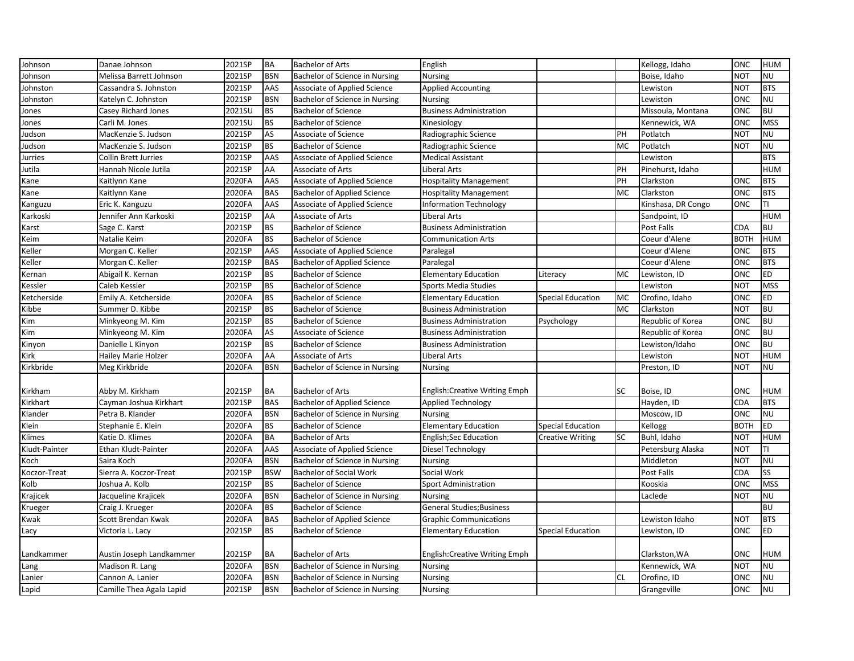| Johnson       | Danae Johnson              | 2021SP | <b>BA</b>  | <b>Bachelor of Arts</b>             | English                          |                          |           | Kellogg, Idaho     | ONC         | <b>HUM</b> |
|---------------|----------------------------|--------|------------|-------------------------------------|----------------------------------|--------------------------|-----------|--------------------|-------------|------------|
| Johnson       | Melissa Barrett Johnson    | 2021SP | <b>BSN</b> | Bachelor of Science in Nursing      | <b>Nursing</b>                   |                          |           | Boise, Idaho       | NOT         | <b>NU</b>  |
| Johnston      | Cassandra S. Johnston      | 2021SP | AAS        | Associate of Applied Science        | <b>Applied Accounting</b>        |                          |           | Lewiston           | <b>NOT</b>  | <b>BTS</b> |
| Johnston      | Katelyn C. Johnston        | 2021SP | <b>BSN</b> | Bachelor of Science in Nursing      | <b>Nursing</b>                   |                          |           | Lewiston           | ONC         | <b>NU</b>  |
| Jones         | Casey Richard Jones        | 2021SU | <b>BS</b>  | <b>Bachelor of Science</b>          | <b>Business Administration</b>   |                          |           | Missoula, Montana  | ONC         | <b>BU</b>  |
| Jones         | Carli M. Jones             | 2021SU | <b>BS</b>  | <b>Bachelor of Science</b>          | Kinesiology                      |                          |           | Kennewick, WA      | ONC         | <b>MSS</b> |
| Judson        | MacKenzie S. Judson        | 2021SP | AS         | Associate of Science                | Radiographic Science             |                          | PH        | Potlatch           | <b>NOT</b>  | <b>NU</b>  |
| Judson        | MacKenzie S. Judson        | 2021SP | <b>BS</b>  | <b>Bachelor of Science</b>          | Radiographic Science             |                          | MC        | Potlatch           | <b>NOT</b>  | <b>NU</b>  |
| Jurries       | Collin Brett Jurries       | 2021SP | AAS        | <b>Associate of Applied Science</b> | <b>Medical Assistant</b>         |                          |           | Lewiston           |             | <b>BTS</b> |
| Jutila        | Hannah Nicole Jutila       | 2021SP | AA         | Associate of Arts                   | Liberal Arts                     |                          | PH        | Pinehurst, Idaho   |             | <b>HUM</b> |
| Kane          | Kaitlynn Kane              | 2020FA | AAS        | Associate of Applied Science        | <b>Hospitality Management</b>    |                          | PH        | Clarkston          | ONC         | <b>BTS</b> |
| Kane          | Kaitlynn Kane              | 2020FA | <b>BAS</b> | <b>Bachelor of Applied Science</b>  | <b>Hospitality Management</b>    |                          | <b>MC</b> | Clarkston          | ONC         | <b>BTS</b> |
| Kanguzu       | Eric K. Kanguzu            | 2020FA | AAS        | Associate of Applied Science        | <b>Information Technology</b>    |                          |           | Kinshasa, DR Congo | ONC         | TI         |
| Karkoski      | Jennifer Ann Karkoski      | 2021SP | AA         | Associate of Arts                   | Liberal Arts                     |                          |           | Sandpoint, ID      |             | <b>HUM</b> |
| Karst         | Sage C. Karst              | 2021SP | <b>BS</b>  | <b>Bachelor of Science</b>          | <b>Business Administration</b>   |                          |           | Post Falls         | <b>CDA</b>  | <b>BU</b>  |
| Keim          | Natalie Keim               | 2020FA | <b>BS</b>  | <b>Bachelor of Science</b>          | <b>Communication Arts</b>        |                          |           | Coeur d'Alene      | <b>BOTH</b> | <b>HUM</b> |
| Keller        | Morgan C. Keller           | 2021SP | AAS        | <b>Associate of Applied Science</b> | Paralegal                        |                          |           | Coeur d'Alene      | ONC         | <b>BTS</b> |
| Keller        | Morgan C. Keller           | 2021SP | <b>BAS</b> | <b>Bachelor of Applied Science</b>  | Paralegal                        |                          |           | Coeur d'Alene      | ONC         | <b>BTS</b> |
| Kernan        | Abigail K. Kernan          | 2021SP | <b>BS</b>  | <b>Bachelor of Science</b>          | <b>Elementary Education</b>      | Literacy                 | <b>MC</b> | Lewiston, ID       | ONC         | <b>ED</b>  |
| Kessler       | Caleb Kessler              | 2021SP | <b>BS</b>  | <b>Bachelor of Science</b>          | Sports Media Studies             |                          |           | Lewiston           | <b>NOT</b>  | <b>MSS</b> |
| Ketcherside   | Emily A. Ketcherside       | 2020FA | <b>BS</b>  | <b>Bachelor of Science</b>          | <b>Elementary Education</b>      | <b>Special Education</b> | <b>MC</b> | Orofino, Idaho     | ONC         | <b>ED</b>  |
| Kibbe         | Summer D. Kibbe            | 2021SP | <b>BS</b>  | <b>Bachelor of Science</b>          | <b>Business Administration</b>   |                          | <b>MC</b> | Clarkston          | NOT         | <b>BU</b>  |
| Kim           | Minkyeong M. Kim           | 2021SP | <b>BS</b>  | <b>Bachelor of Science</b>          | <b>Business Administration</b>   | Psychology               |           | Republic of Korea  | ONC         | <b>BU</b>  |
| Kim           | Minkyeong M. Kim           | 2020FA | AS         | Associate of Science                | <b>Business Administration</b>   |                          |           | Republic of Korea  | ONC         | <b>BU</b>  |
| Kinyon        | Danielle L Kinyon          | 2021SP | <b>BS</b>  | <b>Bachelor of Science</b>          | <b>Business Administration</b>   |                          |           | Lewiston/Idaho     | ONC         | <b>BU</b>  |
| Kirk          | <b>Hailey Marie Holzer</b> | 2020FA | AA         | <b>Associate of Arts</b>            | Liberal Arts                     |                          |           | Lewiston           | <b>NOT</b>  | <b>HUM</b> |
| Kirkbride     | Meg Kirkbride              | 2020FA | <b>BSN</b> | Bachelor of Science in Nursing      | <b>Nursing</b>                   |                          |           | Preston, ID        | NOT         | <b>NU</b>  |
|               |                            |        |            |                                     |                                  |                          |           |                    |             |            |
| Kirkham       | Abby M. Kirkham            | 2021SP | <b>BA</b>  | <b>Bachelor of Arts</b>             | English: Creative Writing Emph   |                          | SC        | Boise, ID          | ONC         | <b>HUM</b> |
| Kirkhart      | Cayman Joshua Kirkhart     | 2021SP | <b>BAS</b> | <b>Bachelor of Applied Science</b>  | <b>Applied Technology</b>        |                          |           | Hayden, ID         | <b>CDA</b>  | <b>BTS</b> |
| Klander       | Petra B. Klander           | 2020FA | <b>BSN</b> | Bachelor of Science in Nursing      | Nursing                          |                          |           | Moscow, ID         | ONC         | <b>NU</b>  |
| Klein         | Stephanie E. Klein         | 2020FA | <b>BS</b>  | <b>Bachelor of Science</b>          | <b>Elementary Education</b>      | <b>Special Education</b> |           | Kellogg            | <b>BOTH</b> | <b>ED</b>  |
| Klimes        | Katie D. Klimes            | 2020FA | <b>BA</b>  | <b>Bachelor of Arts</b>             | English;Sec Education            | <b>Creative Writing</b>  | <b>SC</b> | Buhl, Idaho        | <b>NOT</b>  | <b>HUM</b> |
| Kludt-Painter | Ethan Kludt-Painter        | 2020FA | AAS        | Associate of Applied Science        | Diesel Technology                |                          |           | Petersburg Alaska  | <b>NOT</b>  | ΤI         |
| Koch          | Saira Koch                 | 2020FA | <b>BSN</b> | Bachelor of Science in Nursing      | <b>Nursing</b>                   |                          |           | Middleton          | NOT         | NU         |
| Koczor-Treat  | Sierra A. Koczor-Treat     | 2021SP | <b>BSW</b> | <b>Bachelor of Social Work</b>      | Social Work                      |                          |           | Post Falls         | CDA         | <b>SS</b>  |
| Kolb          | Joshua A. Kolb             | 2021SP | <b>BS</b>  | <b>Bachelor of Science</b>          | <b>Sport Administration</b>      |                          |           | Kooskia            | ONC         | <b>MSS</b> |
| Krajicek      | Jacqueline Krajicek        | 2020FA | <b>BSN</b> | Bachelor of Science in Nursing      | <b>Nursing</b>                   |                          |           | Laclede            | <b>NOT</b>  | <b>NU</b>  |
| Krueger       | Craig J. Krueger           | 2020FA | <b>BS</b>  | <b>Bachelor of Science</b>          | <b>General Studies; Business</b> |                          |           |                    |             | <b>BU</b>  |
| Kwak          | Scott Brendan Kwak         | 2020FA | <b>BAS</b> | <b>Bachelor of Applied Science</b>  | <b>Graphic Communications</b>    |                          |           | Lewiston Idaho     | <b>NOT</b>  | <b>BTS</b> |
| Lacy          | Victoria L. Lacy           | 2021SP | <b>BS</b>  | <b>Bachelor of Science</b>          | <b>Elementary Education</b>      | <b>Special Education</b> |           | Lewiston, ID       | ONC         | <b>ED</b>  |
|               |                            |        |            |                                     |                                  |                          |           |                    |             |            |
| Landkammer    | Austin Joseph Landkammer   | 2021SP | <b>BA</b>  | <b>Bachelor of Arts</b>             | English: Creative Writing Emph   |                          |           | Clarkston, WA      | ONC         | <b>HUM</b> |
| Lang          | Madison R. Lang            | 2020FA | <b>BSN</b> | Bachelor of Science in Nursing      | <b>Nursing</b>                   |                          |           | Kennewick, WA      | <b>NOT</b>  | <b>NU</b>  |
| Lanier        | Cannon A. Lanier           | 2020FA | <b>BSN</b> | Bachelor of Science in Nursing      | Nursing                          |                          | <b>CL</b> | Orofino, ID        | ONC         | <b>NU</b>  |
| Lapid         | Camille Thea Agala Lapid   | 2021SP | <b>BSN</b> | Bachelor of Science in Nursing      | <b>Nursing</b>                   |                          |           | Grangeville        | ONC         | <b>NU</b>  |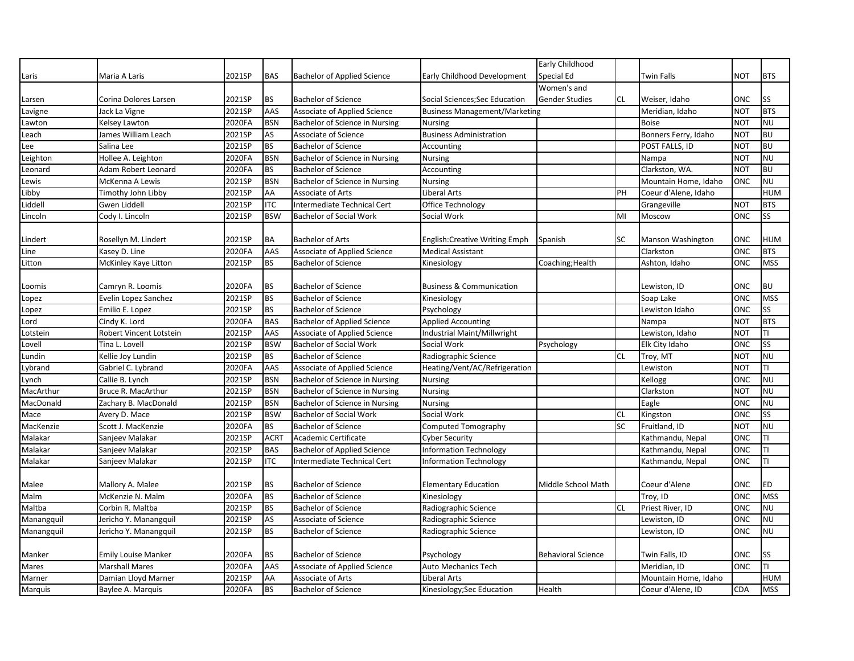|            |                            |                     |             |                                    |                                      | Early Childhood           |           |                      |            |            |
|------------|----------------------------|---------------------|-------------|------------------------------------|--------------------------------------|---------------------------|-----------|----------------------|------------|------------|
| Laris      | Maria A Laris              | 2021SP              | <b>BAS</b>  | <b>Bachelor of Applied Science</b> | Early Childhood Development          | Special Ed                |           | <b>Twin Falls</b>    | NOT        | <b>BTS</b> |
|            |                            |                     |             |                                    |                                      | Women's and               |           |                      |            |            |
| Larsen     | Corina Dolores Larsen      | 2021SP              | <b>BS</b>   | <b>Bachelor of Science</b>         | Social Sciences; Sec Education       | <b>Gender Studies</b>     | <b>CL</b> | Weiser, Idaho        | ONC        | <b>SS</b>  |
| Lavigne    | Jack La Vigne              | 2021SP              | AAS         | Associate of Applied Science       | <b>Business Management/Marketing</b> |                           |           | Meridian. Idaho      | <b>NOT</b> | <b>BTS</b> |
| Lawton     | Kelsey Lawton              | 2020FA              | <b>BSN</b>  | Bachelor of Science in Nursing     | <b>Nursing</b>                       |                           |           | <b>Boise</b>         | <b>NOT</b> | <b>NU</b>  |
| Leach      | James William Leach        | 2021SP              | AS          | Associate of Science               | <b>Business Administration</b>       |                           |           | Bonners Ferry, Idaho | <b>NOT</b> | <b>BU</b>  |
| Lee        | Salina Lee                 | 2021SP              | <b>BS</b>   | <b>Bachelor of Science</b>         | Accounting                           |                           |           | POST FALLS, ID       | <b>NOT</b> | <b>BU</b>  |
| Leighton   | Hollee A. Leighton         | 2020FA              | <b>BSN</b>  | Bachelor of Science in Nursing     | <b>Nursing</b>                       |                           |           | Nampa                | <b>NOT</b> | <b>NU</b>  |
| Leonard    | Adam Robert Leonard        | 2020FA              | <b>BS</b>   | <b>Bachelor of Science</b>         | Accounting                           |                           |           | Clarkston, WA.       | <b>NOT</b> | <b>BU</b>  |
| Lewis      | McKenna A Lewis            | 2021SP              | <b>BSN</b>  | Bachelor of Science in Nursing     | <b>Nursing</b>                       |                           |           | Mountain Home, Idaho | ONC        | <b>NU</b>  |
| Libby      | Timothy John Libby         | 2021SP              | AA          | Associate of Arts                  | <b>Liberal Arts</b>                  |                           | PH        | Coeur d'Alene, Idaho |            | <b>HUM</b> |
| Liddell    | Gwen Liddell               | 2021SP              | <b>ITC</b>  | Intermediate Technical Cert        | Office Technology                    |                           |           | Grangeville          | NOT        | <b>BTS</b> |
| Lincoln    | Cody I. Lincoln            | 2021SP              | <b>BSW</b>  | <b>Bachelor of Social Work</b>     | Social Work                          |                           | MI        | Moscow               | ONC        | SS         |
|            |                            |                     |             |                                    |                                      |                           |           |                      |            |            |
| Lindert    | Rosellyn M. Lindert        | 2021SP              | <b>BA</b>   | <b>Bachelor of Arts</b>            | <b>English:Creative Writing Emph</b> | Spanish                   | SC        | Manson Washington    | ONC        | <b>HUM</b> |
| Line       | Kasey D. Line              | 2020FA              | AAS         | Associate of Applied Science       | <b>Medical Assistant</b>             |                           |           | Clarkston            | ONC        | <b>BTS</b> |
| Litton     | McKinley Kaye Litton       | 2021SP              | <b>BS</b>   | <b>Bachelor of Science</b>         | Kinesiology                          | Coaching; Health          |           | Ashton, Idaho        | ONC        | <b>MSS</b> |
|            |                            |                     |             |                                    |                                      |                           |           |                      |            |            |
| Loomis     | Camryn R. Loomis           | 2020FA              | <b>BS</b>   | <b>Bachelor of Science</b>         | <b>Business &amp; Communication</b>  |                           |           | Lewiston, ID         | ONC        | <b>BU</b>  |
| Lopez      | Evelin Lopez Sanchez       | 2021SP              | <b>BS</b>   | <b>Bachelor of Science</b>         | Kinesiology                          |                           |           | Soap Lake            | ONC        | <b>MSS</b> |
| Lopez      | Emilio E. Lopez            | 2021SP              | <b>BS</b>   | <b>Bachelor of Science</b>         | Psychology                           |                           |           | Lewiston Idaho       | ONC        | SS         |
| Lord       | Cindy K. Lord              | 2020FA              | <b>BAS</b>  | <b>Bachelor of Applied Science</b> | <b>Applied Accounting</b>            |                           |           | Nampa                | <b>NOT</b> | <b>BTS</b> |
| Lotstein   | Robert Vincent Lotstein    | 2021SP              | AAS         | Associate of Applied Science       | Industrial Maint/Millwright          |                           |           | Lewiston, Idaho      | <b>NOT</b> | TI         |
| Lovell     | Tina L. Lovell             | 2021SP              | <b>BSW</b>  | <b>Bachelor of Social Work</b>     | Social Work                          | Psychology                |           | Elk City Idaho       | ONC        | SS         |
| Lundin     | Kellie Joy Lundin          | 2021SP              | <b>BS</b>   | <b>Bachelor of Science</b>         | Radiographic Science                 |                           | <b>CL</b> | Troy, MT             | <b>NOT</b> | <b>NU</b>  |
| Lybrand    | Gabriel C. Lybrand         | 2020FA              | AAS         | Associate of Applied Science       | Heating/Vent/AC/Refrigeration        |                           |           | Lewiston             | <b>NOT</b> | TI         |
| Lynch      | Callie B. Lynch            | 2021SP              | <b>BSN</b>  | Bachelor of Science in Nursing     | <b>Nursing</b>                       |                           |           | Kellogg              | ONC        | <b>NU</b>  |
| MacArthur  | Bruce R. MacArthur         | 2021SP              | <b>BSN</b>  | Bachelor of Science in Nursing     | <b>Nursing</b>                       |                           |           | Clarkston            | <b>NOT</b> | <b>NU</b>  |
| MacDonald  | Zachary B. MacDonald       | 2021SP              | <b>BSN</b>  | Bachelor of Science in Nursing     | <b>Nursing</b>                       |                           |           | Eagle                | ONC        | <b>NU</b>  |
| Mace       | Avery D. Mace              | 2021SP              | <b>BSW</b>  | <b>Bachelor of Social Work</b>     | Social Work                          |                           | <b>CL</b> | Kingston             | ONC        | SS         |
| MacKenzie  | Scott J. MacKenzie         | 2020FA              | <b>BS</b>   | <b>Bachelor of Science</b>         | <b>Computed Tomography</b>           |                           | SC        | Fruitland, ID        | <b>NOT</b> | <b>NU</b>  |
| Malakar    | Sanjeev Malakar            | $202\overline{1SP}$ | <b>ACRT</b> | Academic Certificate               | <b>Cyber Security</b>                |                           |           | Kathmandu, Nepal     | ONC        | TI         |
| Malakar    | Sanjeev Malakar            | 2021SP              | <b>BAS</b>  | <b>Bachelor of Applied Science</b> | <b>Information Technology</b>        |                           |           | Kathmandu, Nepal     | ONC        | TI         |
| Malakar    | Sanjeev Malakar            | 2021SP              | <b>ITC</b>  | Intermediate Technical Cert        | <b>Information Technology</b>        |                           |           | Kathmandu, Nepal     | ONC        | TI         |
|            |                            |                     |             |                                    |                                      |                           |           |                      |            |            |
| Malee      | Mallory A. Malee           | 2021SP              | <b>BS</b>   | <b>Bachelor of Science</b>         | <b>Elementary Education</b>          | Middle School Math        |           | Coeur d'Alene        | ONC        | <b>ED</b>  |
| Malm       | McKenzie N. Malm           | 2020FA              | <b>BS</b>   | <b>Bachelor of Science</b>         | Kinesiology                          |                           |           | Troy, ID             | ONC        | <b>MSS</b> |
| Maltba     | Corbin R. Maltba           | 2021SP              | <b>BS</b>   | <b>Bachelor of Science</b>         | Radiographic Science                 |                           | <b>CL</b> | Priest River, ID     | ONC        | <b>NU</b>  |
| Manangquil | Jericho Y. Manangquil      | 2021SP              | AS          | Associate of Science               | Radiographic Science                 |                           |           | Lewiston, ID         | <b>ONC</b> | <b>NU</b>  |
| Manangquil | Jericho Y. Manangquil      | 2021SP              | <b>BS</b>   | <b>Bachelor of Science</b>         | Radiographic Science                 |                           |           | Lewiston, ID         | ONC        | <b>NU</b>  |
|            |                            |                     |             |                                    |                                      |                           |           |                      |            |            |
| Manker     | <b>Emily Louise Manker</b> | 2020FA              | <b>BS</b>   | <b>Bachelor of Science</b>         | Psychology                           | <b>Behavioral Science</b> |           | Twin Falls, ID       | ONC        | SS         |
| Mares      | <b>Marshall Mares</b>      | 2020FA              | AAS         | Associate of Applied Science       | Auto Mechanics Tech                  |                           |           | Meridian, ID         | ONC        | TI         |
| Marner     | Damian Lloyd Marner        | 2021SP              | AA          | Associate of Arts                  | <b>Liberal Arts</b>                  |                           |           | Mountain Home, Idaho |            | <b>HUM</b> |
| Marquis    | Baylee A. Marquis          | 2020FA              | <b>BS</b>   | <b>Bachelor of Science</b>         | Kinesiology; Sec Education           | Health                    |           | Coeur d'Alene. ID    | CDA        | <b>MSS</b> |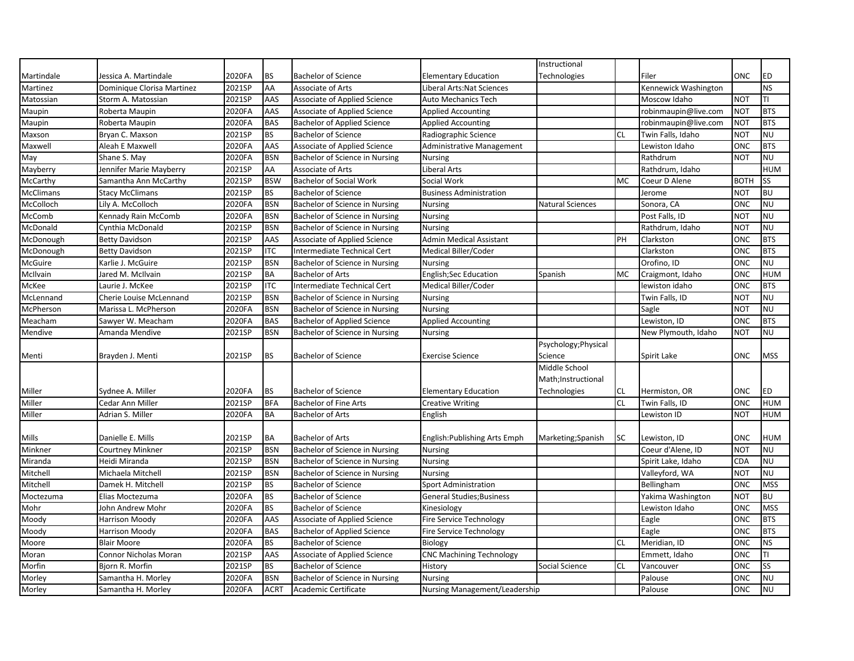|                  |                            |        |             |                                    |                                      | Instructional           |           |                      |             |            |
|------------------|----------------------------|--------|-------------|------------------------------------|--------------------------------------|-------------------------|-----------|----------------------|-------------|------------|
| Martindale       | Jessica A. Martindale      | 2020FA | <b>BS</b>   | <b>Bachelor of Science</b>         | <b>Elementary Education</b>          | Technologies            |           | Filer                | ONC         | <b>ED</b>  |
| Martinez         | Dominique Clorisa Martinez | 2021SP | AA          | Associate of Arts                  | <b>Liberal Arts: Nat Sciences</b>    |                         |           | Kennewick Washington |             | <b>NS</b>  |
| Matossian        | Storm A. Matossian         | 2021SP | AAS         | Associate of Applied Science       | <b>Auto Mechanics Tech</b>           |                         |           | Moscow Idaho         | <b>NOT</b>  | TI         |
| Maupin           | Roberta Maupin             | 2020FA | AAS         | Associate of Applied Science       | <b>Applied Accounting</b>            |                         |           | robinmaupin@live.com | <b>NOT</b>  | <b>BTS</b> |
| Maupin           | Roberta Maupin             | 2020FA | <b>BAS</b>  | <b>Bachelor of Applied Science</b> | <b>Applied Accounting</b>            |                         |           | robinmaupin@live.com | NOT         | <b>BTS</b> |
| Maxson           | Bryan C. Maxson            | 2021SP | <b>BS</b>   | <b>Bachelor of Science</b>         | Radiographic Science                 |                         | <b>CL</b> | Twin Falls, Idaho    | <b>NOT</b>  | <b>NU</b>  |
| Maxwell          | Aleah E Maxwell            | 2020FA | AAS         | Associate of Applied Science       | Administrative Management            |                         |           | Lewiston Idaho       | ONC         | <b>BTS</b> |
| May              | Shane S. May               | 2020FA | <b>BSN</b>  | Bachelor of Science in Nursing     | <b>Nursing</b>                       |                         |           | Rathdrum             | NOT         | <b>NU</b>  |
| Mayberry         | Jennifer Marie Mayberry    | 2021SP | AA          | Associate of Arts                  | Liberal Arts                         |                         |           | Rathdrum, Idaho      |             | <b>HUM</b> |
| McCarthy         | Samantha Ann McCarthy      | 2021SP | <b>BSW</b>  | <b>Bachelor of Social Work</b>     | Social Work                          |                         | <b>MC</b> | Coeur D Alene        | <b>BOTH</b> | SS         |
| <b>McClimans</b> | <b>Stacy McClimans</b>     | 2021SP | <b>BS</b>   | <b>Bachelor of Science</b>         | <b>Business Administration</b>       |                         |           | Jerome               | <b>NOT</b>  | <b>BU</b>  |
| McColloch        | Lily A. McColloch          | 2020FA | <b>BSN</b>  | Bachelor of Science in Nursing     | <b>Nursing</b>                       | <b>Natural Sciences</b> |           | Sonora, CA           | ONC         | <b>NU</b>  |
| McComb           | Kennady Rain McComb        | 2020FA | <b>BSN</b>  | Bachelor of Science in Nursing     | <b>Nursing</b>                       |                         |           | Post Falls, ID       | NOT         | <b>NU</b>  |
| McDonald         | Cynthia McDonald           | 2021SP | <b>BSN</b>  | Bachelor of Science in Nursing     | <b>Nursing</b>                       |                         |           | Rathdrum, Idaho      | <b>NOT</b>  | <b>NU</b>  |
| McDonough        | <b>Betty Davidson</b>      | 2021SP | AAS         | Associate of Applied Science       | <b>Admin Medical Assistant</b>       |                         | PH        | Clarkston            | ONC         | <b>BTS</b> |
| McDonough        | <b>Betty Davidson</b>      | 2021SP | <b>ITC</b>  | Intermediate Technical Cert        | Medical Biller/Coder                 |                         |           | Clarkston            | ONC         | <b>BTS</b> |
| McGuire          | Karlie J. McGuire          | 2021SP | <b>BSN</b>  | Bachelor of Science in Nursing     | <b>Nursing</b>                       |                         |           | Orofino, ID          | ONC         | <b>NU</b>  |
| McIlvain         | Jared M. McIlvain          | 2021SP | <b>BA</b>   | <b>Bachelor of Arts</b>            | <b>English;Sec Education</b>         | Spanish                 | MC        | Craigmont, Idaho     | ONC         | <b>HUM</b> |
| McKee            | Laurie J. McKee            | 2021SP | <b>ITC</b>  | Intermediate Technical Cert        | Medical Biller/Coder                 |                         |           | lewiston idaho       | ONC         | <b>BTS</b> |
| McLennand        | Cherie Louise McLennand    | 2021SP | <b>BSN</b>  | Bachelor of Science in Nursing     | <b>Nursing</b>                       |                         |           | Twin Falls, ID       | <b>NOT</b>  | <b>NU</b>  |
| McPherson        | Marissa L. McPherson       | 2020FA | <b>BSN</b>  | Bachelor of Science in Nursing     | <b>Nursing</b>                       |                         |           | Sagle                | <b>NOT</b>  | <b>NU</b>  |
| Meacham          | Sawyer W. Meacham          | 2020FA | <b>BAS</b>  | <b>Bachelor of Applied Science</b> | <b>Applied Accounting</b>            |                         |           | Lewiston, ID         | ONC         | <b>BTS</b> |
| Mendive          | Amanda Mendive             | 2021SP | <b>BSN</b>  | Bachelor of Science in Nursing     | <b>Nursing</b>                       |                         |           | New Plymouth, Idaho  | NOT         | <b>NU</b>  |
|                  |                            |        |             |                                    |                                      | Psychology; Physical    |           |                      |             |            |
| Menti            | Brayden J. Menti           | 2021SP | <b>BS</b>   | <b>Bachelor of Science</b>         | <b>Exercise Science</b>              | Science                 |           | Spirit Lake          | ONC         | <b>MSS</b> |
|                  |                            |        |             |                                    |                                      | Middle School           |           |                      |             |            |
|                  |                            |        |             |                                    |                                      | Math;Instructional      |           |                      |             |            |
| Miller           | Sydnee A. Miller           | 2020FA | <b>BS</b>   | <b>Bachelor of Science</b>         | <b>Elementary Education</b>          | Technologies            | <b>CL</b> | Hermiston, OR        | ONC         | <b>ED</b>  |
| Miller           | Cedar Ann Miller           | 2021SP | <b>BFA</b>  | <b>Bachelor of Fine Arts</b>       | <b>Creative Writing</b>              |                         | <b>CL</b> | Twin Falls, ID       | ONC         | <b>HUM</b> |
| Miller           | Adrian S. Miller           | 2020FA | <b>BA</b>   | <b>Bachelor of Arts</b>            | English                              |                         |           | Lewiston ID          | <b>NOT</b>  | <b>HUM</b> |
|                  |                            |        |             |                                    |                                      |                         |           |                      |             |            |
| Mills            | Danielle E. Mills          | 2021SP | <b>BA</b>   | <b>Bachelor of Arts</b>            | English: Publishing Arts Emph        | Marketing; Spanish      | SC        | Lewiston, ID         | ONC         | <b>HUM</b> |
| Minkner          | Courtney Minkner           | 2021SP | <b>BSN</b>  | Bachelor of Science in Nursing     | Nursing                              |                         |           | Coeur d'Alene, ID    | <b>NOT</b>  | <b>NU</b>  |
| Miranda          | Heidi Miranda              | 2021SP | <b>BSN</b>  | Bachelor of Science in Nursing     | Nursing                              |                         |           | Spirit Lake, Idaho   | <b>CDA</b>  | <b>NU</b>  |
| Mitchell         | Michaela Mitchell          | 2021SP | <b>BSN</b>  | Bachelor of Science in Nursing     | <b>Nursing</b>                       |                         |           | Valleyford, WA       | <b>NOT</b>  | <b>NU</b>  |
| Mitchell         | Damek H. Mitchell          | 2021SP | <b>BS</b>   | <b>Bachelor of Science</b>         | <b>Sport Administration</b>          |                         |           | Bellingham           | ONC         | <b>MSS</b> |
| Moctezuma        | Elias Moctezuma            | 2020FA | <b>BS</b>   | <b>Bachelor of Science</b>         | <b>General Studies</b> ; Business    |                         |           | Yakima Washington    | <b>NOT</b>  | <b>BU</b>  |
| Mohr             | John Andrew Mohr           | 2020FA | <b>BS</b>   | <b>Bachelor of Science</b>         | Kinesiology                          |                         |           | Lewiston Idaho       | ONC         | <b>MSS</b> |
| Moody            | <b>Harrison Moody</b>      | 2020FA | AAS         | Associate of Applied Science       | Fire Service Technology              |                         |           | Eagle                | ONC         | <b>BTS</b> |
| Moody            | Harrison Moody             | 2020FA | <b>BAS</b>  | <b>Bachelor of Applied Science</b> | Fire Service Technology              |                         |           | Eagle                | ONC         | <b>BTS</b> |
| Moore            | <b>Blair Moore</b>         | 2020FA | <b>BS</b>   | <b>Bachelor of Science</b>         | Biology                              |                         | <b>CL</b> | Meridian, ID         | ONC         | <b>NS</b>  |
| Moran            | Connor Nicholas Moran      | 2021SP | AAS         | Associate of Applied Science       | <b>CNC Machining Technology</b>      |                         |           | Emmett, Idaho        | ONC         | TI         |
| Morfin           | Bjorn R. Morfin            | 2021SP | <b>BS</b>   | <b>Bachelor of Science</b>         | History                              | Social Science          | <b>CL</b> | Vancouver            | ONC         | <b>SS</b>  |
| Morley           | Samantha H. Morley         | 2020FA | <b>BSN</b>  | Bachelor of Science in Nursing     | <b>Nursing</b>                       |                         |           | Palouse              | ONC         | <b>NU</b>  |
| Morley           | Samantha H. Morley         | 2020FA | <b>ACRT</b> | Academic Certificate               | <b>Nursing Management/Leadership</b> |                         |           | Palouse              | ONC         | <b>NU</b>  |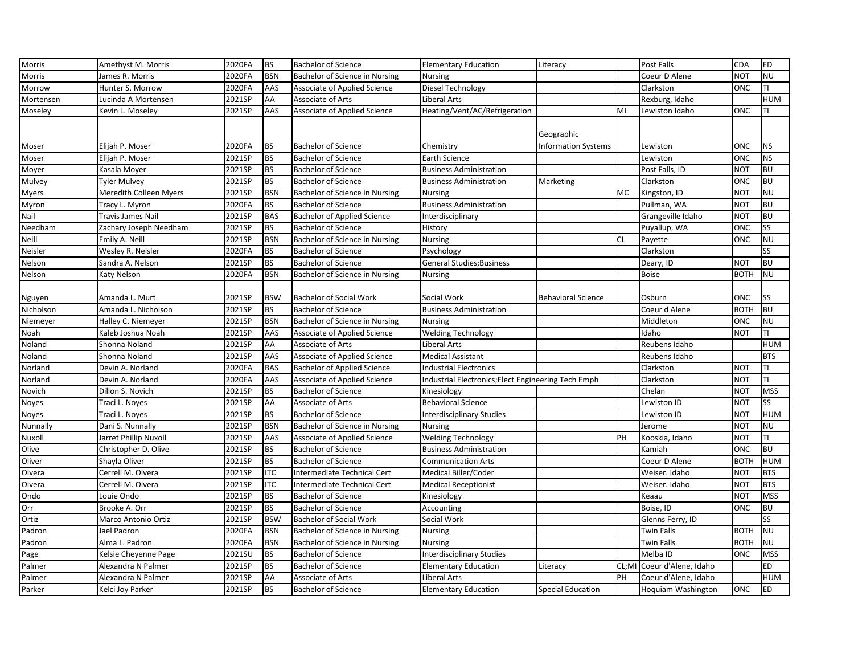| <b>Morris</b> | Amethyst M. Morris       | 2020FA | <b>BS</b>  | <b>Bachelor of Science</b>         | <b>Elementary Education</b>                         | Literacy                   |           | Post Falls           | <b>CDA</b>  | <b>ED</b>  |
|---------------|--------------------------|--------|------------|------------------------------------|-----------------------------------------------------|----------------------------|-----------|----------------------|-------------|------------|
| Morris        | James R. Morris          | 2020FA | <b>BSN</b> | Bachelor of Science in Nursing     | <b>Nursing</b>                                      |                            |           | Coeur D Alene        | <b>NOT</b>  | <b>NU</b>  |
| Morrow        | Hunter S. Morrow         | 2020FA | AAS        | Associate of Applied Science       | Diesel Technology                                   |                            |           | Clarkston            | ONC         | TΙ         |
| Mortensen     | Lucinda A Mortensen      | 2021SP | AA         | Associate of Arts                  | Liberal Arts                                        |                            |           | Rexburg, Idaho       |             | <b>HUM</b> |
| Moseley       | Kevin L. Moseley         | 2021SP | AAS        | Associate of Applied Science       | Heating/Vent/AC/Refrigeration                       |                            | MI        | Lewiston Idaho       | ONC         | TI         |
|               |                          |        |            |                                    |                                                     |                            |           |                      |             |            |
|               |                          |        |            |                                    |                                                     | Geographic                 |           |                      |             |            |
| Moser         | Elijah P. Moser          | 2020FA | BS         | <b>Bachelor of Science</b>         | Chemistry                                           | <b>Information Systems</b> |           | Lewiston             | <b>ONC</b>  | <b>NS</b>  |
| Moser         | Elijah P. Moser          | 2021SP | <b>BS</b>  | <b>Bachelor of Science</b>         | Earth Science                                       |                            |           | Lewiston             | <b>ONC</b>  | <b>NS</b>  |
| Moyer         | Kasala Moyer             | 2021SP | <b>BS</b>  | <b>Bachelor of Science</b>         | <b>Business Administration</b>                      |                            |           | Post Falls, ID       | <b>NOT</b>  | <b>BU</b>  |
| Mulvey        | <b>Tyler Mulvey</b>      | 2021SP | <b>BS</b>  | <b>Bachelor of Science</b>         | <b>Business Administration</b>                      | Marketing                  |           | Clarkston            | <b>ONC</b>  | <b>BU</b>  |
| Myers         | Meredith Colleen Myers   | 2021SP | <b>BSN</b> | Bachelor of Science in Nursing     | <b>Nursing</b>                                      |                            | МC        | Kingston, ID         | <b>NOT</b>  | <b>NU</b>  |
| Myron         | Tracy L. Myron           | 2020FA | <b>BS</b>  | <b>Bachelor of Science</b>         | <b>Business Administration</b>                      |                            |           | Pullman, WA          | <b>NOT</b>  | <b>BU</b>  |
| Nail          | <b>Travis James Nail</b> | 2021SP | <b>BAS</b> | <b>Bachelor of Applied Science</b> | Interdisciplinary                                   |                            |           | Grangeville Idaho    | <b>NOT</b>  | <b>BU</b>  |
| Needham       | Zachary Joseph Needham   | 2021SP | <b>BS</b>  | <b>Bachelor of Science</b>         | History                                             |                            |           | Puyallup, WA         | ONC         | SS         |
| Neill         | Emily A. Neill           | 2021SP | <b>BSN</b> | Bachelor of Science in Nursing     | <b>Nursing</b>                                      |                            | <b>CL</b> | Payette              | ONC         | <b>NU</b>  |
| Neisler       | Wesley R. Neisler        | 2020FA | <b>BS</b>  | <b>Bachelor of Science</b>         | Psychology                                          |                            |           | Clarkston            |             | SS         |
| Nelson        | Sandra A. Nelson         | 2021SP | <b>BS</b>  | <b>Bachelor of Science</b>         | <b>General Studies; Business</b>                    |                            |           | Deary, ID            | <b>NOT</b>  | <b>BU</b>  |
| Nelson        | Katy Nelson              | 2020FA | <b>BSN</b> | Bachelor of Science in Nursing     | <b>Nursing</b>                                      |                            |           | <b>Boise</b>         | <b>BOTH</b> | <b>NU</b>  |
|               |                          |        |            |                                    |                                                     |                            |           |                      |             |            |
| Nguyen        | Amanda L. Murt           | 2021SP | <b>BSW</b> | <b>Bachelor of Social Work</b>     | Social Work                                         | <b>Behavioral Science</b>  |           | Osburn               | <b>ONC</b>  | SS         |
| Nicholson     | Amanda L. Nicholson      | 2021SP | <b>BS</b>  | <b>Bachelor of Science</b>         | <b>Business Administration</b>                      |                            |           | Coeur d Alene        | <b>BOTH</b> | <b>BU</b>  |
| Niemeyer      | Halley C. Niemeyer       | 2021SP | <b>BSN</b> | Bachelor of Science in Nursing     | <b>Nursing</b>                                      |                            |           | Middleton            | <b>ONC</b>  | <b>NU</b>  |
| Noah          | Kaleb Joshua Noah        | 2021SP | AAS        | Associate of Applied Science       | <b>Welding Technology</b>                           |                            |           | Idaho                | <b>NOT</b>  | TI         |
| Noland        | Shonna Noland            | 2021SP | AA         | Associate of Arts                  | Liberal Arts                                        |                            |           | Reubens Idaho        |             | <b>HUM</b> |
| Noland        | Shonna Noland            | 2021SP | AAS        | Associate of Applied Science       | <b>Medical Assistant</b>                            |                            |           | Reubens Idaho        |             | <b>BTS</b> |
| Norland       | Devin A. Norland         | 2020FA | <b>BAS</b> | <b>Bachelor of Applied Science</b> | <b>Industrial Electronics</b>                       |                            |           | Clarkston            | <b>NOT</b>  | TI         |
| Norland       | Devin A. Norland         | 2020FA | AAS        | Associate of Applied Science       | Industrial Electronics; Elect Engineering Tech Emph |                            |           | Clarkston            | <b>NOT</b>  | TI         |
| Novich        | Dillon S. Novich         | 2021SP | <b>BS</b>  | <b>Bachelor of Science</b>         | Kinesiology                                         |                            |           | Chelan               | NOT         | <b>MSS</b> |
| Noyes         | Traci L. Noyes           | 2021SP | AA         | Associate of Arts                  | <b>Behavioral Science</b>                           |                            |           | Lewiston ID          | <b>NOT</b>  | SS         |
| Noyes         | Traci L. Noyes           | 2021SP | <b>BS</b>  | <b>Bachelor of Science</b>         | <b>Interdisciplinary Studies</b>                    |                            |           | Lewiston ID          | <b>NOT</b>  | <b>HUM</b> |
| Nunnally      | Dani S. Nunnally         | 2021SP | <b>BSN</b> | Bachelor of Science in Nursing     | <b>Nursing</b>                                      |                            |           | Jerome               | <b>NOT</b>  | <b>NU</b>  |
| Nuxoll        | Jarret Phillip Nuxoll    | 2021SP | AAS        | Associate of Applied Science       | <b>Welding Technology</b>                           |                            | PH        | Kooskia, Idaho       | <b>NOT</b>  | TI         |
| Olive         | Christopher D. Olive     | 2021SP | <b>BS</b>  | <b>Bachelor of Science</b>         | <b>Business Administration</b>                      |                            |           | Kamiah               | <b>ONC</b>  | <b>BU</b>  |
| Oliver        | Shayla Oliver            | 2021SP | <b>BS</b>  | <b>Bachelor of Science</b>         | <b>Communication Arts</b>                           |                            |           | Coeur D Alene        | <b>BOTH</b> | <b>HUM</b> |
| Olvera        | Cerrell M. Olvera        | 2021SP | <b>ITC</b> | Intermediate Technical Cert        | Medical Biller/Coder                                |                            |           | Weiser. Idaho        | <b>NOT</b>  | <b>BTS</b> |
| Olvera        | Cerrell M. Olvera        | 2021SP | <b>ITC</b> | Intermediate Technical Cert        | <b>Medical Receptionist</b>                         |                            |           | Weiser. Idaho        | <b>NOT</b>  | <b>BTS</b> |
| Ondo          | Louie Ondo               | 2021SP | <b>BS</b>  | <b>Bachelor of Science</b>         | Kinesiology                                         |                            |           | Keaau                | <b>NOT</b>  | <b>MSS</b> |
| Orr           | Brooke A. Orr            | 2021SP | BS         | <b>Bachelor of Science</b>         | Accounting                                          |                            |           | Boise, ID            | ONC         | <b>BU</b>  |
| Ortiz         | Marco Antonio Ortiz      | 2021SP | <b>BSW</b> | <b>Bachelor of Social Work</b>     | Social Work                                         |                            |           | Glenns Ferry, ID     |             | SS         |
| Padron        | Jael Padron              | 2020FA | <b>BSN</b> | Bachelor of Science in Nursing     | <b>Nursing</b>                                      |                            |           | Twin Falls           | <b>BOTH</b> | <b>NU</b>  |
| Padron        | Alma L. Padron           | 2020FA | <b>BSN</b> | Bachelor of Science in Nursing     | <b>Nursing</b>                                      |                            |           | <b>Twin Falls</b>    | <b>BOTH</b> | <b>NU</b>  |
| Page          | Kelsie Cheyenne Page     | 2021SU | <b>BS</b>  | <b>Bachelor of Science</b>         | <b>Interdisciplinary Studies</b>                    |                            |           | Melba ID             | <b>ONC</b>  | <b>MSS</b> |
| Palmer        | Alexandra N Palmer       | 2021SP | <b>BS</b>  | <b>Bachelor of Science</b>         | <b>Elementary Education</b>                         | Literacy                   | CL;MI     | Coeur d'Alene, Idaho |             | ED         |
| Palmer        | Alexandra N Palmer       | 2021SP | AA         | Associate of Arts                  | Liberal Arts                                        |                            | PH        | Coeur d'Alene, Idaho |             | <b>HUM</b> |
| Parker        | Kelci Joy Parker         | 2021SP | <b>BS</b>  | <b>Bachelor of Science</b>         | <b>Elementary Education</b>                         | <b>Special Education</b>   |           | Hoquiam Washington   | <b>ONC</b>  | <b>ED</b>  |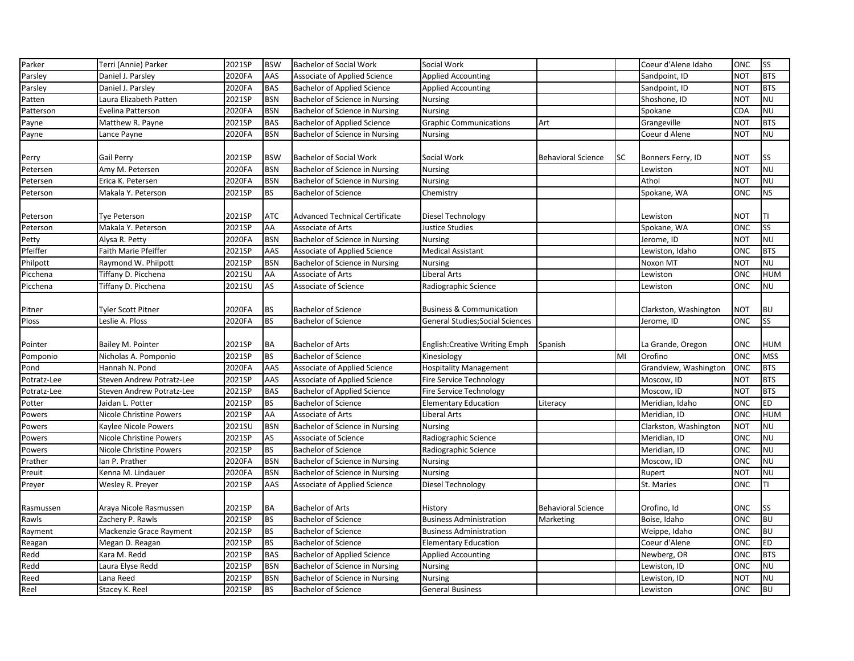| Parker          | Terri (Annie) Parker      | 2021SP | <b>BSW</b> | <b>Bachelor of Social Work</b>        | Social Work                             |                           |    | Coeur d'Alene Idaho   | <b>ONC</b> | <b>SS</b>              |
|-----------------|---------------------------|--------|------------|---------------------------------------|-----------------------------------------|---------------------------|----|-----------------------|------------|------------------------|
| Parsley         | Daniel J. Parsley         | 2020FA | AAS        | Associate of Applied Science          | <b>Applied Accounting</b>               |                           |    | Sandpoint, ID         | <b>NOT</b> | <b>BTS</b>             |
| Parsley         | Daniel J. Parsley         | 2020FA | <b>BAS</b> | <b>Bachelor of Applied Science</b>    | <b>Applied Accounting</b>               |                           |    | Sandpoint, ID         | <b>NOT</b> | <b>BTS</b>             |
| Patten          | Laura Elizabeth Patten    | 2021SP | <b>BSN</b> | Bachelor of Science in Nursing        | Nursing                                 |                           |    | Shoshone, ID          | <b>NOT</b> | <b>NU</b>              |
| Patterson       | Evelina Patterson         | 2020FA | <b>BSN</b> | Bachelor of Science in Nursing        | <b>Nursing</b>                          |                           |    | Spokane               | CDA        | <b>NU</b>              |
| Payne           | Matthew R. Payne          | 2021SP | <b>BAS</b> | <b>Bachelor of Applied Science</b>    | <b>Graphic Communications</b>           | Art                       |    | Grangeville           | NOT        | <b>BTS</b>             |
| Payne           | Lance Payne               | 2020FA | <b>BSN</b> | Bachelor of Science in Nursing        | <b>Nursing</b>                          |                           |    | Coeur d Alene         | <b>NOT</b> | <b>NU</b>              |
|                 |                           |        |            |                                       |                                         |                           |    |                       |            |                        |
| Perry           | Gail Perry                | 2021SP | <b>BSW</b> | Bachelor of Social Work               | Social Work                             | <b>Behavioral Science</b> | SC | Bonners Ferry, ID     | <b>NOT</b> | SS                     |
| Petersen        | Amy M. Petersen           | 2020FA | <b>BSN</b> | Bachelor of Science in Nursing        | <b>Nursing</b>                          |                           |    | Lewiston              | <b>NOT</b> | <b>NU</b>              |
| Petersen        | Erica K. Petersen         | 2020FA | <b>BSN</b> | Bachelor of Science in Nursing        | <b>Nursing</b>                          |                           |    | Athol                 | <b>NOT</b> | <b>NU</b>              |
| Peterson        | Makala Y. Peterson        | 2021SP | <b>BS</b>  | <b>Bachelor of Science</b>            | Chemistry                               |                           |    | Spokane, WA           | <b>ONC</b> | <b>NS</b>              |
|                 |                           |        |            |                                       |                                         |                           |    |                       |            |                        |
| Peterson        | Tye Peterson              | 2021SP | <b>ATC</b> | <b>Advanced Technical Certificate</b> | Diesel Technology                       |                           |    | Lewiston              | <b>NOT</b> | TI                     |
| <b>Peterson</b> | Makala Y. Peterson        | 2021SP | AA         | Associate of Arts                     | <b>Justice Studies</b>                  |                           |    | Spokane, WA           | <b>ONC</b> | SS                     |
| Petty           | Alysa R. Petty            | 2020FA | <b>BSN</b> | Bachelor of Science in Nursing        | <b>Nursing</b>                          |                           |    | Jerome, ID            | <b>NOT</b> | <b>NU</b>              |
| Pfeiffer        | Faith Marie Pfeiffer      | 2021SP | AAS        | <b>Associate of Applied Science</b>   | <b>Medical Assistant</b>                |                           |    | Lewiston, Idaho       | <b>ONC</b> | <b>BTS</b>             |
| Philpott        | Raymond W. Philpott       | 2021SP | <b>BSN</b> | Bachelor of Science in Nursing        | <b>Nursing</b>                          |                           |    | Noxon MT              | <b>NOT</b> | <b>NU</b>              |
| Picchena        | Tiffany D. Picchena       | 2021SU | AA         | Associate of Arts                     | <b>Liberal Arts</b>                     |                           |    | Lewiston              | <b>ONC</b> | <b>HUM</b>             |
| Picchena        | Tiffany D. Picchena       | 2021SU | AS         | Associate of Science                  | Radiographic Science                    |                           |    | Lewiston              | <b>ONC</b> | <b>NU</b>              |
|                 |                           |        |            |                                       |                                         |                           |    |                       |            |                        |
| Pitner          | Tyler Scott Pitner        | 2020FA | <b>BS</b>  | <b>Bachelor of Science</b>            | <b>Business &amp; Communication</b>     |                           |    | Clarkston, Washington | <b>NOT</b> | <b>BU</b>              |
| Ploss           | Leslie A. Ploss           | 2020FA | <b>BS</b>  | <b>Bachelor of Science</b>            | <b>General Studies; Social Sciences</b> |                           |    | Jerome, ID            | <b>ONC</b> | SS                     |
|                 |                           |        |            |                                       |                                         |                           |    |                       |            |                        |
| Pointer         | Bailey M. Pointer         | 2021SP | <b>BA</b>  | <b>Bachelor of Arts</b>               | <b>English:Creative Writing Emph</b>    | Spanish                   |    | La Grande, Oregon     | <b>ONC</b> | <b>HUM</b>             |
| Pomponio        | Nicholas A. Pomponio      | 2021SP | <b>BS</b>  | <b>Bachelor of Science</b>            | Kinesiology                             |                           | MI | Orofino               | <b>ONC</b> | <b>MSS</b>             |
| Pond            | Hannah N. Pond            | 2020FA | AAS        | <b>Associate of Applied Science</b>   | <b>Hospitality Management</b>           |                           |    | Grandview, Washington | <b>ONC</b> | <b>BTS</b>             |
| Potratz-Lee     | Steven Andrew Potratz-Lee | 2021SP | AAS        | Associate of Applied Science          | <b>Fire Service Technology</b>          |                           |    | Moscow, ID            | <b>NOT</b> | <b>BTS</b>             |
| Potratz-Lee     | Steven Andrew Potratz-Lee | 2021SP | <b>BAS</b> | <b>Bachelor of Applied Science</b>    | <b>Fire Service Technology</b>          |                           |    | Moscow, ID            | <b>NOT</b> | <b>BTS</b>             |
| Potter          | Jaidan L. Potter          | 2021SP | <b>BS</b>  | <b>Bachelor of Science</b>            | <b>Elementary Education</b>             | Literacy                  |    | Meridian, Idaho       | ONC        | ED                     |
| Powers          | Nicole Christine Powers   | 2021SP | AA         | Associate of Arts                     | Liberal Arts                            |                           |    | Meridian, ID          | <b>ONC</b> | <b>HUM</b>             |
| Powers          | Kaylee Nicole Powers      | 2021SU | <b>BSN</b> | Bachelor of Science in Nursing        | <b>Nursing</b>                          |                           |    | Clarkston, Washington | <b>NOT</b> | <b>NU</b>              |
| Powers          | Nicole Christine Powers   | 2021SP | AS         | Associate of Science                  | Radiographic Science                    |                           |    | Meridian, ID          | <b>ONC</b> | <b>NU</b>              |
| Powers          | Nicole Christine Powers   | 2021SP | <b>BS</b>  | <b>Bachelor of Science</b>            | Radiographic Science                    |                           |    | Meridian, ID          | ONC        | <b>NU</b>              |
| Prather         | Ian P. Prather            | 2020FA | <b>BSN</b> | Bachelor of Science in Nursing        | Nursing                                 |                           |    | Moscow, ID            | ONC        | <b>NU</b>              |
| Preuit          | Kenna M. Lindauer         | 2020FA | <b>BSN</b> | Bachelor of Science in Nursing        | <b>Nursing</b>                          |                           |    | Rupert                | <b>NOT</b> | <b>NU</b>              |
| Preyer          | Wesley R. Preyer          | 2021SP | AAS        | <b>Associate of Applied Science</b>   | Diesel Technology                       |                           |    | St. Maries            | <b>ONC</b> | TI                     |
|                 |                           |        |            |                                       |                                         |                           |    |                       |            |                        |
| Rasmussen       | Araya Nicole Rasmussen    | 2021SP | <b>BA</b>  | <b>Bachelor of Arts</b>               | History                                 | <b>Behavioral Science</b> |    | Orofino, Id           | ONC        | <b>SS</b>              |
| Rawls           | Zachery P. Rawls          | 2021SP | <b>BS</b>  | <b>Bachelor of Science</b>            | <b>Business Administration</b>          | Marketing                 |    | Boise, Idaho          | ONC        | <b>BU</b>              |
| Rayment         | Mackenzie Grace Rayment   | 2021SP | <b>BS</b>  | <b>Bachelor of Science</b>            | <b>Business Administration</b>          |                           |    | Weippe, Idaho         | ONC        | <b>BU</b>              |
| Reagan          | Megan D. Reagan           | 2021SP | <b>BS</b>  | <b>Bachelor of Science</b>            | <b>Elementary Education</b>             |                           |    | Coeur d'Alene         | <b>ONC</b> | ED                     |
| Redd            | Kara M. Redd              | 2021SP | <b>BAS</b> | <b>Bachelor of Applied Science</b>    | <b>Applied Accounting</b>               |                           |    | Newberg, OR           | ONC        | <b>BTS</b>             |
| Redd            |                           |        |            |                                       |                                         |                           |    |                       |            |                        |
|                 | Laura Elyse Redd          | 2021SP | <b>BSN</b> | Bachelor of Science in Nursing        | Nursing                                 |                           |    | Lewiston, ID          | <b>ONC</b> | <b>NU</b>              |
| Reed<br>Reel    | Lana Reed                 | 2021SP | <b>BSN</b> | Bachelor of Science in Nursing        | <b>Nursing</b>                          |                           |    | Lewiston, ID          | <b>NOT</b> | <b>NU</b><br><b>BU</b> |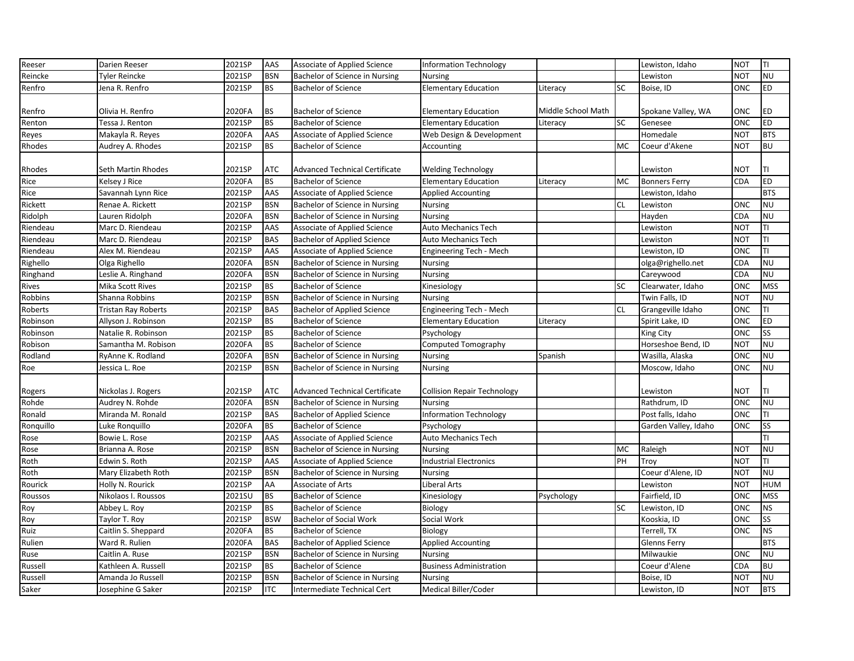| Reeser    | Darien Reeser       | 2021SP | AAS        | Associate of Applied Science          | <b>Information Technology</b>      |                    |           | Lewiston, Idaho      | <b>NOT</b> | IΤΙ        |
|-----------|---------------------|--------|------------|---------------------------------------|------------------------------------|--------------------|-----------|----------------------|------------|------------|
| Reincke   | Tyler Reincke       | 2021SP | <b>BSN</b> | Bachelor of Science in Nursing        | <b>Nursing</b>                     |                    |           | Lewiston             | <b>NOT</b> | <b>NU</b>  |
| Renfro    | Jena R. Renfro      | 2021SP | <b>BS</b>  | <b>Bachelor of Science</b>            | <b>Elementary Education</b>        | Literacy           | <b>SC</b> | Boise, ID            | ONC        | <b>ED</b>  |
|           |                     |        |            |                                       |                                    |                    |           |                      |            |            |
| Renfro    | Olivia H. Renfro    | 2020FA | <b>BS</b>  | <b>Bachelor of Science</b>            | <b>Elementary Education</b>        | Middle School Math |           | Spokane Valley, WA   | ONC        | <b>ED</b>  |
| Renton    | Tessa J. Renton     | 2021SP | <b>BS</b>  | <b>Bachelor of Science</b>            | <b>Elementary Education</b>        | Literacy           | <b>SC</b> | Genesee              | ONC        | <b>ED</b>  |
| Reyes     | Makayla R. Reyes    | 2020FA | AAS        | Associate of Applied Science          | Web Design & Development           |                    |           | Homedale             | <b>NOT</b> | <b>BTS</b> |
| Rhodes    | Audrey A. Rhodes    | 2021SP | <b>BS</b>  | <b>Bachelor of Science</b>            | Accounting                         |                    | MC        | Coeur d'Akene        | <b>NOT</b> | <b>BU</b>  |
|           |                     |        |            |                                       |                                    |                    |           |                      |            |            |
| Rhodes    | Seth Martin Rhodes  | 2021SP | <b>ATC</b> | <b>Advanced Technical Certificate</b> | <b>Welding Technology</b>          |                    |           | Lewiston             | NOT        | TI         |
| Rice      | Kelsey J Rice       | 2020FA | <b>BS</b>  | <b>Bachelor of Science</b>            | <b>Elementary Education</b>        | Literacy           | <b>MC</b> | <b>Bonners Ferry</b> | CDA        | <b>ED</b>  |
| Rice      | Savannah Lynn Rice  | 2021SP | AAS        | Associate of Applied Science          | <b>Applied Accounting</b>          |                    |           | Lewiston, Idaho      |            | <b>BTS</b> |
| Rickett   | Renae A. Rickett    | 2021SP | <b>BSN</b> | Bachelor of Science in Nursing        | <b>Nursing</b>                     |                    | <b>CL</b> | Lewiston             | ONC        | <b>NU</b>  |
| Ridolph   | Lauren Ridolph      | 2020FA | <b>BSN</b> | Bachelor of Science in Nursing        | <b>Nursing</b>                     |                    |           | Hayden               | CDA        | <b>NU</b>  |
| Riendeau  | Marc D. Riendeau    | 2021SP | AAS        | Associate of Applied Science          | <b>Auto Mechanics Tech</b>         |                    |           | Lewiston             | <b>NOT</b> | TI         |
| Riendeau  | Marc D. Riendeau    | 2021SP | <b>BAS</b> | <b>Bachelor of Applied Science</b>    | Auto Mechanics Tech                |                    |           | Lewiston             | <b>NOT</b> | TI         |
| Riendeau  | Alex M. Riendeau    | 2021SP | AAS        | Associate of Applied Science          | Engineering Tech - Mech            |                    |           | Lewiston, ID         | ONC        | TI         |
| Righello  | Olga Righello       | 2020FA | <b>BSN</b> | Bachelor of Science in Nursing        | Nursing                            |                    |           | olga@righello.net    | CDA        | NU         |
| Ringhand  | Leslie A. Ringhand  | 2020FA | <b>BSN</b> | Bachelor of Science in Nursing        | <b>Nursing</b>                     |                    |           | Careywood            | CDA        | <b>NU</b>  |
| Rives     | Mika Scott Rives    | 2021SP | <b>BS</b>  | <b>Bachelor of Science</b>            | Kinesiology                        |                    | <b>SC</b> | Clearwater, Idaho    | ONC        | <b>MSS</b> |
| Robbins   | Shanna Robbins      | 2021SP | <b>BSN</b> | Bachelor of Science in Nursing        | <b>Nursing</b>                     |                    |           | Twin Falls, ID       | <b>NOT</b> | <b>NU</b>  |
| Roberts   | Tristan Ray Roberts | 2021SP | <b>BAS</b> | <b>Bachelor of Applied Science</b>    | Engineering Tech - Mech            |                    | <b>CL</b> | Grangeville Idaho    | ONC        | TI         |
| Robinson  | Allyson J. Robinson | 2021SP | <b>BS</b>  | <b>Bachelor of Science</b>            | <b>Elementary Education</b>        | Literacy           |           | Spirit Lake, ID      | ONC        | <b>ED</b>  |
| Robinson  | Natalie R. Robinson | 2021SP | <b>BS</b>  | <b>Bachelor of Science</b>            | Psychology                         |                    |           | King City            | <b>ONC</b> | <b>SS</b>  |
| Robison   | Samantha M. Robison | 2020FA | <b>BS</b>  | <b>Bachelor of Science</b>            | Computed Tomography                |                    |           | Horseshoe Bend, ID   | <b>NOT</b> | <b>NU</b>  |
| Rodland   | RyAnne K. Rodland   | 2020FA | <b>BSN</b> | Bachelor of Science in Nursing        | <b>Nursing</b>                     | Spanish            |           | Wasilla, Alaska      | ONC        | <b>NU</b>  |
| Roe       | Jessica L. Roe      | 2021SP | <b>BSN</b> | Bachelor of Science in Nursing        | <b>Nursing</b>                     |                    |           | Moscow, Idaho        | ONC        | <b>NU</b>  |
|           |                     |        |            |                                       |                                    |                    |           |                      |            |            |
| Rogers    | Nickolas J. Rogers  | 2021SP | <b>ATC</b> | <b>Advanced Technical Certificate</b> | <b>Collision Repair Technology</b> |                    |           | Lewiston             | NOT        | I⊤ı        |
| Rohde     | Audrey N. Rohde     | 2020FA | <b>BSN</b> | Bachelor of Science in Nursing        | <b>Nursing</b>                     |                    |           | Rathdrum, ID         | ONC        | <b>NU</b>  |
| Ronald    | Miranda M. Ronald   | 2021SP | <b>BAS</b> | <b>Bachelor of Applied Science</b>    | <b>Information Technology</b>      |                    |           | Post falls, Idaho    | <b>ONC</b> | TI         |
| Ronquillo | Luke Ronquillo      | 2020FA | <b>BS</b>  | <b>Bachelor of Science</b>            | Psychology                         |                    |           | Garden Valley, Idaho | ONC        | <b>SS</b>  |
| Rose      | Bowie L. Rose       | 2021SP | AAS        | Associate of Applied Science          | <b>Auto Mechanics Tech</b>         |                    |           |                      |            | TI         |
| Rose      | Brianna A. Rose     | 2021SP | <b>BSN</b> | Bachelor of Science in Nursing        | Nursing                            |                    | MC        | Raleigh              | <b>NOT</b> | <b>NU</b>  |
| Roth      | Edwin S. Roth       | 2021SP | <b>AAS</b> | Associate of Applied Science          | <b>Industrial Electronics</b>      |                    | PH        | Troy                 | <b>NOT</b> | TΙ         |
| Roth      | Mary Elizabeth Roth | 2021SP | <b>BSN</b> | Bachelor of Science in Nursing        | Nursing                            |                    |           | Coeur d'Alene, ID    | <b>NOT</b> | <b>NU</b>  |
| Rourick   | Holly N. Rourick    | 2021SP | AA         | Associate of Arts                     | Liberal Arts                       |                    |           | Lewiston             | <b>NOT</b> | <b>HUM</b> |
| Roussos   | Nikolaos I. Roussos | 2021SU | <b>BS</b>  | <b>Bachelor of Science</b>            | Kinesiology                        | Psychology         |           | Fairfield, ID        | ONC        | <b>MSS</b> |
| Roy       | Abbey L. Roy        | 2021SP | <b>BS</b>  | <b>Bachelor of Science</b>            | Biology                            |                    | <b>SC</b> | Lewiston, ID         | ONC        | <b>NS</b>  |
| Roy       | Taylor T. Roy       | 2021SP | <b>BSW</b> | Bachelor of Social Work               | Social Work                        |                    |           | Kooskia, ID          | ONC        | <b>SS</b>  |
| Ruiz      | Caitlin S. Sheppard | 2020FA | <b>BS</b>  | <b>Bachelor of Science</b>            | Biology                            |                    |           | Terrell, TX          | ONC        | <b>NS</b>  |
| Rulien    | Ward R. Rulien      | 2020FA | <b>BAS</b> | <b>Bachelor of Applied Science</b>    | <b>Applied Accounting</b>          |                    |           | Glenns Ferry         |            | <b>BTS</b> |
| Ruse      | Caitlin A. Ruse     | 2021SP | <b>BSN</b> | Bachelor of Science in Nursing        | <b>Nursing</b>                     |                    |           | Milwaukie            | ONC        | <b>NU</b>  |
| Russell   | Kathleen A. Russel  | 2021SP | <b>BS</b>  | <b>Bachelor of Science</b>            | <b>Business Administration</b>     |                    |           | Coeur d'Alene        | CDA        | <b>BU</b>  |
| Russell   | Amanda Jo Russell   | 2021SP | <b>BSN</b> | Bachelor of Science in Nursing        | <b>Nursing</b>                     |                    |           | Boise, ID            | <b>NOT</b> | <b>NU</b>  |
| Saker     | Josephine G Saker   | 2021SP | <b>ITC</b> | Intermediate Technical Cert           | Medical Biller/Coder               |                    |           | Lewiston, ID         | <b>NOT</b> | <b>BTS</b> |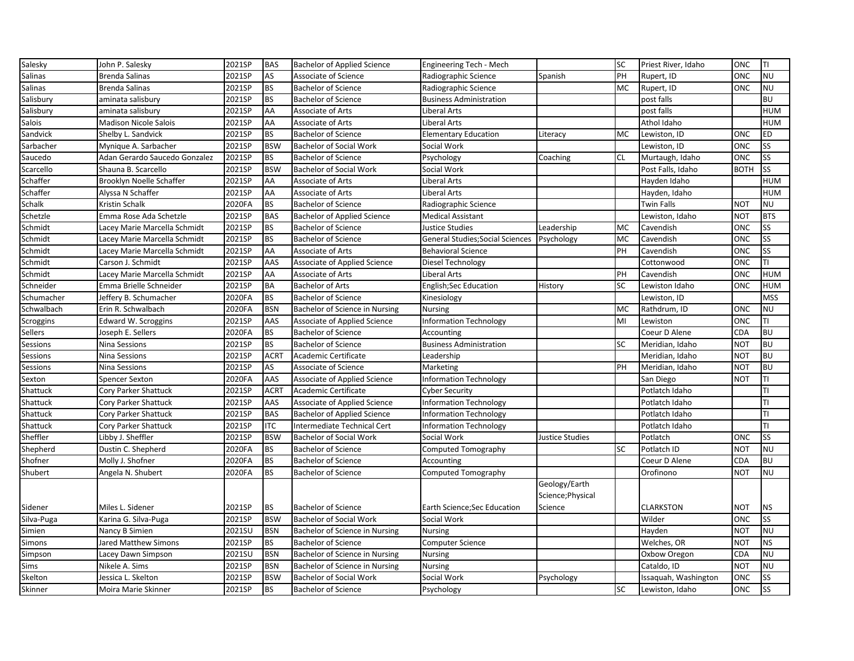| Salinas<br><b>NU</b><br>2021SP<br>AS<br>Associate of Science<br>PH<br>ONC<br>Brenda Salinas<br>Radiographic Science<br>Spanish<br>Rupert, ID<br>2021SP<br><b>NU</b><br>Salinas<br><b>Brenda Salinas</b><br><b>BS</b><br><b>Bachelor of Science</b><br>Radiographic Science<br>MC<br>Rupert, ID<br>ONC<br>Salisbury<br>2021SP<br><b>BS</b><br><b>BU</b><br>aminata salisbury<br><b>Bachelor of Science</b><br><b>Business Administration</b><br>post falls<br>Salisbury<br>2021SP<br>AA<br><b>HUM</b><br>aminata salisbury<br>Associate of Arts<br>Liberal Arts<br>post falls<br>Salois<br>2021SP<br><b>HUM</b><br>AA<br>Liberal Arts<br>Athol Idaho<br>Madison Nicole Salois<br>Associate of Arts<br>Sandvick<br>2021SP<br><b>BS</b><br><b>ONC</b><br>Shelby L. Sandvick<br><b>Bachelor of Science</b><br><b>Elementary Education</b><br>MC<br>Lewiston, ID<br><b>ED</b><br>Literacy<br>2021SP<br><b>BSW</b><br><b>SS</b><br>Sarbacher<br>ONC<br>Mynique A. Sarbacher<br>Bachelor of Social Work<br>Social Work<br>Lewiston, ID<br>2021SP<br><b>BS</b><br><b>SS</b><br>Saucedo<br>Adan Gerardo Saucedo Gonzalez<br><b>Bachelor of Science</b><br><b>CL</b><br>Murtaugh, Idaho<br>ONC<br>Psychology<br>Coaching<br>Scarcello<br><b>SS</b><br>2021SP<br><b>BSW</b><br>Post Falls, Idaho<br><b>BOTH</b><br>Shauna B. Scarcello<br><b>Bachelor of Social Work</b><br>Social Work<br>2021SP<br><b>HUM</b><br>Brooklyn Noelle Schaffer<br>AA<br>Liberal Arts<br>Hayden Idaho<br>Associate of Arts<br>Schaffer<br>2021SP<br><b>HUM</b><br>AA<br>Associate of Arts<br>Liberal Arts<br>Hayden, Idaho<br>Alyssa N Schaffer<br>Schalk<br>2020FA<br><b>BS</b><br><b>Twin Falls</b><br><b>NU</b><br>Kristin Schalk<br><b>Bachelor of Science</b><br>NOT<br>Radiographic Science<br><b>BTS</b><br>Emma Rose Ada Schetzle<br>2021SP<br><b>BAS</b><br><b>NOT</b><br><b>Bachelor of Applied Science</b><br><b>Medical Assistant</b><br>Lewiston, Idaho<br>Schmidt<br>Lacey Marie Marcella Schmidt<br>2021SP<br><b>BS</b><br><b>Bachelor of Science</b><br>Leadership<br>ONC<br><b>SS</b><br>Justice Studies<br>MC<br>Cavendish<br>2021SP<br><b>BS</b><br>MC<br><b>SS</b><br>Schmidt<br><b>General Studies; Social Sciences</b><br>Cavendish<br>ONC<br>Lacey Marie Marcella Schmidt<br><b>Bachelor of Science</b><br>Psychology<br>Schmidt<br><b>SS</b><br>2021SP<br>AA<br>PH<br><b>ONC</b><br>Lacey Marie Marcella Schmidt<br>Associate of Arts<br><b>Behavioral Science</b><br>Cavendish<br>TI<br>2021SP<br>ONC<br>Carson J. Schmidt<br>AAS<br>Cottonwood<br>Associate of Applied Science<br>Diesel Technology<br>2021SP<br>Schmidt<br>AA<br>PH<br>Cavendish<br>ONC<br><b>HUM</b><br>Lacey Marie Marcella Schmidt<br>Associate of Arts<br>Liberal Arts<br>2021SP<br><b>BA</b><br><b>Bachelor of Arts</b><br><b>SC</b><br>ONC<br><b>HUM</b><br>Emma Brielle Schneider<br>English;Sec Education<br>History<br>Lewiston Idaho<br>Schumacher<br>2020FA<br><b>BS</b><br><b>MSS</b><br>Jeffery B. Schumacher<br><b>Bachelor of Science</b><br>Lewiston, ID<br>Kinesiology<br><b>BSN</b><br><b>NU</b><br>Schwalbach<br>Erin R. Schwalbach<br>2020FA<br>Bachelor of Science in Nursing<br><b>MC</b><br>Rathdrum, ID<br>ONC<br><b>Nursing</b><br>Scroggins<br>2021SP<br>AAS<br>TI<br>Edward W. Scroggins<br>Associate of Applied Science<br><b>Information Technology</b><br>MI<br>Lewiston<br>ONC<br>Sellers<br>2020FA<br><b>BS</b><br>Coeur D Alene<br>CDA<br><b>BU</b><br>Joseph E. Sellers<br><b>Bachelor of Science</b><br>Accounting<br><b>BU</b><br>2021SP<br><b>BS</b><br><b>Bachelor of Science</b><br><b>SC</b><br>Meridian, Idaho<br><b>NOT</b><br>Nina Sessions<br><b>Business Administration</b><br><b>BU</b><br>Sessions<br>2021SP<br><b>ACRT</b><br>NOT<br>Academic Certificate<br>Leadership<br>Meridian, Idaho<br>Nina Sessions<br>2021SP<br>AS<br>PH<br><b>BU</b><br>Associate of Science<br>Meridian, Idaho<br><b>NOT</b><br>Sessions<br>Nina Sessions<br>Marketing<br>2020FA<br>AAS<br>TI<br><b>Information Technology</b><br>San Diego<br><b>NOT</b><br><b>Spencer Sexton</b><br>Associate of Applied Science<br>Shattuck<br>2021SP<br><b>ACRT</b><br>Potlatch Idaho<br>TI<br>Cory Parker Shattuck<br>Academic Certificate<br><b>Cyber Security</b><br>TI<br>Shattuck<br>2021SP<br>AAS<br>Cory Parker Shattuck<br>Associate of Applied Science<br><b>Information Technology</b><br>Potlatch Idaho<br>Shattuck<br>2021SP<br>TI<br><b>BAS</b><br><b>Bachelor of Applied Science</b><br>Potlatch Idaho<br>Cory Parker Shattuck<br><b>Information Technology</b><br>TI<br>2021SP<br><b>ITC</b><br>Shattuck<br>Cory Parker Shattuck<br>Intermediate Technical Cert<br>Potlatch Idaho<br>Information Technology<br>SS<br>Sheffler<br>Libby J. Sheffler<br>2021SP<br><b>BSW</b><br>ONC<br><b>Bachelor of Social Work</b><br>Social Work<br>Justice Studies<br>Potlatch<br>SC<br><b>NU</b><br>Dustin C. Shepherd<br>2020FA<br><b>BS</b><br><b>Bachelor of Science</b><br>Potlatch ID<br><b>NOT</b><br>Computed Tomography<br><b>BU</b><br>2020FA<br><b>BS</b><br>Coeur D Alene<br>Shofner<br>Molly J. Shofner<br><b>Bachelor of Science</b><br>CDA<br>Accounting<br><b>NU</b><br>Shubert<br>2020FA<br><b>BS</b><br><b>NOT</b><br><b>Bachelor of Science</b><br>Computed Tomography<br>Orofinono<br>Angela N. Shubert<br>Geology/Earth<br>Science; Physical<br>Sidener<br>Miles L. Sidener<br>2021SP<br><b>BS</b><br><b>Bachelor of Science</b><br>Earth Science; Sec Education<br><b>CLARKSTON</b><br>NOT<br><b>NS</b><br>Science<br>Silva-Puga<br><b>BSW</b><br><b>SS</b><br>2021SP<br><b>Bachelor of Social Work</b><br>Wilder<br>ONC<br>Karina G. Silva-Puga<br>Social Work<br>Simien<br>2021SU<br><b>NU</b><br>Nancy B Simien<br><b>BSN</b><br>Bachelor of Science in Nursing<br>Hayden<br><b>NOT</b><br><b>Nursing</b><br>Simons<br><b>NS</b><br>2021SP<br><b>BS</b><br>Welches, OR<br><b>NOT</b><br>Jared Matthew Simons<br><b>Bachelor of Science</b><br><b>Computer Science</b><br>2021SU<br><b>BSN</b><br>Oxbow Oregon<br><b>NU</b><br>Simpson<br>Bachelor of Science in Nursing<br>CDA<br>Lacey Dawn Simpson<br><b>Nursing</b> | Salesky   | John P. Salesky | 2021SP | <b>BAS</b> | <b>Bachelor of Applied Science</b> | Engineering Tech - Mech | <b>SC</b> | Priest River, Idaho | ONC        | IΤΙ       |
|------------------------------------------------------------------------------------------------------------------------------------------------------------------------------------------------------------------------------------------------------------------------------------------------------------------------------------------------------------------------------------------------------------------------------------------------------------------------------------------------------------------------------------------------------------------------------------------------------------------------------------------------------------------------------------------------------------------------------------------------------------------------------------------------------------------------------------------------------------------------------------------------------------------------------------------------------------------------------------------------------------------------------------------------------------------------------------------------------------------------------------------------------------------------------------------------------------------------------------------------------------------------------------------------------------------------------------------------------------------------------------------------------------------------------------------------------------------------------------------------------------------------------------------------------------------------------------------------------------------------------------------------------------------------------------------------------------------------------------------------------------------------------------------------------------------------------------------------------------------------------------------------------------------------------------------------------------------------------------------------------------------------------------------------------------------------------------------------------------------------------------------------------------------------------------------------------------------------------------------------------------------------------------------------------------------------------------------------------------------------------------------------------------------------------------------------------------------------------------------------------------------------------------------------------------------------------------------------------------------------------------------------------------------------------------------------------------------------------------------------------------------------------------------------------------------------------------------------------------------------------------------------------------------------------------------------------------------------------------------------------------------------------------------------------------------------------------------------------------------------------------------------------------------------------------------------------------------------------------------------------------------------------------------------------------------------------------------------------------------------------------------------------------------------------------------------------------------------------------------------------------------------------------------------------------------------------------------------------------------------------------------------------------------------------------------------------------------------------------------------------------------------------------------------------------------------------------------------------------------------------------------------------------------------------------------------------------------------------------------------------------------------------------------------------------------------------------------------------------------------------------------------------------------------------------------------------------------------------------------------------------------------------------------------------------------------------------------------------------------------------------------------------------------------------------------------------------------------------------------------------------------------------------------------------------------------------------------------------------------------------------------------------------------------------------------------------------------------------------------------------------------------------------------------------------------------------------------------------------------------------------------------------------------------------------------------------------------------------------------------------------------------------------------------------------------------------------------------------------------------------------------------------------------------------------------------------------------------------------------------------------------------------------------------------------------------------------------------------------------------------------------------------------------------------------------------------------------------------------------------------------------------------------------------------------------------------------------------------------------------------------------------------------------------------------------------------------------------------------------------------------------------------------------------------------------------------------------------------------------------------------------------------------------------------------------------------------------------------------------------------------------------------------------------------------------------------------------------------------------------------|-----------|-----------------|--------|------------|------------------------------------|-------------------------|-----------|---------------------|------------|-----------|
|                                                                                                                                                                                                                                                                                                                                                                                                                                                                                                                                                                                                                                                                                                                                                                                                                                                                                                                                                                                                                                                                                                                                                                                                                                                                                                                                                                                                                                                                                                                                                                                                                                                                                                                                                                                                                                                                                                                                                                                                                                                                                                                                                                                                                                                                                                                                                                                                                                                                                                                                                                                                                                                                                                                                                                                                                                                                                                                                                                                                                                                                                                                                                                                                                                                                                                                                                                                                                                                                                                                                                                                                                                                                                                                                                                                                                                                                                                                                                                                                                                                                                                                                                                                                                                                                                                                                                                                                                                                                                                                                                                                                                                                                                                                                                                                                                                                                                                                                                                                                                                                                                                                                                                                                                                                                                                                                                                                                                                                                                                                                                                                                                                                                                                                                                                                                                                                                                                                                                                                                                                                                                                                              |           |                 |        |            |                                    |                         |           |                     |            |           |
|                                                                                                                                                                                                                                                                                                                                                                                                                                                                                                                                                                                                                                                                                                                                                                                                                                                                                                                                                                                                                                                                                                                                                                                                                                                                                                                                                                                                                                                                                                                                                                                                                                                                                                                                                                                                                                                                                                                                                                                                                                                                                                                                                                                                                                                                                                                                                                                                                                                                                                                                                                                                                                                                                                                                                                                                                                                                                                                                                                                                                                                                                                                                                                                                                                                                                                                                                                                                                                                                                                                                                                                                                                                                                                                                                                                                                                                                                                                                                                                                                                                                                                                                                                                                                                                                                                                                                                                                                                                                                                                                                                                                                                                                                                                                                                                                                                                                                                                                                                                                                                                                                                                                                                                                                                                                                                                                                                                                                                                                                                                                                                                                                                                                                                                                                                                                                                                                                                                                                                                                                                                                                                                              |           |                 |        |            |                                    |                         |           |                     |            |           |
|                                                                                                                                                                                                                                                                                                                                                                                                                                                                                                                                                                                                                                                                                                                                                                                                                                                                                                                                                                                                                                                                                                                                                                                                                                                                                                                                                                                                                                                                                                                                                                                                                                                                                                                                                                                                                                                                                                                                                                                                                                                                                                                                                                                                                                                                                                                                                                                                                                                                                                                                                                                                                                                                                                                                                                                                                                                                                                                                                                                                                                                                                                                                                                                                                                                                                                                                                                                                                                                                                                                                                                                                                                                                                                                                                                                                                                                                                                                                                                                                                                                                                                                                                                                                                                                                                                                                                                                                                                                                                                                                                                                                                                                                                                                                                                                                                                                                                                                                                                                                                                                                                                                                                                                                                                                                                                                                                                                                                                                                                                                                                                                                                                                                                                                                                                                                                                                                                                                                                                                                                                                                                                                              |           |                 |        |            |                                    |                         |           |                     |            |           |
|                                                                                                                                                                                                                                                                                                                                                                                                                                                                                                                                                                                                                                                                                                                                                                                                                                                                                                                                                                                                                                                                                                                                                                                                                                                                                                                                                                                                                                                                                                                                                                                                                                                                                                                                                                                                                                                                                                                                                                                                                                                                                                                                                                                                                                                                                                                                                                                                                                                                                                                                                                                                                                                                                                                                                                                                                                                                                                                                                                                                                                                                                                                                                                                                                                                                                                                                                                                                                                                                                                                                                                                                                                                                                                                                                                                                                                                                                                                                                                                                                                                                                                                                                                                                                                                                                                                                                                                                                                                                                                                                                                                                                                                                                                                                                                                                                                                                                                                                                                                                                                                                                                                                                                                                                                                                                                                                                                                                                                                                                                                                                                                                                                                                                                                                                                                                                                                                                                                                                                                                                                                                                                                              |           |                 |        |            |                                    |                         |           |                     |            |           |
|                                                                                                                                                                                                                                                                                                                                                                                                                                                                                                                                                                                                                                                                                                                                                                                                                                                                                                                                                                                                                                                                                                                                                                                                                                                                                                                                                                                                                                                                                                                                                                                                                                                                                                                                                                                                                                                                                                                                                                                                                                                                                                                                                                                                                                                                                                                                                                                                                                                                                                                                                                                                                                                                                                                                                                                                                                                                                                                                                                                                                                                                                                                                                                                                                                                                                                                                                                                                                                                                                                                                                                                                                                                                                                                                                                                                                                                                                                                                                                                                                                                                                                                                                                                                                                                                                                                                                                                                                                                                                                                                                                                                                                                                                                                                                                                                                                                                                                                                                                                                                                                                                                                                                                                                                                                                                                                                                                                                                                                                                                                                                                                                                                                                                                                                                                                                                                                                                                                                                                                                                                                                                                                              |           |                 |        |            |                                    |                         |           |                     |            |           |
|                                                                                                                                                                                                                                                                                                                                                                                                                                                                                                                                                                                                                                                                                                                                                                                                                                                                                                                                                                                                                                                                                                                                                                                                                                                                                                                                                                                                                                                                                                                                                                                                                                                                                                                                                                                                                                                                                                                                                                                                                                                                                                                                                                                                                                                                                                                                                                                                                                                                                                                                                                                                                                                                                                                                                                                                                                                                                                                                                                                                                                                                                                                                                                                                                                                                                                                                                                                                                                                                                                                                                                                                                                                                                                                                                                                                                                                                                                                                                                                                                                                                                                                                                                                                                                                                                                                                                                                                                                                                                                                                                                                                                                                                                                                                                                                                                                                                                                                                                                                                                                                                                                                                                                                                                                                                                                                                                                                                                                                                                                                                                                                                                                                                                                                                                                                                                                                                                                                                                                                                                                                                                                                              |           |                 |        |            |                                    |                         |           |                     |            |           |
|                                                                                                                                                                                                                                                                                                                                                                                                                                                                                                                                                                                                                                                                                                                                                                                                                                                                                                                                                                                                                                                                                                                                                                                                                                                                                                                                                                                                                                                                                                                                                                                                                                                                                                                                                                                                                                                                                                                                                                                                                                                                                                                                                                                                                                                                                                                                                                                                                                                                                                                                                                                                                                                                                                                                                                                                                                                                                                                                                                                                                                                                                                                                                                                                                                                                                                                                                                                                                                                                                                                                                                                                                                                                                                                                                                                                                                                                                                                                                                                                                                                                                                                                                                                                                                                                                                                                                                                                                                                                                                                                                                                                                                                                                                                                                                                                                                                                                                                                                                                                                                                                                                                                                                                                                                                                                                                                                                                                                                                                                                                                                                                                                                                                                                                                                                                                                                                                                                                                                                                                                                                                                                                              |           |                 |        |            |                                    |                         |           |                     |            |           |
|                                                                                                                                                                                                                                                                                                                                                                                                                                                                                                                                                                                                                                                                                                                                                                                                                                                                                                                                                                                                                                                                                                                                                                                                                                                                                                                                                                                                                                                                                                                                                                                                                                                                                                                                                                                                                                                                                                                                                                                                                                                                                                                                                                                                                                                                                                                                                                                                                                                                                                                                                                                                                                                                                                                                                                                                                                                                                                                                                                                                                                                                                                                                                                                                                                                                                                                                                                                                                                                                                                                                                                                                                                                                                                                                                                                                                                                                                                                                                                                                                                                                                                                                                                                                                                                                                                                                                                                                                                                                                                                                                                                                                                                                                                                                                                                                                                                                                                                                                                                                                                                                                                                                                                                                                                                                                                                                                                                                                                                                                                                                                                                                                                                                                                                                                                                                                                                                                                                                                                                                                                                                                                                              |           |                 |        |            |                                    |                         |           |                     |            |           |
|                                                                                                                                                                                                                                                                                                                                                                                                                                                                                                                                                                                                                                                                                                                                                                                                                                                                                                                                                                                                                                                                                                                                                                                                                                                                                                                                                                                                                                                                                                                                                                                                                                                                                                                                                                                                                                                                                                                                                                                                                                                                                                                                                                                                                                                                                                                                                                                                                                                                                                                                                                                                                                                                                                                                                                                                                                                                                                                                                                                                                                                                                                                                                                                                                                                                                                                                                                                                                                                                                                                                                                                                                                                                                                                                                                                                                                                                                                                                                                                                                                                                                                                                                                                                                                                                                                                                                                                                                                                                                                                                                                                                                                                                                                                                                                                                                                                                                                                                                                                                                                                                                                                                                                                                                                                                                                                                                                                                                                                                                                                                                                                                                                                                                                                                                                                                                                                                                                                                                                                                                                                                                                                              |           |                 |        |            |                                    |                         |           |                     |            |           |
|                                                                                                                                                                                                                                                                                                                                                                                                                                                                                                                                                                                                                                                                                                                                                                                                                                                                                                                                                                                                                                                                                                                                                                                                                                                                                                                                                                                                                                                                                                                                                                                                                                                                                                                                                                                                                                                                                                                                                                                                                                                                                                                                                                                                                                                                                                                                                                                                                                                                                                                                                                                                                                                                                                                                                                                                                                                                                                                                                                                                                                                                                                                                                                                                                                                                                                                                                                                                                                                                                                                                                                                                                                                                                                                                                                                                                                                                                                                                                                                                                                                                                                                                                                                                                                                                                                                                                                                                                                                                                                                                                                                                                                                                                                                                                                                                                                                                                                                                                                                                                                                                                                                                                                                                                                                                                                                                                                                                                                                                                                                                                                                                                                                                                                                                                                                                                                                                                                                                                                                                                                                                                                                              | Schaffer  |                 |        |            |                                    |                         |           |                     |            |           |
|                                                                                                                                                                                                                                                                                                                                                                                                                                                                                                                                                                                                                                                                                                                                                                                                                                                                                                                                                                                                                                                                                                                                                                                                                                                                                                                                                                                                                                                                                                                                                                                                                                                                                                                                                                                                                                                                                                                                                                                                                                                                                                                                                                                                                                                                                                                                                                                                                                                                                                                                                                                                                                                                                                                                                                                                                                                                                                                                                                                                                                                                                                                                                                                                                                                                                                                                                                                                                                                                                                                                                                                                                                                                                                                                                                                                                                                                                                                                                                                                                                                                                                                                                                                                                                                                                                                                                                                                                                                                                                                                                                                                                                                                                                                                                                                                                                                                                                                                                                                                                                                                                                                                                                                                                                                                                                                                                                                                                                                                                                                                                                                                                                                                                                                                                                                                                                                                                                                                                                                                                                                                                                                              |           |                 |        |            |                                    |                         |           |                     |            |           |
|                                                                                                                                                                                                                                                                                                                                                                                                                                                                                                                                                                                                                                                                                                                                                                                                                                                                                                                                                                                                                                                                                                                                                                                                                                                                                                                                                                                                                                                                                                                                                                                                                                                                                                                                                                                                                                                                                                                                                                                                                                                                                                                                                                                                                                                                                                                                                                                                                                                                                                                                                                                                                                                                                                                                                                                                                                                                                                                                                                                                                                                                                                                                                                                                                                                                                                                                                                                                                                                                                                                                                                                                                                                                                                                                                                                                                                                                                                                                                                                                                                                                                                                                                                                                                                                                                                                                                                                                                                                                                                                                                                                                                                                                                                                                                                                                                                                                                                                                                                                                                                                                                                                                                                                                                                                                                                                                                                                                                                                                                                                                                                                                                                                                                                                                                                                                                                                                                                                                                                                                                                                                                                                              |           |                 |        |            |                                    |                         |           |                     |            |           |
|                                                                                                                                                                                                                                                                                                                                                                                                                                                                                                                                                                                                                                                                                                                                                                                                                                                                                                                                                                                                                                                                                                                                                                                                                                                                                                                                                                                                                                                                                                                                                                                                                                                                                                                                                                                                                                                                                                                                                                                                                                                                                                                                                                                                                                                                                                                                                                                                                                                                                                                                                                                                                                                                                                                                                                                                                                                                                                                                                                                                                                                                                                                                                                                                                                                                                                                                                                                                                                                                                                                                                                                                                                                                                                                                                                                                                                                                                                                                                                                                                                                                                                                                                                                                                                                                                                                                                                                                                                                                                                                                                                                                                                                                                                                                                                                                                                                                                                                                                                                                                                                                                                                                                                                                                                                                                                                                                                                                                                                                                                                                                                                                                                                                                                                                                                                                                                                                                                                                                                                                                                                                                                                              | Schetzle  |                 |        |            |                                    |                         |           |                     |            |           |
|                                                                                                                                                                                                                                                                                                                                                                                                                                                                                                                                                                                                                                                                                                                                                                                                                                                                                                                                                                                                                                                                                                                                                                                                                                                                                                                                                                                                                                                                                                                                                                                                                                                                                                                                                                                                                                                                                                                                                                                                                                                                                                                                                                                                                                                                                                                                                                                                                                                                                                                                                                                                                                                                                                                                                                                                                                                                                                                                                                                                                                                                                                                                                                                                                                                                                                                                                                                                                                                                                                                                                                                                                                                                                                                                                                                                                                                                                                                                                                                                                                                                                                                                                                                                                                                                                                                                                                                                                                                                                                                                                                                                                                                                                                                                                                                                                                                                                                                                                                                                                                                                                                                                                                                                                                                                                                                                                                                                                                                                                                                                                                                                                                                                                                                                                                                                                                                                                                                                                                                                                                                                                                                              |           |                 |        |            |                                    |                         |           |                     |            |           |
|                                                                                                                                                                                                                                                                                                                                                                                                                                                                                                                                                                                                                                                                                                                                                                                                                                                                                                                                                                                                                                                                                                                                                                                                                                                                                                                                                                                                                                                                                                                                                                                                                                                                                                                                                                                                                                                                                                                                                                                                                                                                                                                                                                                                                                                                                                                                                                                                                                                                                                                                                                                                                                                                                                                                                                                                                                                                                                                                                                                                                                                                                                                                                                                                                                                                                                                                                                                                                                                                                                                                                                                                                                                                                                                                                                                                                                                                                                                                                                                                                                                                                                                                                                                                                                                                                                                                                                                                                                                                                                                                                                                                                                                                                                                                                                                                                                                                                                                                                                                                                                                                                                                                                                                                                                                                                                                                                                                                                                                                                                                                                                                                                                                                                                                                                                                                                                                                                                                                                                                                                                                                                                                              |           |                 |        |            |                                    |                         |           |                     |            |           |
|                                                                                                                                                                                                                                                                                                                                                                                                                                                                                                                                                                                                                                                                                                                                                                                                                                                                                                                                                                                                                                                                                                                                                                                                                                                                                                                                                                                                                                                                                                                                                                                                                                                                                                                                                                                                                                                                                                                                                                                                                                                                                                                                                                                                                                                                                                                                                                                                                                                                                                                                                                                                                                                                                                                                                                                                                                                                                                                                                                                                                                                                                                                                                                                                                                                                                                                                                                                                                                                                                                                                                                                                                                                                                                                                                                                                                                                                                                                                                                                                                                                                                                                                                                                                                                                                                                                                                                                                                                                                                                                                                                                                                                                                                                                                                                                                                                                                                                                                                                                                                                                                                                                                                                                                                                                                                                                                                                                                                                                                                                                                                                                                                                                                                                                                                                                                                                                                                                                                                                                                                                                                                                                              |           |                 |        |            |                                    |                         |           |                     |            |           |
|                                                                                                                                                                                                                                                                                                                                                                                                                                                                                                                                                                                                                                                                                                                                                                                                                                                                                                                                                                                                                                                                                                                                                                                                                                                                                                                                                                                                                                                                                                                                                                                                                                                                                                                                                                                                                                                                                                                                                                                                                                                                                                                                                                                                                                                                                                                                                                                                                                                                                                                                                                                                                                                                                                                                                                                                                                                                                                                                                                                                                                                                                                                                                                                                                                                                                                                                                                                                                                                                                                                                                                                                                                                                                                                                                                                                                                                                                                                                                                                                                                                                                                                                                                                                                                                                                                                                                                                                                                                                                                                                                                                                                                                                                                                                                                                                                                                                                                                                                                                                                                                                                                                                                                                                                                                                                                                                                                                                                                                                                                                                                                                                                                                                                                                                                                                                                                                                                                                                                                                                                                                                                                                              | Schmidt   |                 |        |            |                                    |                         |           |                     |            |           |
|                                                                                                                                                                                                                                                                                                                                                                                                                                                                                                                                                                                                                                                                                                                                                                                                                                                                                                                                                                                                                                                                                                                                                                                                                                                                                                                                                                                                                                                                                                                                                                                                                                                                                                                                                                                                                                                                                                                                                                                                                                                                                                                                                                                                                                                                                                                                                                                                                                                                                                                                                                                                                                                                                                                                                                                                                                                                                                                                                                                                                                                                                                                                                                                                                                                                                                                                                                                                                                                                                                                                                                                                                                                                                                                                                                                                                                                                                                                                                                                                                                                                                                                                                                                                                                                                                                                                                                                                                                                                                                                                                                                                                                                                                                                                                                                                                                                                                                                                                                                                                                                                                                                                                                                                                                                                                                                                                                                                                                                                                                                                                                                                                                                                                                                                                                                                                                                                                                                                                                                                                                                                                                                              |           |                 |        |            |                                    |                         |           |                     |            |           |
|                                                                                                                                                                                                                                                                                                                                                                                                                                                                                                                                                                                                                                                                                                                                                                                                                                                                                                                                                                                                                                                                                                                                                                                                                                                                                                                                                                                                                                                                                                                                                                                                                                                                                                                                                                                                                                                                                                                                                                                                                                                                                                                                                                                                                                                                                                                                                                                                                                                                                                                                                                                                                                                                                                                                                                                                                                                                                                                                                                                                                                                                                                                                                                                                                                                                                                                                                                                                                                                                                                                                                                                                                                                                                                                                                                                                                                                                                                                                                                                                                                                                                                                                                                                                                                                                                                                                                                                                                                                                                                                                                                                                                                                                                                                                                                                                                                                                                                                                                                                                                                                                                                                                                                                                                                                                                                                                                                                                                                                                                                                                                                                                                                                                                                                                                                                                                                                                                                                                                                                                                                                                                                                              | Schneider |                 |        |            |                                    |                         |           |                     |            |           |
|                                                                                                                                                                                                                                                                                                                                                                                                                                                                                                                                                                                                                                                                                                                                                                                                                                                                                                                                                                                                                                                                                                                                                                                                                                                                                                                                                                                                                                                                                                                                                                                                                                                                                                                                                                                                                                                                                                                                                                                                                                                                                                                                                                                                                                                                                                                                                                                                                                                                                                                                                                                                                                                                                                                                                                                                                                                                                                                                                                                                                                                                                                                                                                                                                                                                                                                                                                                                                                                                                                                                                                                                                                                                                                                                                                                                                                                                                                                                                                                                                                                                                                                                                                                                                                                                                                                                                                                                                                                                                                                                                                                                                                                                                                                                                                                                                                                                                                                                                                                                                                                                                                                                                                                                                                                                                                                                                                                                                                                                                                                                                                                                                                                                                                                                                                                                                                                                                                                                                                                                                                                                                                                              |           |                 |        |            |                                    |                         |           |                     |            |           |
|                                                                                                                                                                                                                                                                                                                                                                                                                                                                                                                                                                                                                                                                                                                                                                                                                                                                                                                                                                                                                                                                                                                                                                                                                                                                                                                                                                                                                                                                                                                                                                                                                                                                                                                                                                                                                                                                                                                                                                                                                                                                                                                                                                                                                                                                                                                                                                                                                                                                                                                                                                                                                                                                                                                                                                                                                                                                                                                                                                                                                                                                                                                                                                                                                                                                                                                                                                                                                                                                                                                                                                                                                                                                                                                                                                                                                                                                                                                                                                                                                                                                                                                                                                                                                                                                                                                                                                                                                                                                                                                                                                                                                                                                                                                                                                                                                                                                                                                                                                                                                                                                                                                                                                                                                                                                                                                                                                                                                                                                                                                                                                                                                                                                                                                                                                                                                                                                                                                                                                                                                                                                                                                              |           |                 |        |            |                                    |                         |           |                     |            |           |
|                                                                                                                                                                                                                                                                                                                                                                                                                                                                                                                                                                                                                                                                                                                                                                                                                                                                                                                                                                                                                                                                                                                                                                                                                                                                                                                                                                                                                                                                                                                                                                                                                                                                                                                                                                                                                                                                                                                                                                                                                                                                                                                                                                                                                                                                                                                                                                                                                                                                                                                                                                                                                                                                                                                                                                                                                                                                                                                                                                                                                                                                                                                                                                                                                                                                                                                                                                                                                                                                                                                                                                                                                                                                                                                                                                                                                                                                                                                                                                                                                                                                                                                                                                                                                                                                                                                                                                                                                                                                                                                                                                                                                                                                                                                                                                                                                                                                                                                                                                                                                                                                                                                                                                                                                                                                                                                                                                                                                                                                                                                                                                                                                                                                                                                                                                                                                                                                                                                                                                                                                                                                                                                              |           |                 |        |            |                                    |                         |           |                     |            |           |
|                                                                                                                                                                                                                                                                                                                                                                                                                                                                                                                                                                                                                                                                                                                                                                                                                                                                                                                                                                                                                                                                                                                                                                                                                                                                                                                                                                                                                                                                                                                                                                                                                                                                                                                                                                                                                                                                                                                                                                                                                                                                                                                                                                                                                                                                                                                                                                                                                                                                                                                                                                                                                                                                                                                                                                                                                                                                                                                                                                                                                                                                                                                                                                                                                                                                                                                                                                                                                                                                                                                                                                                                                                                                                                                                                                                                                                                                                                                                                                                                                                                                                                                                                                                                                                                                                                                                                                                                                                                                                                                                                                                                                                                                                                                                                                                                                                                                                                                                                                                                                                                                                                                                                                                                                                                                                                                                                                                                                                                                                                                                                                                                                                                                                                                                                                                                                                                                                                                                                                                                                                                                                                                              |           |                 |        |            |                                    |                         |           |                     |            |           |
|                                                                                                                                                                                                                                                                                                                                                                                                                                                                                                                                                                                                                                                                                                                                                                                                                                                                                                                                                                                                                                                                                                                                                                                                                                                                                                                                                                                                                                                                                                                                                                                                                                                                                                                                                                                                                                                                                                                                                                                                                                                                                                                                                                                                                                                                                                                                                                                                                                                                                                                                                                                                                                                                                                                                                                                                                                                                                                                                                                                                                                                                                                                                                                                                                                                                                                                                                                                                                                                                                                                                                                                                                                                                                                                                                                                                                                                                                                                                                                                                                                                                                                                                                                                                                                                                                                                                                                                                                                                                                                                                                                                                                                                                                                                                                                                                                                                                                                                                                                                                                                                                                                                                                                                                                                                                                                                                                                                                                                                                                                                                                                                                                                                                                                                                                                                                                                                                                                                                                                                                                                                                                                                              | Sessions  |                 |        |            |                                    |                         |           |                     |            |           |
|                                                                                                                                                                                                                                                                                                                                                                                                                                                                                                                                                                                                                                                                                                                                                                                                                                                                                                                                                                                                                                                                                                                                                                                                                                                                                                                                                                                                                                                                                                                                                                                                                                                                                                                                                                                                                                                                                                                                                                                                                                                                                                                                                                                                                                                                                                                                                                                                                                                                                                                                                                                                                                                                                                                                                                                                                                                                                                                                                                                                                                                                                                                                                                                                                                                                                                                                                                                                                                                                                                                                                                                                                                                                                                                                                                                                                                                                                                                                                                                                                                                                                                                                                                                                                                                                                                                                                                                                                                                                                                                                                                                                                                                                                                                                                                                                                                                                                                                                                                                                                                                                                                                                                                                                                                                                                                                                                                                                                                                                                                                                                                                                                                                                                                                                                                                                                                                                                                                                                                                                                                                                                                                              |           |                 |        |            |                                    |                         |           |                     |            |           |
|                                                                                                                                                                                                                                                                                                                                                                                                                                                                                                                                                                                                                                                                                                                                                                                                                                                                                                                                                                                                                                                                                                                                                                                                                                                                                                                                                                                                                                                                                                                                                                                                                                                                                                                                                                                                                                                                                                                                                                                                                                                                                                                                                                                                                                                                                                                                                                                                                                                                                                                                                                                                                                                                                                                                                                                                                                                                                                                                                                                                                                                                                                                                                                                                                                                                                                                                                                                                                                                                                                                                                                                                                                                                                                                                                                                                                                                                                                                                                                                                                                                                                                                                                                                                                                                                                                                                                                                                                                                                                                                                                                                                                                                                                                                                                                                                                                                                                                                                                                                                                                                                                                                                                                                                                                                                                                                                                                                                                                                                                                                                                                                                                                                                                                                                                                                                                                                                                                                                                                                                                                                                                                                              |           |                 |        |            |                                    |                         |           |                     |            |           |
|                                                                                                                                                                                                                                                                                                                                                                                                                                                                                                                                                                                                                                                                                                                                                                                                                                                                                                                                                                                                                                                                                                                                                                                                                                                                                                                                                                                                                                                                                                                                                                                                                                                                                                                                                                                                                                                                                                                                                                                                                                                                                                                                                                                                                                                                                                                                                                                                                                                                                                                                                                                                                                                                                                                                                                                                                                                                                                                                                                                                                                                                                                                                                                                                                                                                                                                                                                                                                                                                                                                                                                                                                                                                                                                                                                                                                                                                                                                                                                                                                                                                                                                                                                                                                                                                                                                                                                                                                                                                                                                                                                                                                                                                                                                                                                                                                                                                                                                                                                                                                                                                                                                                                                                                                                                                                                                                                                                                                                                                                                                                                                                                                                                                                                                                                                                                                                                                                                                                                                                                                                                                                                                              | Sexton    |                 |        |            |                                    |                         |           |                     |            |           |
|                                                                                                                                                                                                                                                                                                                                                                                                                                                                                                                                                                                                                                                                                                                                                                                                                                                                                                                                                                                                                                                                                                                                                                                                                                                                                                                                                                                                                                                                                                                                                                                                                                                                                                                                                                                                                                                                                                                                                                                                                                                                                                                                                                                                                                                                                                                                                                                                                                                                                                                                                                                                                                                                                                                                                                                                                                                                                                                                                                                                                                                                                                                                                                                                                                                                                                                                                                                                                                                                                                                                                                                                                                                                                                                                                                                                                                                                                                                                                                                                                                                                                                                                                                                                                                                                                                                                                                                                                                                                                                                                                                                                                                                                                                                                                                                                                                                                                                                                                                                                                                                                                                                                                                                                                                                                                                                                                                                                                                                                                                                                                                                                                                                                                                                                                                                                                                                                                                                                                                                                                                                                                                                              |           |                 |        |            |                                    |                         |           |                     |            |           |
|                                                                                                                                                                                                                                                                                                                                                                                                                                                                                                                                                                                                                                                                                                                                                                                                                                                                                                                                                                                                                                                                                                                                                                                                                                                                                                                                                                                                                                                                                                                                                                                                                                                                                                                                                                                                                                                                                                                                                                                                                                                                                                                                                                                                                                                                                                                                                                                                                                                                                                                                                                                                                                                                                                                                                                                                                                                                                                                                                                                                                                                                                                                                                                                                                                                                                                                                                                                                                                                                                                                                                                                                                                                                                                                                                                                                                                                                                                                                                                                                                                                                                                                                                                                                                                                                                                                                                                                                                                                                                                                                                                                                                                                                                                                                                                                                                                                                                                                                                                                                                                                                                                                                                                                                                                                                                                                                                                                                                                                                                                                                                                                                                                                                                                                                                                                                                                                                                                                                                                                                                                                                                                                              |           |                 |        |            |                                    |                         |           |                     |            |           |
|                                                                                                                                                                                                                                                                                                                                                                                                                                                                                                                                                                                                                                                                                                                                                                                                                                                                                                                                                                                                                                                                                                                                                                                                                                                                                                                                                                                                                                                                                                                                                                                                                                                                                                                                                                                                                                                                                                                                                                                                                                                                                                                                                                                                                                                                                                                                                                                                                                                                                                                                                                                                                                                                                                                                                                                                                                                                                                                                                                                                                                                                                                                                                                                                                                                                                                                                                                                                                                                                                                                                                                                                                                                                                                                                                                                                                                                                                                                                                                                                                                                                                                                                                                                                                                                                                                                                                                                                                                                                                                                                                                                                                                                                                                                                                                                                                                                                                                                                                                                                                                                                                                                                                                                                                                                                                                                                                                                                                                                                                                                                                                                                                                                                                                                                                                                                                                                                                                                                                                                                                                                                                                                              |           |                 |        |            |                                    |                         |           |                     |            |           |
|                                                                                                                                                                                                                                                                                                                                                                                                                                                                                                                                                                                                                                                                                                                                                                                                                                                                                                                                                                                                                                                                                                                                                                                                                                                                                                                                                                                                                                                                                                                                                                                                                                                                                                                                                                                                                                                                                                                                                                                                                                                                                                                                                                                                                                                                                                                                                                                                                                                                                                                                                                                                                                                                                                                                                                                                                                                                                                                                                                                                                                                                                                                                                                                                                                                                                                                                                                                                                                                                                                                                                                                                                                                                                                                                                                                                                                                                                                                                                                                                                                                                                                                                                                                                                                                                                                                                                                                                                                                                                                                                                                                                                                                                                                                                                                                                                                                                                                                                                                                                                                                                                                                                                                                                                                                                                                                                                                                                                                                                                                                                                                                                                                                                                                                                                                                                                                                                                                                                                                                                                                                                                                                              |           |                 |        |            |                                    |                         |           |                     |            |           |
|                                                                                                                                                                                                                                                                                                                                                                                                                                                                                                                                                                                                                                                                                                                                                                                                                                                                                                                                                                                                                                                                                                                                                                                                                                                                                                                                                                                                                                                                                                                                                                                                                                                                                                                                                                                                                                                                                                                                                                                                                                                                                                                                                                                                                                                                                                                                                                                                                                                                                                                                                                                                                                                                                                                                                                                                                                                                                                                                                                                                                                                                                                                                                                                                                                                                                                                                                                                                                                                                                                                                                                                                                                                                                                                                                                                                                                                                                                                                                                                                                                                                                                                                                                                                                                                                                                                                                                                                                                                                                                                                                                                                                                                                                                                                                                                                                                                                                                                                                                                                                                                                                                                                                                                                                                                                                                                                                                                                                                                                                                                                                                                                                                                                                                                                                                                                                                                                                                                                                                                                                                                                                                                              |           |                 |        |            |                                    |                         |           |                     |            |           |
|                                                                                                                                                                                                                                                                                                                                                                                                                                                                                                                                                                                                                                                                                                                                                                                                                                                                                                                                                                                                                                                                                                                                                                                                                                                                                                                                                                                                                                                                                                                                                                                                                                                                                                                                                                                                                                                                                                                                                                                                                                                                                                                                                                                                                                                                                                                                                                                                                                                                                                                                                                                                                                                                                                                                                                                                                                                                                                                                                                                                                                                                                                                                                                                                                                                                                                                                                                                                                                                                                                                                                                                                                                                                                                                                                                                                                                                                                                                                                                                                                                                                                                                                                                                                                                                                                                                                                                                                                                                                                                                                                                                                                                                                                                                                                                                                                                                                                                                                                                                                                                                                                                                                                                                                                                                                                                                                                                                                                                                                                                                                                                                                                                                                                                                                                                                                                                                                                                                                                                                                                                                                                                                              | Shepherd  |                 |        |            |                                    |                         |           |                     |            |           |
|                                                                                                                                                                                                                                                                                                                                                                                                                                                                                                                                                                                                                                                                                                                                                                                                                                                                                                                                                                                                                                                                                                                                                                                                                                                                                                                                                                                                                                                                                                                                                                                                                                                                                                                                                                                                                                                                                                                                                                                                                                                                                                                                                                                                                                                                                                                                                                                                                                                                                                                                                                                                                                                                                                                                                                                                                                                                                                                                                                                                                                                                                                                                                                                                                                                                                                                                                                                                                                                                                                                                                                                                                                                                                                                                                                                                                                                                                                                                                                                                                                                                                                                                                                                                                                                                                                                                                                                                                                                                                                                                                                                                                                                                                                                                                                                                                                                                                                                                                                                                                                                                                                                                                                                                                                                                                                                                                                                                                                                                                                                                                                                                                                                                                                                                                                                                                                                                                                                                                                                                                                                                                                                              |           |                 |        |            |                                    |                         |           |                     |            |           |
|                                                                                                                                                                                                                                                                                                                                                                                                                                                                                                                                                                                                                                                                                                                                                                                                                                                                                                                                                                                                                                                                                                                                                                                                                                                                                                                                                                                                                                                                                                                                                                                                                                                                                                                                                                                                                                                                                                                                                                                                                                                                                                                                                                                                                                                                                                                                                                                                                                                                                                                                                                                                                                                                                                                                                                                                                                                                                                                                                                                                                                                                                                                                                                                                                                                                                                                                                                                                                                                                                                                                                                                                                                                                                                                                                                                                                                                                                                                                                                                                                                                                                                                                                                                                                                                                                                                                                                                                                                                                                                                                                                                                                                                                                                                                                                                                                                                                                                                                                                                                                                                                                                                                                                                                                                                                                                                                                                                                                                                                                                                                                                                                                                                                                                                                                                                                                                                                                                                                                                                                                                                                                                                              |           |                 |        |            |                                    |                         |           |                     |            |           |
|                                                                                                                                                                                                                                                                                                                                                                                                                                                                                                                                                                                                                                                                                                                                                                                                                                                                                                                                                                                                                                                                                                                                                                                                                                                                                                                                                                                                                                                                                                                                                                                                                                                                                                                                                                                                                                                                                                                                                                                                                                                                                                                                                                                                                                                                                                                                                                                                                                                                                                                                                                                                                                                                                                                                                                                                                                                                                                                                                                                                                                                                                                                                                                                                                                                                                                                                                                                                                                                                                                                                                                                                                                                                                                                                                                                                                                                                                                                                                                                                                                                                                                                                                                                                                                                                                                                                                                                                                                                                                                                                                                                                                                                                                                                                                                                                                                                                                                                                                                                                                                                                                                                                                                                                                                                                                                                                                                                                                                                                                                                                                                                                                                                                                                                                                                                                                                                                                                                                                                                                                                                                                                                              |           |                 |        |            |                                    |                         |           |                     |            |           |
|                                                                                                                                                                                                                                                                                                                                                                                                                                                                                                                                                                                                                                                                                                                                                                                                                                                                                                                                                                                                                                                                                                                                                                                                                                                                                                                                                                                                                                                                                                                                                                                                                                                                                                                                                                                                                                                                                                                                                                                                                                                                                                                                                                                                                                                                                                                                                                                                                                                                                                                                                                                                                                                                                                                                                                                                                                                                                                                                                                                                                                                                                                                                                                                                                                                                                                                                                                                                                                                                                                                                                                                                                                                                                                                                                                                                                                                                                                                                                                                                                                                                                                                                                                                                                                                                                                                                                                                                                                                                                                                                                                                                                                                                                                                                                                                                                                                                                                                                                                                                                                                                                                                                                                                                                                                                                                                                                                                                                                                                                                                                                                                                                                                                                                                                                                                                                                                                                                                                                                                                                                                                                                                              |           |                 |        |            |                                    |                         |           |                     |            |           |
|                                                                                                                                                                                                                                                                                                                                                                                                                                                                                                                                                                                                                                                                                                                                                                                                                                                                                                                                                                                                                                                                                                                                                                                                                                                                                                                                                                                                                                                                                                                                                                                                                                                                                                                                                                                                                                                                                                                                                                                                                                                                                                                                                                                                                                                                                                                                                                                                                                                                                                                                                                                                                                                                                                                                                                                                                                                                                                                                                                                                                                                                                                                                                                                                                                                                                                                                                                                                                                                                                                                                                                                                                                                                                                                                                                                                                                                                                                                                                                                                                                                                                                                                                                                                                                                                                                                                                                                                                                                                                                                                                                                                                                                                                                                                                                                                                                                                                                                                                                                                                                                                                                                                                                                                                                                                                                                                                                                                                                                                                                                                                                                                                                                                                                                                                                                                                                                                                                                                                                                                                                                                                                                              |           |                 |        |            |                                    |                         |           |                     |            |           |
|                                                                                                                                                                                                                                                                                                                                                                                                                                                                                                                                                                                                                                                                                                                                                                                                                                                                                                                                                                                                                                                                                                                                                                                                                                                                                                                                                                                                                                                                                                                                                                                                                                                                                                                                                                                                                                                                                                                                                                                                                                                                                                                                                                                                                                                                                                                                                                                                                                                                                                                                                                                                                                                                                                                                                                                                                                                                                                                                                                                                                                                                                                                                                                                                                                                                                                                                                                                                                                                                                                                                                                                                                                                                                                                                                                                                                                                                                                                                                                                                                                                                                                                                                                                                                                                                                                                                                                                                                                                                                                                                                                                                                                                                                                                                                                                                                                                                                                                                                                                                                                                                                                                                                                                                                                                                                                                                                                                                                                                                                                                                                                                                                                                                                                                                                                                                                                                                                                                                                                                                                                                                                                                              |           |                 |        |            |                                    |                         |           |                     |            |           |
|                                                                                                                                                                                                                                                                                                                                                                                                                                                                                                                                                                                                                                                                                                                                                                                                                                                                                                                                                                                                                                                                                                                                                                                                                                                                                                                                                                                                                                                                                                                                                                                                                                                                                                                                                                                                                                                                                                                                                                                                                                                                                                                                                                                                                                                                                                                                                                                                                                                                                                                                                                                                                                                                                                                                                                                                                                                                                                                                                                                                                                                                                                                                                                                                                                                                                                                                                                                                                                                                                                                                                                                                                                                                                                                                                                                                                                                                                                                                                                                                                                                                                                                                                                                                                                                                                                                                                                                                                                                                                                                                                                                                                                                                                                                                                                                                                                                                                                                                                                                                                                                                                                                                                                                                                                                                                                                                                                                                                                                                                                                                                                                                                                                                                                                                                                                                                                                                                                                                                                                                                                                                                                                              |           |                 |        |            |                                    |                         |           |                     |            |           |
|                                                                                                                                                                                                                                                                                                                                                                                                                                                                                                                                                                                                                                                                                                                                                                                                                                                                                                                                                                                                                                                                                                                                                                                                                                                                                                                                                                                                                                                                                                                                                                                                                                                                                                                                                                                                                                                                                                                                                                                                                                                                                                                                                                                                                                                                                                                                                                                                                                                                                                                                                                                                                                                                                                                                                                                                                                                                                                                                                                                                                                                                                                                                                                                                                                                                                                                                                                                                                                                                                                                                                                                                                                                                                                                                                                                                                                                                                                                                                                                                                                                                                                                                                                                                                                                                                                                                                                                                                                                                                                                                                                                                                                                                                                                                                                                                                                                                                                                                                                                                                                                                                                                                                                                                                                                                                                                                                                                                                                                                                                                                                                                                                                                                                                                                                                                                                                                                                                                                                                                                                                                                                                                              |           |                 |        |            |                                    |                         |           |                     |            |           |
|                                                                                                                                                                                                                                                                                                                                                                                                                                                                                                                                                                                                                                                                                                                                                                                                                                                                                                                                                                                                                                                                                                                                                                                                                                                                                                                                                                                                                                                                                                                                                                                                                                                                                                                                                                                                                                                                                                                                                                                                                                                                                                                                                                                                                                                                                                                                                                                                                                                                                                                                                                                                                                                                                                                                                                                                                                                                                                                                                                                                                                                                                                                                                                                                                                                                                                                                                                                                                                                                                                                                                                                                                                                                                                                                                                                                                                                                                                                                                                                                                                                                                                                                                                                                                                                                                                                                                                                                                                                                                                                                                                                                                                                                                                                                                                                                                                                                                                                                                                                                                                                                                                                                                                                                                                                                                                                                                                                                                                                                                                                                                                                                                                                                                                                                                                                                                                                                                                                                                                                                                                                                                                                              |           |                 |        |            |                                    |                         |           |                     |            |           |
|                                                                                                                                                                                                                                                                                                                                                                                                                                                                                                                                                                                                                                                                                                                                                                                                                                                                                                                                                                                                                                                                                                                                                                                                                                                                                                                                                                                                                                                                                                                                                                                                                                                                                                                                                                                                                                                                                                                                                                                                                                                                                                                                                                                                                                                                                                                                                                                                                                                                                                                                                                                                                                                                                                                                                                                                                                                                                                                                                                                                                                                                                                                                                                                                                                                                                                                                                                                                                                                                                                                                                                                                                                                                                                                                                                                                                                                                                                                                                                                                                                                                                                                                                                                                                                                                                                                                                                                                                                                                                                                                                                                                                                                                                                                                                                                                                                                                                                                                                                                                                                                                                                                                                                                                                                                                                                                                                                                                                                                                                                                                                                                                                                                                                                                                                                                                                                                                                                                                                                                                                                                                                                                              | Sims      | Nikele A. Sims  | 2021SP | <b>BSN</b> | Bachelor of Science in Nursing     | <b>Nursing</b>          |           | Cataldo, ID         | <b>NOT</b> | <b>NU</b> |
| Skelton<br>2021SP<br><b>SS</b><br>Jessica L. Skelton<br><b>BSW</b><br><b>Bachelor of Social Work</b><br>Social Work<br>Psychology<br>Issaquah, Washington<br>ONC                                                                                                                                                                                                                                                                                                                                                                                                                                                                                                                                                                                                                                                                                                                                                                                                                                                                                                                                                                                                                                                                                                                                                                                                                                                                                                                                                                                                                                                                                                                                                                                                                                                                                                                                                                                                                                                                                                                                                                                                                                                                                                                                                                                                                                                                                                                                                                                                                                                                                                                                                                                                                                                                                                                                                                                                                                                                                                                                                                                                                                                                                                                                                                                                                                                                                                                                                                                                                                                                                                                                                                                                                                                                                                                                                                                                                                                                                                                                                                                                                                                                                                                                                                                                                                                                                                                                                                                                                                                                                                                                                                                                                                                                                                                                                                                                                                                                                                                                                                                                                                                                                                                                                                                                                                                                                                                                                                                                                                                                                                                                                                                                                                                                                                                                                                                                                                                                                                                                                             |           |                 |        |            |                                    |                         |           |                     |            |           |
| Skinner<br><b>SS</b><br><b>BS</b><br>ONC<br>2021SP<br>SC<br>Moira Marie Skinner<br><b>Bachelor of Science</b><br>Psychology<br>Lewiston, Idaho                                                                                                                                                                                                                                                                                                                                                                                                                                                                                                                                                                                                                                                                                                                                                                                                                                                                                                                                                                                                                                                                                                                                                                                                                                                                                                                                                                                                                                                                                                                                                                                                                                                                                                                                                                                                                                                                                                                                                                                                                                                                                                                                                                                                                                                                                                                                                                                                                                                                                                                                                                                                                                                                                                                                                                                                                                                                                                                                                                                                                                                                                                                                                                                                                                                                                                                                                                                                                                                                                                                                                                                                                                                                                                                                                                                                                                                                                                                                                                                                                                                                                                                                                                                                                                                                                                                                                                                                                                                                                                                                                                                                                                                                                                                                                                                                                                                                                                                                                                                                                                                                                                                                                                                                                                                                                                                                                                                                                                                                                                                                                                                                                                                                                                                                                                                                                                                                                                                                                                               |           |                 |        |            |                                    |                         |           |                     |            |           |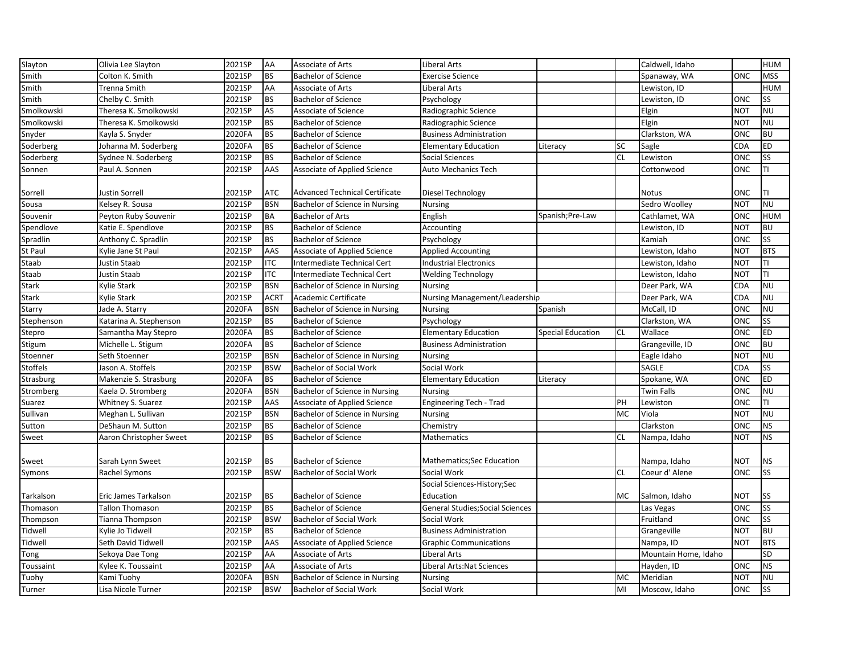| Slayton    | Olivia Lee Slayton      | 2021SP | AA          | <b>Associate of Arts</b>              | <b>Liberal Arts</b>                     |                          |           | Caldwell, Idaho      |            | <b>HUM</b> |
|------------|-------------------------|--------|-------------|---------------------------------------|-----------------------------------------|--------------------------|-----------|----------------------|------------|------------|
| Smith      | Colton K. Smith         | 2021SP | <b>BS</b>   | <b>Bachelor of Science</b>            | <b>Exercise Science</b>                 |                          |           | Spanaway, WA         | ONC        | <b>MSS</b> |
| Smith      | Trenna Smith            | 2021SP | AA          | Associate of Arts                     | Liberal Arts                            |                          |           | Lewiston, ID         |            | <b>HUM</b> |
| Smith      | Chelby C. Smith         | 2021SP | <b>BS</b>   | <b>Bachelor of Science</b>            | Psychology                              |                          |           | Lewiston, ID         | ONC        | <b>SS</b>  |
| Smolkowski | Theresa K. Smolkowski   | 2021SP | AS          | Associate of Science                  | Radiographic Science                    |                          |           | Elgin                | <b>NOT</b> | <b>NU</b>  |
| Smolkowski | Theresa K. Smolkowski   | 2021SP | <b>BS</b>   | <b>Bachelor of Science</b>            | Radiographic Science                    |                          |           | Elgin                | <b>NOT</b> | <b>NU</b>  |
| Snyder     | Kayla S. Snyder         | 2020FA | <b>BS</b>   | <b>Bachelor of Science</b>            | <b>Business Administration</b>          |                          |           | Clarkston, WA        | ONC        | <b>BU</b>  |
| Soderberg  | Johanna M. Soderberg    | 2020FA | <b>BS</b>   | <b>Bachelor of Science</b>            | <b>Elementary Education</b>             | Literacy                 | <b>SC</b> | Sagle                | CDA        | <b>ED</b>  |
| Soderberg  | Sydnee N. Soderberg     | 2021SP | <b>BS</b>   | <b>Bachelor of Science</b>            | Social Sciences                         |                          | <b>CL</b> | Lewiston             | ONC        | SS         |
| Sonnen     | Paul A. Sonnen          | 2021SP | AAS         | Associate of Applied Science          | <b>Auto Mechanics Tech</b>              |                          |           | Cottonwood           | ONC        | TI         |
| Sorrell    | Justin Sorrell          | 2021SP | <b>ATC</b>  | <b>Advanced Technical Certificate</b> | Diesel Technology                       |                          |           | <b>Notus</b>         | ONC        | ΤI         |
| Sousa      | Kelsey R. Sousa         | 2021SP | <b>BSN</b>  | Bachelor of Science in Nursing        | <b>Nursing</b>                          |                          |           | Sedro Woolley        | <b>NOT</b> | <b>NU</b>  |
| Souvenir   | Peyton Ruby Souvenir    | 2021SP | <b>BA</b>   | <b>Bachelor of Arts</b>               | English                                 | Spanish;Pre-Law          |           | Cathlamet, WA        | ONC        | <b>HUM</b> |
| Spendlove  | Katie E. Spendlove      | 2021SP | <b>BS</b>   | <b>Bachelor of Science</b>            | Accounting                              |                          |           | Lewiston, ID         | <b>NOT</b> | <b>BU</b>  |
| Spradlin   | Anthony C. Spradlin     | 2021SP | <b>BS</b>   | <b>Bachelor of Science</b>            | Psychology                              |                          |           | Kamiah               | ONC        | <b>SS</b>  |
| St Paul    | Kylie Jane St Paul      | 2021SP | AAS         | Associate of Applied Science          | <b>Applied Accounting</b>               |                          |           | Lewiston, Idaho      | <b>NOT</b> | <b>BTS</b> |
| Staab      | Justin Staab            | 2021SP | <b>ITC</b>  | Intermediate Technical Cert           | <b>Industrial Electronics</b>           |                          |           | Lewiston, Idaho      | <b>NOT</b> | TI         |
| Staab      | Justin Staab            | 2021SP | <b>ITC</b>  | Intermediate Technical Cert           | <b>Welding Technology</b>               |                          |           | Lewiston, Idaho      | <b>NOT</b> | ΤI         |
| Stark      | Kylie Stark             | 2021SP | <b>BSN</b>  | Bachelor of Science in Nursing        | Nursing                                 |                          |           | Deer Park, WA        | CDA        | <b>NU</b>  |
| Stark      | Kylie Stark             | 2021SP | <b>ACRT</b> | Academic Certificate                  | <b>Nursing Management/Leadership</b>    |                          |           | Deer Park, WA        | CDA        | <b>NU</b>  |
| Starry     | Jade A. Starry          | 2020FA | <b>BSN</b>  | Bachelor of Science in Nursing        | Nursing                                 | Spanish                  |           | McCall, ID           | ONC        | <b>NU</b>  |
| Stephenson | Katarina A. Stephenson  | 2021SP | <b>BS</b>   | <b>Bachelor of Science</b>            | Psychology                              |                          |           | Clarkston, WA        | <b>ONC</b> | <b>SS</b>  |
| Stepro     | Samantha May Stepro     | 2020FA | <b>BS</b>   | <b>Bachelor of Science</b>            | <b>Elementary Education</b>             | <b>Special Education</b> | <b>CL</b> | Wallace              | ONC        | <b>ED</b>  |
| Stigum     | Michelle L. Stigum      | 2020FA | <b>BS</b>   | <b>Bachelor of Science</b>            | <b>Business Administration</b>          |                          |           | Grangeville, ID      | ONC        | <b>BU</b>  |
| Stoenner   | Seth Stoenner           | 2021SP | <b>BSN</b>  | Bachelor of Science in Nursing        | <b>Nursing</b>                          |                          |           | Eagle Idaho          | <b>NOT</b> | <b>NU</b>  |
| Stoffels   | Jason A. Stoffels       | 2021SP | <b>BSW</b>  | <b>Bachelor of Social Work</b>        | Social Work                             |                          |           | SAGLE                | CDA        | <b>SS</b>  |
| Strasburg  | Makenzie S. Strasburg   | 2020FA | <b>BS</b>   | <b>Bachelor of Science</b>            | <b>Elementary Education</b>             | Literacy                 |           | Spokane, WA          | ONC        | <b>ED</b>  |
| Stromberg  | Kaela D. Stromberg      | 2020FA | <b>BSN</b>  | Bachelor of Science in Nursing        | <b>Nursing</b>                          |                          |           | <b>Twin Falls</b>    | ONC        | <b>NU</b>  |
| Suarez     | Whitney S. Suarez       | 2021SP | AAS         | Associate of Applied Science          | Engineering Tech - Trad                 |                          | PH        | Lewiston             | ONC        | TI         |
| Sullivan   | Meghan L. Sullivan      | 2021SP | <b>BSN</b>  | Bachelor of Science in Nursing        | <b>Nursing</b>                          |                          | <b>MC</b> | Viola                | <b>NOT</b> | <b>NU</b>  |
| Sutton     | DeShaun M. Sutton       | 2021SP | <b>BS</b>   | <b>Bachelor of Science</b>            | Chemistry                               |                          |           | Clarkston            | ONC        | <b>NS</b>  |
| Sweet      | Aaron Christopher Sweet | 2021SP | <b>BS</b>   | <b>Bachelor of Science</b>            | Mathematics                             |                          | <b>CL</b> | Nampa, Idaho         | <b>NOT</b> | <b>NS</b>  |
| Sweet      | Sarah Lynn Sweet        | 2021SP | <b>BS</b>   | <b>Bachelor of Science</b>            | Mathematics;Sec Education               |                          |           | Nampa, Idaho         | NOT        | <b>NS</b>  |
| Symons     | Rachel Symons           | 2021SP | <b>BSW</b>  | <b>Bachelor of Social Work</b>        | Social Work                             |                          | <b>CL</b> | Coeur d'Alene        | ONC        | <b>SS</b>  |
|            |                         |        |             |                                       | Social Sciences-History;Sec             |                          |           |                      |            |            |
| Tarkalson  | Eric James Tarkalson    | 2021SP | <b>BS</b>   | <b>Bachelor of Science</b>            | Education                               |                          | MC        | Salmon, Idaho        | NOT        | <b>SS</b>  |
| Thomason   | Tallon Thomason         | 2021SP | <b>BS</b>   | <b>Bachelor of Science</b>            | <b>General Studies; Social Sciences</b> |                          |           | Las Vegas            | ONC        | <b>SS</b>  |
| Thompson   | Tianna Thompson         | 2021SP | <b>BSW</b>  | <b>Bachelor of Social Work</b>        | Social Work                             |                          |           | Fruitland            | ONC        | <b>SS</b>  |
| Tidwell    | Kylie Jo Tidwell        | 2021SP | <b>BS</b>   | <b>Bachelor of Science</b>            | <b>Business Administration</b>          |                          |           | Grangeville          | <b>NOT</b> | <b>BU</b>  |
| Tidwell    | Seth David Tidwell      | 2021SP | AAS         | Associate of Applied Science          | <b>Graphic Communications</b>           |                          |           | Nampa, ID            | <b>NOT</b> | <b>BTS</b> |
| Tong       | Sekoya Dae Tong         | 2021SP | AA          | Associate of Arts                     | Liberal Arts                            |                          |           | Mountain Home, Idaho |            | <b>SD</b>  |
| Toussaint  | Kylee K. Toussaint      | 2021SP | AA          | Associate of Arts                     | <b>Liberal Arts:Nat Sciences</b>        |                          |           | Hayden, ID           | <b>ONC</b> | <b>NS</b>  |
| Tuohy      | Kami Tuohy              | 2020FA | <b>BSN</b>  | Bachelor of Science in Nursing        | <b>Nursing</b>                          |                          | MC        | Meridian             | <b>NOT</b> | <b>NU</b>  |
| Turner     | Lisa Nicole Turner      | 2021SP | <b>BSW</b>  | Bachelor of Social Work               | Social Work                             |                          | MI        | Moscow, Idaho        | ONC        | <b>SS</b>  |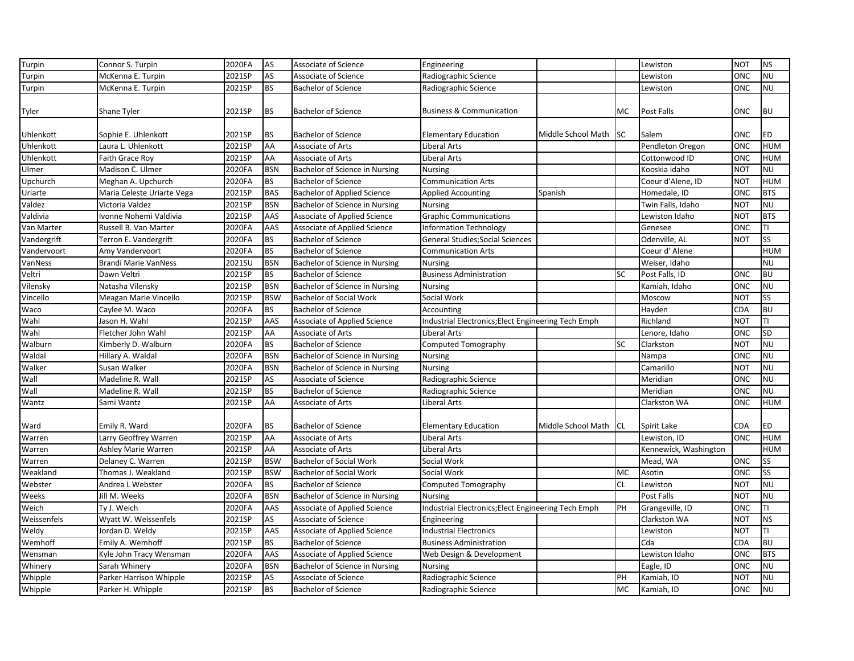| Turpin      | Connor S. Turpin            | 2020FA | AS         | Associate of Science                | Engineering                                         |                    |           | Lewiston              | <b>NOT</b> | <b>NS</b>  |
|-------------|-----------------------------|--------|------------|-------------------------------------|-----------------------------------------------------|--------------------|-----------|-----------------------|------------|------------|
| Turpin      | McKenna E. Turpin           | 2021SP | <b>AS</b>  | Associate of Science                | Radiographic Science                                |                    |           | Lewiston              | ONC        | <b>NU</b>  |
| Turpin      | McKenna E. Turpin           | 2021SP | <b>BS</b>  | <b>Bachelor of Science</b>          | Radiographic Science                                |                    |           | Lewiston              | <b>ONC</b> | <b>NU</b>  |
|             |                             |        |            |                                     |                                                     |                    |           |                       |            |            |
| Tyler       | Shane Tyler                 | 2021SP | <b>BS</b>  | <b>Bachelor of Science</b>          | <b>Business &amp; Communication</b>                 |                    | MC        | Post Falls            | ONC        | <b>BU</b>  |
|             |                             |        |            |                                     |                                                     |                    |           |                       |            |            |
| Uhlenkott   | Sophie E. Uhlenkott         | 2021SP | <b>BS</b>  | <b>Bachelor of Science</b>          | <b>Elementary Education</b>                         | Middle School Math | <b>SC</b> | Salem                 | ONC        | <b>ED</b>  |
| Uhlenkott   | Laura L. Uhlenkott          | 2021SP | AA         | Associate of Arts                   | Liberal Arts                                        |                    |           | Pendleton Oregon      | ONC        | <b>HUM</b> |
| Uhlenkott   | Faith Grace Roy             | 2021SP | AA         | Associate of Arts                   | Liberal Arts                                        |                    |           | Cottonwood ID         | ONC        | <b>HUM</b> |
| Ulmer       | Madison C. Ulmer            | 2020FA | <b>BSN</b> | Bachelor of Science in Nursing      | <b>Nursing</b>                                      |                    |           | Kooskia idaho         | <b>NOT</b> | <b>NU</b>  |
| Upchurch    | Meghan A. Upchurch          | 2020FA | <b>BS</b>  | <b>Bachelor of Science</b>          | <b>Communication Arts</b>                           |                    |           | Coeur d'Alene, ID     | <b>NOT</b> | <b>HUM</b> |
| Uriarte     | Maria Celeste Uriarte Vega  | 2021SP | <b>BAS</b> | <b>Bachelor of Applied Science</b>  | <b>Applied Accounting</b>                           | Spanish            |           | Homedale, ID          | ONC        | <b>BTS</b> |
| Valdez      | Victoria Valdez             | 2021SP | <b>BSN</b> | Bachelor of Science in Nursing      | <b>Nursing</b>                                      |                    |           | Twin Falls, Idaho     | <b>NOT</b> | <b>NU</b>  |
| Valdivia    | Ivonne Nohemi Valdivia      | 2021SP | AAS        | Associate of Applied Science        | <b>Graphic Communications</b>                       |                    |           | Lewiston Idaho        | <b>NOT</b> | <b>BTS</b> |
| Van Marter  | Russell B. Van Marter       | 2020FA | AAS        | Associate of Applied Science        | <b>Information Technology</b>                       |                    |           | Genesee               | ONC        | TI         |
| Vandergrift | Terron E. Vandergrift       | 2020FA | <b>BS</b>  | <b>Bachelor of Science</b>          | <b>General Studies; Social Sciences</b>             |                    |           | Odenville, AL         | <b>NOT</b> | SS         |
| Vandervoort | Amy Vandervoort             | 2020FA | <b>BS</b>  | <b>Bachelor of Science</b>          | <b>Communication Arts</b>                           |                    |           | Coeur d' Alene        |            | <b>HUM</b> |
| VanNess     | <b>Brandi Marie VanNess</b> | 2021SU | <b>BSN</b> | Bachelor of Science in Nursing      | <b>Nursing</b>                                      |                    |           | Weiser, Idaho         |            | <b>NU</b>  |
| Veltri      | Dawn Veltri                 | 2021SP | <b>BS</b>  | <b>Bachelor of Science</b>          | <b>Business Administration</b>                      |                    | <b>SC</b> | Post Falls, ID        | ONC        | <b>BU</b>  |
| Vilensky    | Natasha Vilensky            | 2021SP | <b>BSN</b> | Bachelor of Science in Nursing      | <b>Nursing</b>                                      |                    |           | Kamiah, Idaho         | ONC        | <b>NU</b>  |
| Vincello    | Meagan Marie Vincello       | 2021SP | <b>BSW</b> | <b>Bachelor of Social Work</b>      | Social Work                                         |                    |           | Moscow                | <b>NOT</b> | <b>SS</b>  |
| Waco        | Caylee M. Waco              | 2020FA | <b>BS</b>  | <b>Bachelor of Science</b>          | Accounting                                          |                    |           | Hayden                | CDA        | <b>BU</b>  |
| Wahl        | Jason H. Wahl               | 2021SP | AAS        | Associate of Applied Science        | Industrial Electronics; Elect Engineering Tech Emph |                    |           | Richland              | <b>NOT</b> | TI         |
| Wahl        | Fletcher John Wahl          | 2021SP | AA         | Associate of Arts                   | Liberal Arts                                        |                    |           | Lenore, Idaho         | ONC        | <b>SD</b>  |
| Walburn     | Kimberly D. Walburn         | 2020FA | <b>BS</b>  | <b>Bachelor of Science</b>          | Computed Tomography                                 |                    | <b>SC</b> | Clarkston             | NOT        | <b>NU</b>  |
| Waldal      | Hillary A. Waldal           | 2020FA | <b>BSN</b> | Bachelor of Science in Nursing      | <b>Nursing</b>                                      |                    |           | Nampa                 | <b>ONC</b> | <b>NU</b>  |
| Walker      | Susan Walker                | 2020FA | <b>BSN</b> | Bachelor of Science in Nursing      | <b>Nursing</b>                                      |                    |           | Camarillo             | <b>NOT</b> | <b>NU</b>  |
| Wall        | Madeline R. Wall            | 2021SP | AS         | Associate of Science                | Radiographic Science                                |                    |           | Meridian              | ONC        | <b>NU</b>  |
| Wall        | Madeline R. Wall            | 2021SP | <b>BS</b>  | <b>Bachelor of Science</b>          | Radiographic Science                                |                    |           | Meridian              | ONC        | <b>NU</b>  |
| Wantz       | Sami Wantz                  | 2021SP | AA         | Associate of Arts                   | Liberal Arts                                        |                    |           | Clarkston WA          | ONC        | <b>HUM</b> |
|             |                             |        |            |                                     |                                                     |                    |           |                       |            |            |
| Ward        | Emily R. Ward               | 2020FA | <b>BS</b>  | <b>Bachelor of Science</b>          | <b>Elementary Education</b>                         | Middle School Math | <b>CL</b> | Spirit Lake           | CDA        | <b>ED</b>  |
| Warren      | Larry Geoffrey Warren       | 2021SP | AA         | Associate of Arts                   | Liberal Arts                                        |                    |           | Lewiston, ID          | ONC        | <b>HUM</b> |
| Warren      | Ashley Marie Warren         | 2021SP | AA         | Associate of Arts                   | Liberal Arts                                        |                    |           | Kennewick, Washington |            | <b>HUM</b> |
| Warren      | Delaney C. Warren           | 2021SP | <b>BSW</b> | Bachelor of Social Work             | Social Work                                         |                    |           | Mead, WA              | ONC        | SS         |
| Weakland    | Thomas J. Weakland          | 2021SP | <b>BSW</b> | <b>Bachelor of Social Work</b>      | Social Work                                         |                    | MC        | Asotin                | ONC        | SS         |
| Webster     | Andrea L Webster            | 2020FA | <b>BS</b>  | <b>Bachelor of Science</b>          | Computed Tomography                                 |                    | <b>CL</b> | Lewiston              | <b>NOT</b> | <b>NU</b>  |
| Weeks       | Jill M. Weeks               | 2020FA | <b>BSN</b> | Bachelor of Science in Nursing      | <b>Nursing</b>                                      |                    |           | Post Falls            | NOT        | <b>NU</b>  |
| Weich       | Ty J. Weich                 | 2020FA | AAS        | Associate of Applied Science        | Industrial Electronics; Elect Engineering Tech Emph |                    | PH        | Grangeville, ID       | ONC        | TI         |
| Weissenfels | Wyatt W. Weissenfels        | 2021SP | AS         | Associate of Science                | Engineering                                         |                    |           | Clarkston WA          | NOT        | <b>NS</b>  |
| Weldy       | Jordan D. Weldy             | 2021SP | AAS        | <b>Associate of Applied Science</b> | <b>Industrial Electronics</b>                       |                    |           | Lewiston              | <b>NOT</b> | Π          |
| Wemhoff     | Emily A. Wemhoff            | 2021SP | <b>BS</b>  | <b>Bachelor of Science</b>          | <b>Business Administration</b>                      |                    |           | Cda                   | CDA        | <b>BU</b>  |
| Wensman     | Kyle John Tracy Wensman     | 2020FA | AAS        | Associate of Applied Science        | Web Design & Development                            |                    |           | Lewiston Idaho        | ONC        | <b>BTS</b> |
| Whinery     | Sarah Whinery               | 2020FA | <b>BSN</b> | Bachelor of Science in Nursing      | <b>Nursing</b>                                      |                    |           | Eagle, ID             | ONC        | <b>NU</b>  |
| Whipple     | Parker Harrison Whipple     | 2021SP | AS         | Associate of Science                | Radiographic Science                                |                    | PH        | Kamiah, ID            | <b>NOT</b> | <b>NU</b>  |
| Whipple     | Parker H. Whipple           | 2021SP | <b>BS</b>  | <b>Bachelor of Science</b>          | Radiographic Science                                |                    | MC        | Kamiah, ID            | ONC        | <b>NU</b>  |
|             |                             |        |            |                                     |                                                     |                    |           |                       |            |            |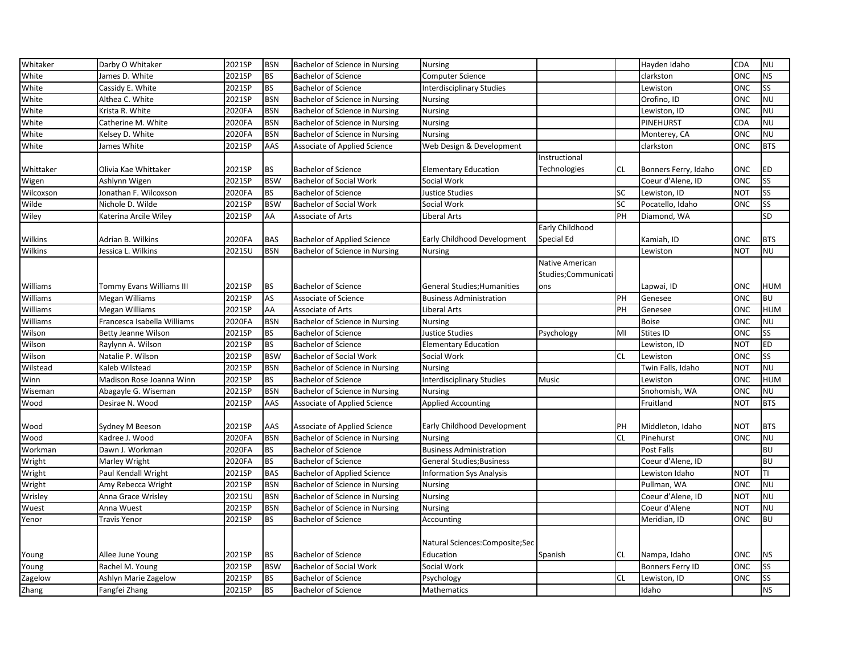| Whitaker  | Darby O Whitaker            | 2021SP | <b>BSN</b> | Bachelor of Science in Nursing      | <b>Nursing</b>                   |                     |           | Hayden Idaho            | CDA        | <b>NU</b>  |
|-----------|-----------------------------|--------|------------|-------------------------------------|----------------------------------|---------------------|-----------|-------------------------|------------|------------|
| White     | James D. White              | 2021SP | <b>BS</b>  | <b>Bachelor of Science</b>          | Computer Science                 |                     |           | clarkston               | ONC        | <b>NS</b>  |
| White     | Cassidy E. White            | 2021SP | <b>BS</b>  | <b>Bachelor of Science</b>          | <b>Interdisciplinary Studies</b> |                     |           | Lewiston                | ONC        | <b>SS</b>  |
| White     | Althea C. White             | 2021SP | <b>BSN</b> | Bachelor of Science in Nursing      | <b>Nursing</b>                   |                     |           | Orofino, ID             | ONC        | <b>NU</b>  |
| White     | Krista R. White             | 2020FA | <b>BSN</b> | Bachelor of Science in Nursing      | <b>Nursing</b>                   |                     |           | Lewiston, ID            | ONC        | <b>NU</b>  |
| White     | Catherine M. White          | 2020FA | <b>BSN</b> | Bachelor of Science in Nursing      | Nursing                          |                     |           | PINEHURST               | CDA        | <b>NU</b>  |
| White     | Kelsey D. White             | 2020FA | <b>BSN</b> | Bachelor of Science in Nursing      | Nursing                          |                     |           | Monterey, CA            | ONC        | <b>NU</b>  |
| White     | James White                 | 2021SP | AAS        | Associate of Applied Science        | Web Design & Development         |                     |           | clarkston               | ONC        | <b>BTS</b> |
|           |                             |        |            |                                     |                                  | Instructional       |           |                         |            |            |
| Whittaker | Olivia Kae Whittaker        | 2021SP | <b>BS</b>  | <b>Bachelor of Science</b>          | <b>Elementary Education</b>      | Technologies        | <b>CL</b> | Bonners Ferry, Idaho    | ONC        | ED         |
| Wigen     | Ashlynn Wigen               | 2021SP | <b>BSW</b> | <b>Bachelor of Social Work</b>      | Social Work                      |                     |           | Coeur d'Alene, ID       | ONC        | SS         |
| Wilcoxson | Jonathan F. Wilcoxson       | 2020FA | <b>BS</b>  | <b>Bachelor of Science</b>          | Justice Studies                  |                     | SC        | Lewiston, ID            | <b>NOT</b> | <b>SS</b>  |
| Wilde     | Nichole D. Wilde            | 2021SP | <b>BSW</b> | <b>Bachelor of Social Work</b>      | Social Work                      |                     | SC        | Pocatello, Idaho        | ONC        | <b>SS</b>  |
| Wiley     | Katerina Arcile Wiley       | 2021SP | AA         | Associate of Arts                   | Liberal Arts                     |                     | PH        | Diamond, WA             |            | SD         |
|           |                             |        |            |                                     |                                  | Early Childhood     |           |                         |            |            |
| Wilkins   | Adrian B. Wilkins           | 2020FA | <b>BAS</b> | <b>Bachelor of Applied Science</b>  | Early Childhood Development      | Special Ed          |           | Kamiah, ID              | ONC        | <b>BTS</b> |
| Wilkins   | Jessica L. Wilkins          | 2021SU | <b>BSN</b> | Bachelor of Science in Nursing      | Nursing                          |                     |           | Lewiston                | <b>NOT</b> | <b>NU</b>  |
|           |                             |        |            |                                     |                                  | Native American     |           |                         |            |            |
|           |                             |        |            |                                     |                                  | Studies;Communicati |           |                         |            |            |
| Williams  | Tommy Evans Williams III    | 2021SP | <b>BS</b>  | <b>Bachelor of Science</b>          | General Studies; Humanities      | ons                 |           | Lapwai, ID              | ONC        | <b>HUM</b> |
| Williams  | Megan Williams              | 2021SP | AS         | Associate of Science                | <b>Business Administration</b>   |                     | PH        | Genesee                 | ONC        | <b>BU</b>  |
| Williams  | Megan Williams              | 2021SP | AA         | Associate of Arts                   | Liberal Arts                     |                     | PH        | Genesee                 | ONC        | <b>HUM</b> |
| Williams  | Francesca Isabella Williams | 2020FA | <b>BSN</b> | Bachelor of Science in Nursing      | Nursing                          |                     |           | <b>Boise</b>            | ONC        | <b>NU</b>  |
| Wilson    | Betty Jeanne Wilson         | 2021SP | <b>BS</b>  | <b>Bachelor of Science</b>          | <b>Justice Studies</b>           | Psychology          | MI        | Stites ID               | <b>ONC</b> | <b>SS</b>  |
| Wilson    | Raylynn A. Wilson           | 2021SP | <b>BS</b>  | <b>Bachelor of Science</b>          | <b>Elementary Education</b>      |                     |           | Lewiston, ID            | <b>NOT</b> | ED         |
| Wilson    | Natalie P. Wilson           | 2021SP | <b>BSW</b> | <b>Bachelor of Social Work</b>      | Social Work                      |                     | <b>CL</b> | Lewiston                | ONC        | SS         |
| Wilstead  | Kaleb Wilstead              | 2021SP | <b>BSN</b> | Bachelor of Science in Nursing      | <b>Nursing</b>                   |                     |           | Twin Falls, Idaho       | <b>NOT</b> | <b>NU</b>  |
| Winn      | Madison Rose Joanna Winn    | 2021SP | <b>BS</b>  | <b>Bachelor of Science</b>          | <b>Interdisciplinary Studies</b> | Music               |           | Lewiston                | ONC        | <b>HUM</b> |
| Wiseman   | Abagayle G. Wiseman         | 2021SP | <b>BSN</b> | Bachelor of Science in Nursing      | <b>Nursing</b>                   |                     |           | Snohomish, WA           | ONC        | <b>NU</b>  |
| Wood      | Desirae N. Wood             | 2021SP | AAS        | <b>Associate of Applied Science</b> | <b>Applied Accounting</b>        |                     |           | Fruitland               | NOT        | <b>BTS</b> |
|           |                             |        |            |                                     |                                  |                     |           |                         |            |            |
| Wood      | Sydney M Beeson             | 2021SP | AAS        | Associate of Applied Science        | Early Childhood Development      |                     | PH        | Middleton, Idaho        | NOT        | <b>BTS</b> |
| Wood      | Kadree J. Wood              | 2020FA | <b>BSN</b> | Bachelor of Science in Nursing      | <b>Nursing</b>                   |                     | <b>CL</b> | Pinehurst               | ONC        | <b>NU</b>  |
| Workman   | Dawn J. Workman             | 2020FA | <b>BS</b>  | <b>Bachelor of Science</b>          | <b>Business Administration</b>   |                     |           | Post Falls              |            | <b>BU</b>  |
| Wright    | Marley Wright               | 2020FA | <b>BS</b>  | <b>Bachelor of Science</b>          | <b>General Studies; Business</b> |                     |           | Coeur d'Alene, ID       |            | <b>BU</b>  |
| Wright    | Paul Kendall Wright         | 2021SP | <b>BAS</b> | Bachelor of Applied Science         | <b>Information Sys Analysis</b>  |                     |           | Lewiston Idaho          | <b>NOT</b> | TI         |
| Wright    | Amy Rebecca Wright          | 2021SP | <b>BSN</b> | Bachelor of Science in Nursing      | <b>Nursing</b>                   |                     |           | Pullman, WA             | ONC        | <b>NU</b>  |
| Wrisley   | Anna Grace Wrisley          | 2021SU | <b>BSN</b> | Bachelor of Science in Nursing      | Nursing                          |                     |           | Coeur d'Alene, ID       | <b>NOT</b> | <b>NU</b>  |
| Wuest     | Anna Wuest                  | 2021SP | <b>BSN</b> | Bachelor of Science in Nursing      | Nursing                          |                     |           | Coeur d'Alene           | <b>NOT</b> | <b>NU</b>  |
| Yenor     | Travis Yenor                | 2021SP | <b>BS</b>  | <b>Bachelor of Science</b>          | Accounting                       |                     |           | Meridian, ID            | ONC        | <b>BU</b>  |
|           |                             |        |            |                                     |                                  |                     |           |                         |            |            |
|           |                             |        |            |                                     | Natural Sciences: Composite; Sec |                     |           |                         |            |            |
| Young     | Allee June Young            | 2021SP | <b>BS</b>  | <b>Bachelor of Science</b>          | Education                        | Spanish             | CL.       | Nampa, Idaho            | ONC        | <b>NS</b>  |
| Young     | Rachel M. Young             | 2021SP | <b>BSW</b> | <b>Bachelor of Social Work</b>      | Social Work                      |                     |           | <b>Bonners Ferry ID</b> | ONC        | <b>SS</b>  |
| Zagelow   | Ashlyn Marie Zagelow        | 2021SP | <b>BS</b>  | <b>Bachelor of Science</b>          | Psychology                       |                     | <b>CL</b> | Lewiston, ID            | ONC        | <b>SS</b>  |
| Zhang     | Fangfei Zhang               | 2021SP | <b>BS</b>  | <b>Bachelor of Science</b>          | <b>Mathematics</b>               |                     |           | Idaho                   |            | <b>NS</b>  |